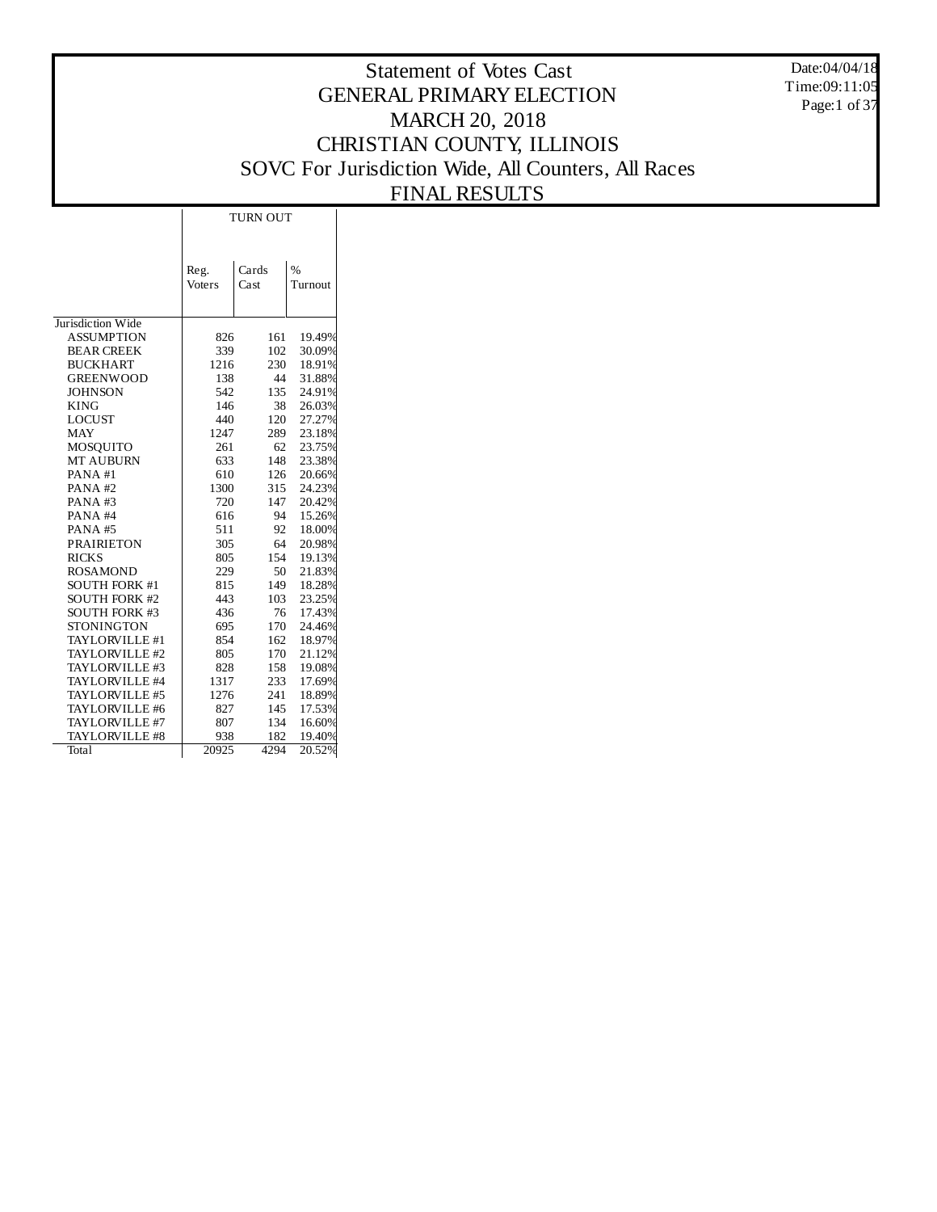Date:04/04/18 Time:09:11:05 Page:1 of 37

## Statement of Votes Cast GENERAL PRIMARY ELECTION MARCH 20, 2018 CHRISTIAN COUNTY, ILLINOIS SOVC For Jurisdiction Wide, All Counters, All Races FINAL RESULTS

|                      | <b>TURN OUT</b> |       |         |  |  |  |  |
|----------------------|-----------------|-------|---------|--|--|--|--|
|                      |                 |       |         |  |  |  |  |
|                      |                 |       |         |  |  |  |  |
|                      |                 | Cards | $\%$    |  |  |  |  |
|                      | Reg.            | Cast  |         |  |  |  |  |
|                      | Voters          |       | Turnout |  |  |  |  |
|                      |                 |       |         |  |  |  |  |
| Jurisdiction Wide    |                 |       |         |  |  |  |  |
| <b>ASSUMPTION</b>    | 826             | 161   | 19.49%  |  |  |  |  |
| <b>BEAR CREEK</b>    | 339             | 102   | 30.09%  |  |  |  |  |
| <b>BUCKHART</b>      | 1216            | 230   | 18.91%  |  |  |  |  |
| <b>GREENWOOD</b>     | 138             | 44    | 31.88%  |  |  |  |  |
| <b>JOHNSON</b>       | 542             | 135   | 24.91%  |  |  |  |  |
| <b>KING</b>          | 146             | 38    | 26.03%  |  |  |  |  |
| <b>LOCUST</b>        | 440             | 120   | 27.27%  |  |  |  |  |
| <b>MAY</b>           | 1247            | 289   | 23.18%  |  |  |  |  |
| <b>MOSOUITO</b>      | 261             | 62    | 23.75%  |  |  |  |  |
| <b>MT AUBURN</b>     | 633             | 148   | 23.38%  |  |  |  |  |
| PANA#1               | 610             | 126   | 20.66%  |  |  |  |  |
| PANA#2               | 1300            | 315   | 24.23%  |  |  |  |  |
| PANA#3               | 720             | 147   | 20.42%  |  |  |  |  |
| PANA#4               | 616             | 94    | 15.26%  |  |  |  |  |
| PANA#5               | 511             | 92    | 18.00%  |  |  |  |  |
| <b>PRAIRIETON</b>    | 305             | 64    | 20.98%  |  |  |  |  |
| <b>RICKS</b>         | 805             | 154   | 19.13%  |  |  |  |  |
| <b>ROSAMOND</b>      | 229             | 50    | 21.83%  |  |  |  |  |
| <b>SOUTH FORK #1</b> | 815             | 149   | 18.28%  |  |  |  |  |
| <b>SOUTH FORK #2</b> | 443             | 103   | 23.25%  |  |  |  |  |
| <b>SOUTH FORK #3</b> | 436             | 76    | 17.43%  |  |  |  |  |
| <b>STONINGTON</b>    | 695             | 170   | 24.46%  |  |  |  |  |
| TAYLORVILLE #1       | 854             | 162   | 18.97%  |  |  |  |  |
| TAYLORVILLE #2       | 805             | 170   | 21.12%  |  |  |  |  |
| TAYLORVILLE #3       | 828             | 158   | 19.08%  |  |  |  |  |
| TAYLORVILLE #4       | 1317            | 233   | 17.69%  |  |  |  |  |
| TAYLORVILLE #5       | 1276            | 241   | 18.89%  |  |  |  |  |
| TAYLORVILLE #6       | 827             | 145   | 17.53%  |  |  |  |  |
| TAYLORVILLE #7       | 807             | 134   | 16.60%  |  |  |  |  |
| TAYLORVILLE #8       | 938             | 182   | 19.40%  |  |  |  |  |
| Total                | 20925           | 4294  | 20.52%  |  |  |  |  |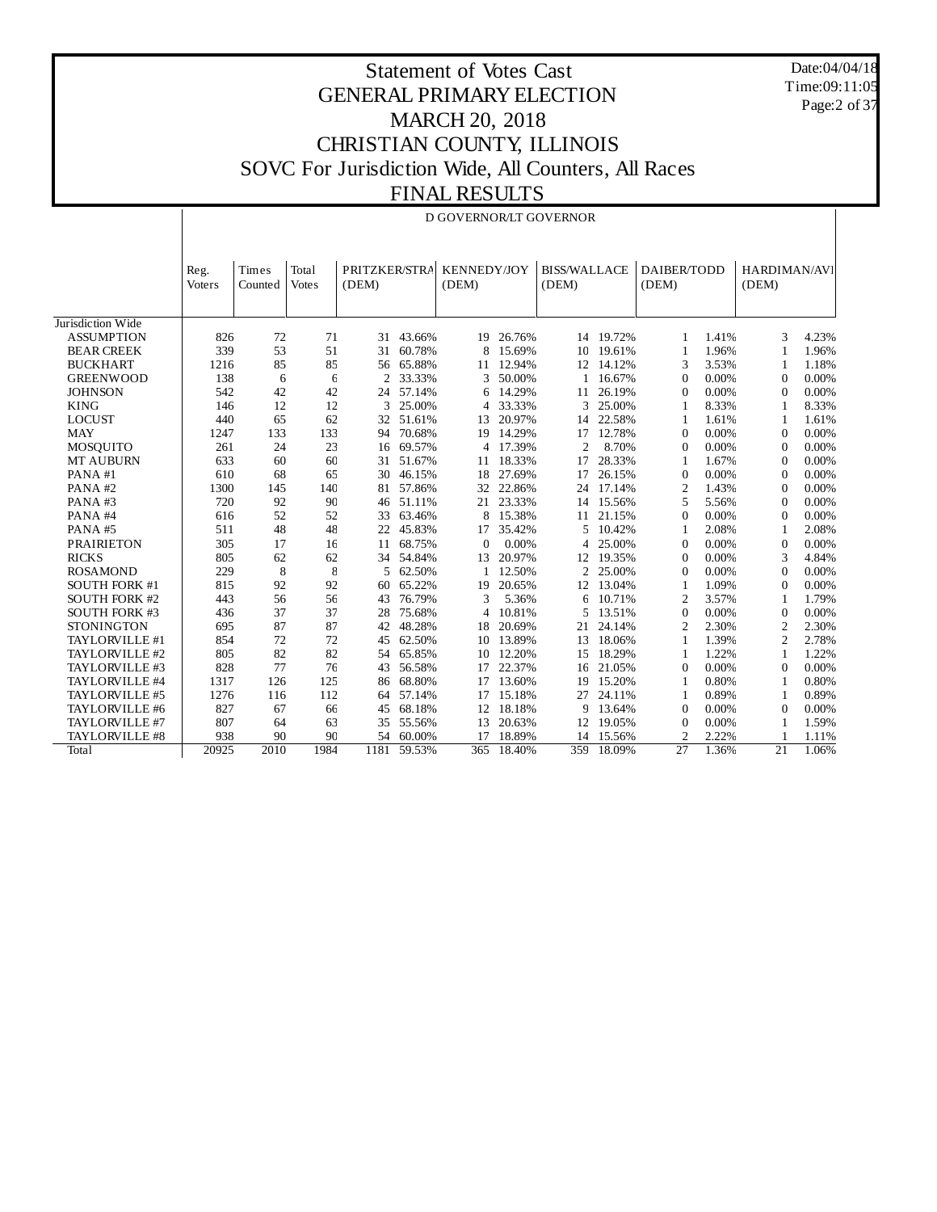Date:04/04/18 Time:09:11:05 Page:2 of 37

## Statement of Votes Cast GENERAL PRIMARY ELECTION MARCH 20, 2018 CHRISTIAN COUNTY, ILLINOIS SOVC For Jurisdiction Wide, All Counters, All Races FINAL RESULTS

## D GOVERNOR/LT GOVERNOR

|                      | Reg.   | Times   | Total        | PRITZKER/STRA  |        | <b>KENNEDY/JOY</b> |           | <b>BISS/WALLACE</b> |           | DAIBER/TODD     |       | HARDIMAN/AVI    |       |
|----------------------|--------|---------|--------------|----------------|--------|--------------------|-----------|---------------------|-----------|-----------------|-------|-----------------|-------|
|                      | Voters | Counted | <b>Votes</b> | (DEM)          |        | (DEM)              |           | (DEM)               |           | (DEM)           |       | (DEM)           |       |
|                      |        |         |              |                |        |                    |           |                     |           |                 |       |                 |       |
| Jurisdiction Wide    |        |         |              |                |        |                    |           |                     |           |                 |       |                 |       |
| <b>ASSUMPTION</b>    | 826    | 72      | 71           | 31             | 43.66% |                    | 19 26.76% |                     | 14 19.72% | 1               | 1.41% | 3               | 4.23% |
| <b>BEAR CREEK</b>    | 339    | 53      | 51           | 31             | 60.78% | 8                  | 15.69%    |                     | 10 19.61% | 1               | 1.96% | 1               | 1.96% |
| <b>BUCKHART</b>      | 1216   | 85      | 85           | 56             | 65.88% |                    | 11 12.94% |                     | 12 14.12% | 3               | 3.53% | 1               | 1.18% |
| <b>GREENWOOD</b>     | 138    | 6       | 6            | $\overline{2}$ | 33.33% | 3                  | 50.00%    |                     | 1 16.67%  | $\Omega$        | 0.00% | $\Omega$        | 0.00% |
| <b>JOHNSON</b>       | 542    | 42      | 42           | 24             | 57.14% | 6                  | 14.29%    | 11                  | 26.19%    | $\theta$        | 0.00% | $\Omega$        | 0.00% |
| <b>KING</b>          | 146    | 12      | 12           | 3              | 25.00% | 4                  | 33.33%    | 3                   | 25.00%    | 1               | 8.33% | 1               | 8.33% |
| <b>LOCUST</b>        | 440    | 65      | 62           | 32             | 51.61% | 13                 | 20.97%    | 14                  | 22.58%    | 1               | 1.61% | 1               | 1.61% |
| <b>MAY</b>           | 1247   | 133     | 133          | 94             | 70.68% | 19                 | 14.29%    | 17                  | 12.78%    | $\theta$        | 0.00% | $\theta$        | 0.00% |
| <b>MOSOUITO</b>      | 261    | 24      | 23           | 16             | 69.57% | 4                  | 17.39%    | $\overline{a}$      | 8.70%     | $\theta$        | 0.00% | $\Omega$        | 0.00% |
| <b>MT AUBURN</b>     | 633    | 60      | 60           | 31             | 51.67% | 11                 | 18.33%    | 17                  | 28.33%    | 1               | 1.67% | $\theta$        | 0.00% |
| PANA#1               | 610    | 68      | 65           | 30             | 46.15% | 18                 | 27.69%    | 17                  | 26.15%    | $\overline{0}$  | 0.00% | $\theta$        | 0.00% |
| PANA#2               | 1300   | 145     | 140          | 81             | 57.86% | 32                 | 22.86%    | 24                  | 17.14%    | $\overline{2}$  | 1.43% | $\theta$        | 0.00% |
| PANA#3               | 720    | 92      | 90           | 46             | 51.11% | 21                 | 23.33%    | 14                  | 15.56%    | 5               | 5.56% | $\Omega$        | 0.00% |
| PANA#4               | 616    | 52      | 52           | 33             | 63.46% | 8                  | 15.38%    | 11                  | 21.15%    | $\overline{0}$  | 0.00% | $\theta$        | 0.00% |
| PANA#5               | 511    | 48      | 48           | 22             | 45.83% | 17                 | 35.42%    | 5                   | 10.42%    | 1               | 2.08% | 1               | 2.08% |
| <b>PRAIRIETON</b>    | 305    | 17      | 16           | 11             | 68.75% | 0                  | 0.00%     | 4                   | 25.00%    | $\Omega$        | 0.00% | $\Omega$        | 0.00% |
| <b>RICKS</b>         | 805    | 62      | 62           | 34             | 54.84% | 13                 | 20.97%    | 12                  | 19.35%    | $\Omega$        | 0.00% | 3               | 4.84% |
| <b>ROSAMOND</b>      | 229    | 8       | 8            | 5              | 62.50% |                    | 12.50%    | $\overline{c}$      | 25.00%    | $\overline{0}$  | 0.00% | $\theta$        | 0.00% |
| <b>SOUTH FORK #1</b> | 815    | 92      | 92           | 60             | 65.22% | 19                 | 20.65%    | 12                  | 13.04%    | 1               | 1.09% | $\theta$        | 0.00% |
| <b>SOUTH FORK #2</b> | 443    | 56      | 56           | 43             | 76.79% | 3                  | 5.36%     | 6                   | 10.71%    | $\overline{c}$  | 3.57% | 1               | 1.79% |
| <b>SOUTH FORK #3</b> | 436    | 37      | 37           | 28             | 75.68% | 4                  | 10.81%    | 5                   | 13.51%    | $\overline{0}$  | 0.00% | $\Omega$        | 0.00% |
| <b>STONINGTON</b>    | 695    | 87      | 87           | 42             | 48.28% | 18                 | 20.69%    | 21                  | 24.14%    | $\overline{2}$  | 2.30% | $\overline{c}$  | 2.30% |
| TAYLORVILLE #1       | 854    | 72      | 72           | 45             | 62.50% | 10                 | 13.89%    | 13                  | 18.06%    | 1               | 1.39% | $\overline{c}$  | 2.78% |
| TAYLORVILLE #2       | 805    | 82      | 82           | 54             | 65.85% | 10                 | 12.20%    | 15                  | 18.29%    | 1               | 1.22% | 1               | 1.22% |
| TAYLORVILLE #3       | 828    | 77      | 76           | 43             | 56.58% | 17                 | 22.37%    | 16                  | 21.05%    | $\theta$        | 0.00% | $\theta$        | 0.00% |
| TAYLORVILLE #4       | 1317   | 126     | 125          | 86             | 68.80% | 17                 | 13.60%    | 19                  | 15.20%    | 1               | 0.80% | 1               | 0.80% |
| TAYLORVILLE #5       | 1276   | 116     | 112          | 64             | 57.14% | 17                 | 15.18%    | 27                  | 24.11%    | 1               | 0.89% | 1               | 0.89% |
| TAYLORVILLE #6       | 827    | 67      | 66           | 45             | 68.18% | 12                 | 18.18%    | g                   | 13.64%    | $\overline{0}$  | 0.00% | $\theta$        | 0.00% |
| TAYLORVILLE #7       | 807    | 64      | 63           | 35             | 55.56% | 13                 | 20.63%    | 12                  | 19.05%    | $\overline{0}$  | 0.00% | 1               | 1.59% |
| TAYLORVILLE #8       | 938    | 90      | 90           | 54             | 60.00% | 17                 | 18.89%    | 14                  | 15.56%    | $\overline{2}$  | 2.22% |                 | 1.11% |
| Total                | 20925  | 2010    | 1984         | 1181           | 59.53% | 365                | 18.40%    | 359                 | 18.09%    | $\overline{27}$ | 1.36% | $\overline{21}$ | 1.06% |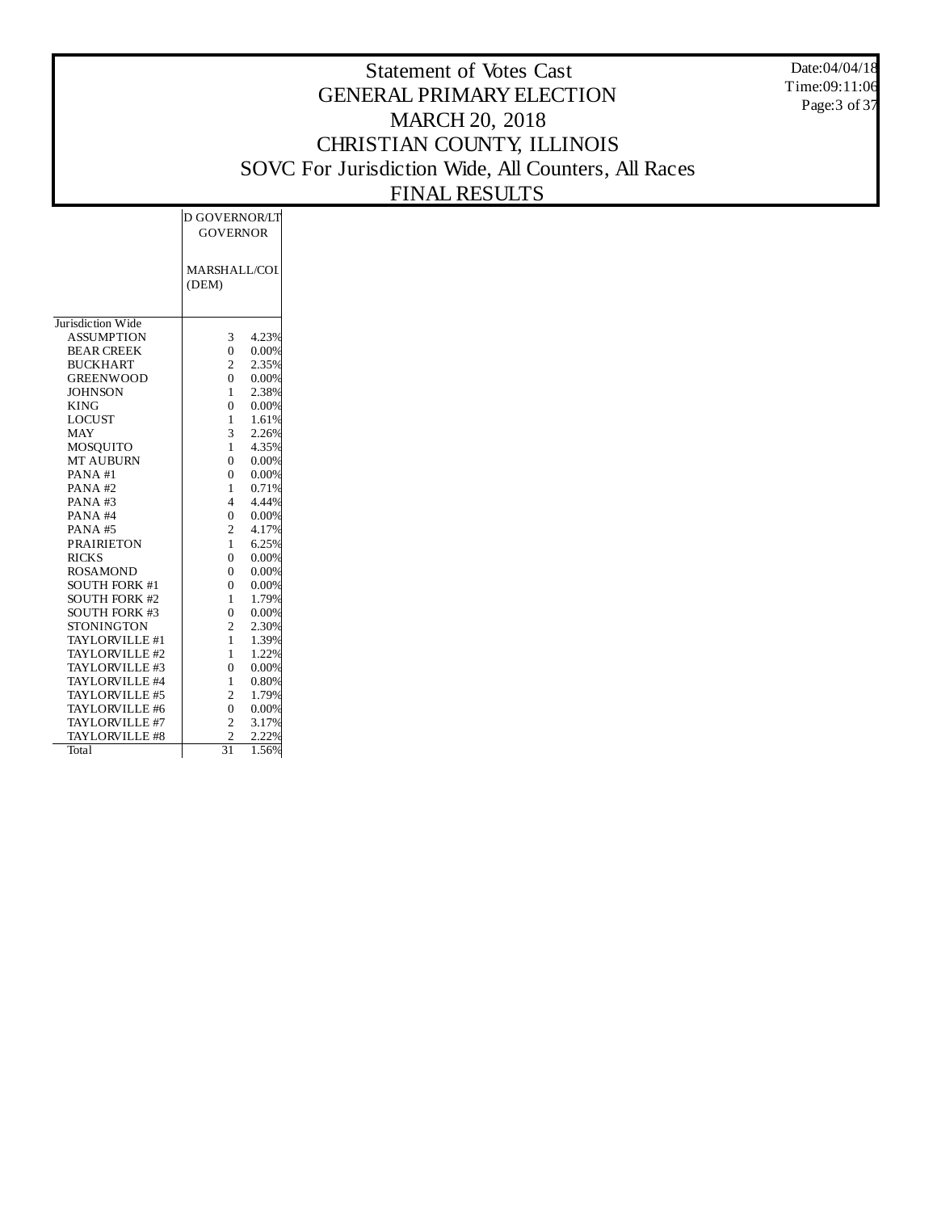Date:04/04/18 Time:09:11:06 Page: 3 of 37

|                      | D GOVERNOR/LT       |       |
|----------------------|---------------------|-------|
|                      | <b>GOVERNOR</b>     |       |
|                      |                     |       |
|                      |                     |       |
|                      | <b>MARSHALL/COL</b> |       |
|                      | (DEM)               |       |
|                      |                     |       |
| Jurisdiction Wide    |                     |       |
| <b>ASSUMPTION</b>    | 3                   | 4.23% |
| <b>BEAR CREEK</b>    | $\theta$            | 0.00% |
| <b>BUCKHART</b>      | $\overline{c}$      | 2.35% |
| <b>GREENWOOD</b>     | 0                   | 0.00% |
| <b>JOHNSON</b>       | 1                   | 2.38% |
| <b>KING</b>          | 0                   | 0.00% |
| <b>LOCUST</b>        | 1                   | 1.61% |
| <b>MAY</b>           | 3                   | 2.26% |
| <b>MOSQUITO</b>      | 1                   | 4.35% |
| <b>MT AUBURN</b>     | 0                   | 0.00% |
| PANA#1               | $\theta$            | 0.00% |
| PANA#2               | 1                   | 0.71% |
| PANA#3               | 4                   | 4.44% |
| PANA#4               | $\theta$            | 0.00% |
| PANA#5               | $\overline{c}$      | 4.17% |
| <b>PRAIRIETON</b>    | 1                   | 6.25% |
| <b>RICKS</b>         | 0                   | 0.00% |
| <b>ROSAMOND</b>      | 0                   | 0.00% |
| <b>SOUTH FORK #1</b> | $\overline{0}$      | 0.00% |
| <b>SOUTH FORK #2</b> | 1                   | 1.79% |
| <b>SOUTH FORK #3</b> | $\theta$            | 0.00% |
| <b>STONINGTON</b>    | 2                   | 2.30% |
| TAYLORVILLE #1       | 1                   | 1.39% |
| TAYLORVILLE #2       | 1                   | 1.22% |
| TAYLORVILLE #3       | $\theta$            | 0.00% |
| TAYLORVILLE #4       | 1                   | 0.80% |
| TAYLORVILLE #5       | $\overline{c}$      | 1.79% |
| TAYLORVILLE #6       | $\overline{0}$      | 0.00% |
| TAYLORVILLE #7       | $\overline{c}$      | 3.17% |
| TAYLORVILLE #8       | $\overline{c}$      | 2.22% |
| Total                | 31                  | 1.56% |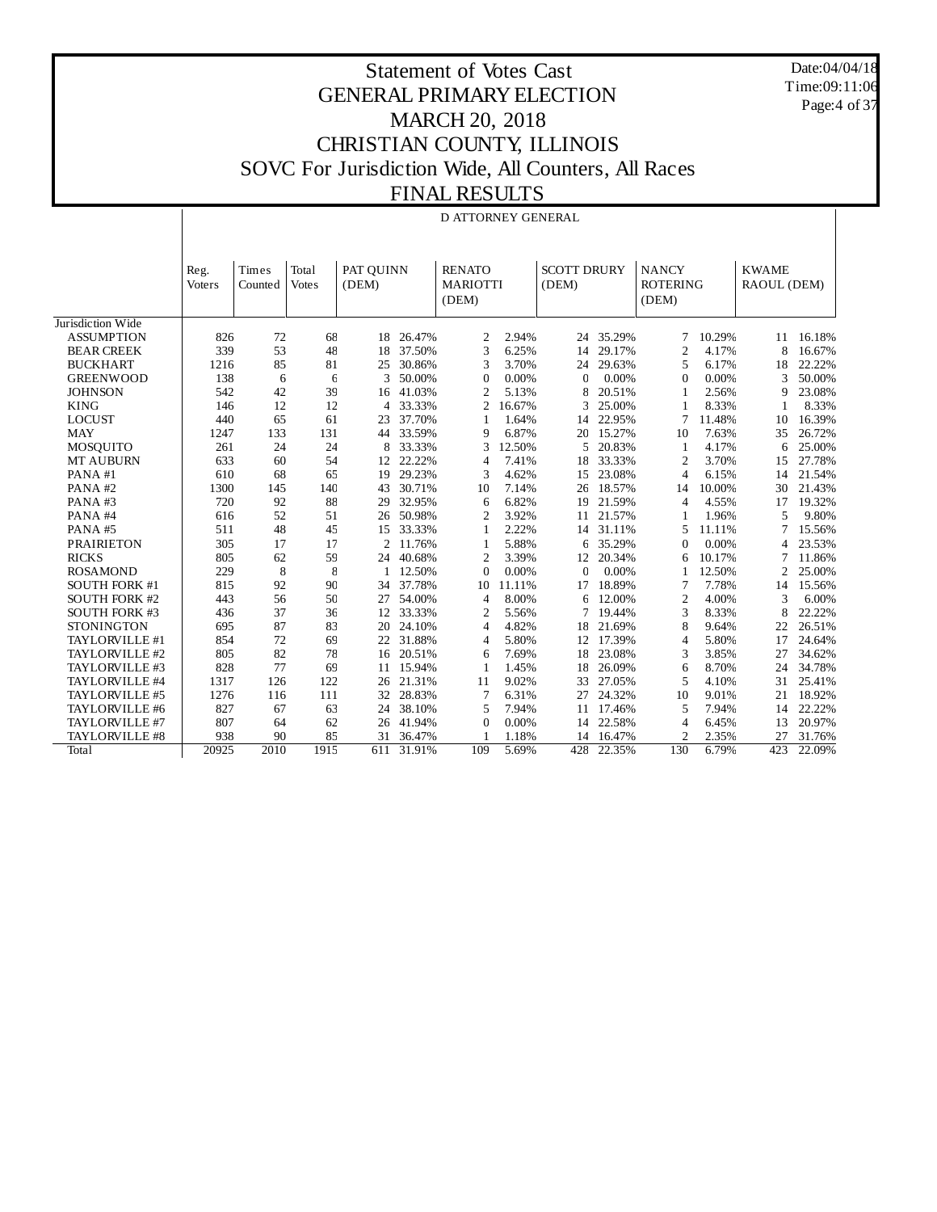Date:04/04/18 Time:09:11:06 Page:4 of 37

## Statement of Votes Cast GENERAL PRIMARY ELECTION MARCH 20, 2018 CHRISTIAN COUNTY, ILLINOIS SOVC For Jurisdiction Wide, All Counters, All Races FINAL RESULTS

## D ATTORNEY GENERAL

|                      | Reg.   | Times   | Total        | PAT QUINN      |        | <b>RENATO</b>            |        | <b>SCOTT DRURY</b> |        | <b>NANCY</b>             |        | <b>KWAME</b>   |        |
|----------------------|--------|---------|--------------|----------------|--------|--------------------------|--------|--------------------|--------|--------------------------|--------|----------------|--------|
|                      | Voters | Counted | <b>Votes</b> | (DEM)          |        | <b>MARIOTTI</b><br>(DEM) |        | (DEM)              |        | <b>ROTERING</b><br>(DEM) |        | RAOUL (DEM)    |        |
| Jurisdiction Wide    |        |         |              |                |        |                          |        |                    |        |                          |        |                |        |
| <b>ASSUMPTION</b>    | 826    | 72      | 68           | 18             | 26.47% | $\overline{2}$           | 2.94%  | 24                 | 35.29% | 7                        | 10.29% | 11             | 16.18% |
| <b>BEAR CREEK</b>    | 339    | 53      | 48           | 18             | 37.50% | 3                        | 6.25%  | 14                 | 29.17% | 2                        | 4.17%  | 8              | 16.67% |
| <b>BUCKHART</b>      | 1216   | 85      | 81           | 25             | 30.86% | 3                        | 3.70%  | 24                 | 29.63% | 5                        | 6.17%  | 18             | 22.22% |
| <b>GREENWOOD</b>     | 138    | 6       | 6            | 3              | 50.00% | $\mathbf 0$              | 0.00%  | $\mathbf{C}$       | 0.00%  | $\overline{0}$           | 0.00%  | 3              | 50.00% |
| <b>JOHNSON</b>       | 542    | 42      | 39           | 16             | 41.03% | $\overline{2}$           | 5.13%  | 8                  | 20.51% | 1                        | 2.56%  | 9              | 23.08% |
| <b>KING</b>          | 146    | 12      | 12           | 4              | 33.33% | 2                        | 16.67% | 3                  | 25.00% |                          | 8.33%  |                | 8.33%  |
| <b>LOCUST</b>        | 440    | 65      | 61           | 23             | 37.70% |                          | 1.64%  | 14                 | 22.95% | 7                        | 11.48% | 10             | 16.39% |
| <b>MAY</b>           | 1247   | 133     | 131          | 44             | 33.59% | 9                        | 6.87%  | 20                 | 15.27% | 10                       | 7.63%  | 35             | 26.72% |
| <b>MOSQUITO</b>      | 261    | 24      | 24           | 8              | 33.33% | 3                        | 12.50% | 5                  | 20.83% | 1                        | 4.17%  | 6              | 25.00% |
| MT AUBURN            | 633    | 60      | 54           | 12             | 22.22% | $\overline{4}$           | 7.41%  | 18                 | 33.33% | $\overline{2}$           | 3.70%  | 15             | 27.78% |
| PANA#1               | 610    | 68      | 65           | 19             | 29.23% | 3                        | 4.62%  | 15                 | 23.08% | $\overline{4}$           | 6.15%  | 14             | 21.54% |
| PANA#2               | 1300   | 145     | 140          | 43             | 30.71% | 10                       | 7.14%  | 26                 | 18.57% | 14                       | 10.00% | 30             | 21.43% |
| PANA#3               | 720    | 92      | 88           | 29             | 32.95% | 6                        | 6.82%  | 19                 | 21.59% | 4                        | 4.55%  | 17             | 19.32% |
| PANA#4               | 616    | 52      | 51           | 26             | 50.98% | $\overline{2}$           | 3.92%  | 11                 | 21.57% | 1                        | 1.96%  | 5              | 9.80%  |
| PANA#5               | 511    | 48      | 45           | 15             | 33.33% | 1                        | 2.22%  | 14                 | 31.11% | 5                        | 11.11% | 7              | 15.56% |
| <b>PRAIRIETON</b>    | 305    | 17      | 17           | $\overline{2}$ | 11.76% | 1                        | 5.88%  | 6                  | 35.29% | $\overline{0}$           | 0.00%  | 4              | 23.53% |
| <b>RICKS</b>         | 805    | 62      | 59           | 24             | 40.68% | $\overline{2}$           | 3.39%  | 12                 | 20.34% | 6                        | 10.17% | 7              | 11.86% |
| <b>ROSAMOND</b>      | 229    | 8       | 8            |                | 12.50% | $\mathbf 0$              | 0.00%  | $\mathbf{C}$       | 0.00%  |                          | 12.50% | $\overline{c}$ | 25.00% |
| <b>SOUTH FORK #1</b> | 815    | 92      | 90           | 34             | 37.78% | 10                       | 11.11% | 17                 | 18.89% | 7                        | 7.78%  | 14             | 15.56% |
| <b>SOUTH FORK #2</b> | 443    | 56      | 50           | 27             | 54.00% | 4                        | 8.00%  | 6                  | 12.00% | $\overline{2}$           | 4.00%  | 3              | 6.00%  |
| <b>SOUTH FORK #3</b> | 436    | 37      | 36           | 12             | 33.33% | $\overline{2}$           | 5.56%  | 7                  | 19.44% | 3                        | 8.33%  | 8              | 22.22% |
| <b>STONINGTON</b>    | 695    | 87      | 83           | 20             | 24.10% | $\overline{4}$           | 4.82%  | 18                 | 21.69% | 8                        | 9.64%  | 22             | 26.51% |
| TAYLORVILLE #1       | 854    | 72      | 69           | 22             | 31.88% | 4                        | 5.80%  | 12                 | 17.39% | $\overline{4}$           | 5.80%  | 17             | 24.64% |
| TAYLORVILLE #2       | 805    | 82      | 78           | 16             | 20.51% | 6                        | 7.69%  | 18                 | 23.08% | 3                        | 3.85%  | 27             | 34.62% |
| TAYLORVILLE #3       | 828    | 77      | 69           | 11             | 15.94% | 1                        | 1.45%  | 18                 | 26.09% | 6                        | 8.70%  | 24             | 34.78% |
| TAYLORVILLE #4       | 1317   | 126     | 122          | 26             | 21.31% | 11                       | 9.02%  | 33                 | 27.05% | 5                        | 4.10%  | 31             | 25.41% |
| TAYLORVILLE #5       | 1276   | 116     | 111          | 32             | 28.83% | $\overline{7}$           | 6.31%  | 27                 | 24.32% | 10                       | 9.01%  | 21             | 18.92% |
| TAYLORVILLE #6       | 827    | 67      | 63           | 24             | 38.10% | 5                        | 7.94%  | 11                 | 17.46% | 5                        | 7.94%  | 14             | 22.22% |
| TAYLORVILLE #7       | 807    | 64      | 62           | 26             | 41.94% | 0                        | 0.00%  | 14                 | 22.58% | 4                        | 6.45%  | 13             | 20.97% |
| TAYLORVILLE #8       | 938    | 90      | 85           | 31             | 36.47% |                          | 1.18%  | 14                 | 16.47% | $\overline{2}$           | 2.35%  | 27             | 31.76% |
| Total                | 20925  | 2010    | 1915         | 611            | 31.91% | 109                      | 5.69%  | 428                | 22.35% | 130                      | 6.79%  | 423            | 22.09% |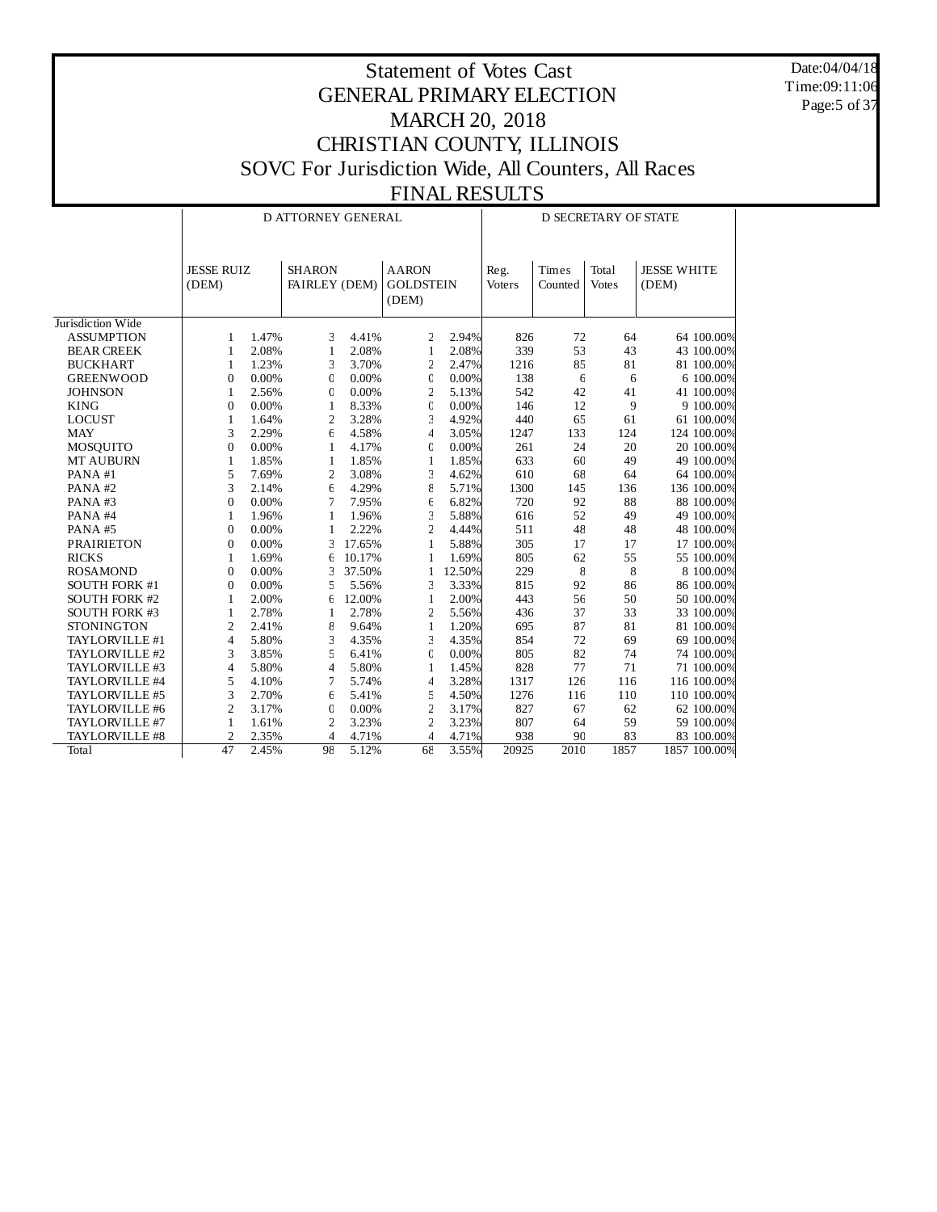Date:04/04/18 Time:09:11:06 Page: 5 of 37

|                      |                            |       | D ATTORNEY GENERAL             |        |                                           |        |                       | <b>D SECRETARY OF STATE</b> |                       |                             |  |  |
|----------------------|----------------------------|-------|--------------------------------|--------|-------------------------------------------|--------|-----------------------|-----------------------------|-----------------------|-----------------------------|--|--|
|                      | <b>JESSE RUIZ</b><br>(DEM) |       | <b>SHARON</b><br>FAIRLEY (DEM) |        | <b>AARON</b><br><b>GOLDSTEIN</b><br>(DEM) |        | Reg.<br><b>Voters</b> | Times<br>Counted            | Total<br><b>Votes</b> | <b>JESSE WHITE</b><br>(DEM) |  |  |
| Jurisdiction Wide    |                            |       |                                |        |                                           |        |                       |                             |                       |                             |  |  |
| <b>ASSUMPTION</b>    | 1                          | 1.47% | 3                              | 4.41%  | 2                                         | 2.94%  | 826                   | 72                          | 64                    | 64 100.00%                  |  |  |
| <b>BEAR CREEK</b>    | 1                          | 2.08% | 1                              | 2.08%  | $\mathbf{1}$                              | 2.08%  | 339                   | 53                          | 43                    | 43 100.00%                  |  |  |
| <b>BUCKHART</b>      | 1                          | 1.23% | 3                              | 3.70%  | $\overline{c}$                            | 2.47%  | 1216                  | 85                          | 81                    | 81 100.00%                  |  |  |
| <b>GREENWOOD</b>     | $\Omega$                   | 0.00% | $\mathbf{0}$                   | 0.00%  | $\mathbf 0$                               | 0.00%  | 138                   | 6                           | 6                     | 6 100.00%                   |  |  |
| <b>JOHNSON</b>       | 1                          | 2.56% | $\mathbf 0$                    | 0.00%  | $\overline{c}$                            | 5.13%  | 542                   | 42                          | 41                    | 41 100.00%                  |  |  |
| <b>KING</b>          | $\overline{0}$             | 0.00% | 1                              | 8.33%  | $\mathbf 0$                               | 0.00%  | 146                   | 12                          | 9                     | 9 100.00%                   |  |  |
| <b>LOCUST</b>        | $\mathbf{1}$               | 1.64% | $\overline{c}$                 | 3.28%  | 3                                         | 4.92%  | 440                   | 65                          | 61                    | 61 100.00%                  |  |  |
| <b>MAY</b>           | 3                          | 2.29% | 6                              | 4.58%  | 4                                         | 3.05%  | 1247                  | 133                         | 124                   | 124 100.00%                 |  |  |
| MOSQUITO             | $\overline{0}$             | 0.00% | 1                              | 4.17%  | $\mathbf 0$                               | 0.00%  | 261                   | 24                          | 20                    | 20 100.00%                  |  |  |
| <b>MT AUBURN</b>     | $\mathbf{1}$               | 1.85% | $\mathbf{1}$                   | 1.85%  | $\mathbf{1}$                              | 1.85%  | 633                   | 60                          | 49                    | 49 100.00%                  |  |  |
| PANA#1               | 5                          | 7.69% | 2                              | 3.08%  | 3                                         | 4.62%  | 610                   | 68                          | 64                    | 64 100.00%                  |  |  |
| PANA#2               | 3                          | 2.14% | 6                              | 4.29%  | 8                                         | 5.71%  | 1300                  | 145                         | 136                   | 136 100.00%                 |  |  |
| PANA#3               | $\boldsymbol{0}$           | 0.00% | 7                              | 7.95%  | 6                                         | 6.82%  | 720                   | 92                          | 88                    | 88 100.00%                  |  |  |
| PANA#4               | 1                          | 1.96% | $\mathbf{1}$                   | 1.96%  | 3                                         | 5.88%  | 616                   | 52                          | 49                    | 49 100.00%                  |  |  |
| PANA#5               | $\theta$                   | 0.00% | $\mathbf{1}$                   | 2.22%  | $\overline{c}$                            | 4.44%  | 511                   | 48                          | 48                    | 48 100.00%                  |  |  |
| <b>PRAIRIETON</b>    | $\overline{0}$             | 0.00% | 3                              | 17.65% | $\mathbf{1}$                              | 5.88%  | 305                   | 17                          | 17                    | 17 100.00%                  |  |  |
| <b>RICKS</b>         | 1                          | 1.69% | 6                              | 10.17% | 1                                         | 1.69%  | 805                   | 62                          | 55                    | 55 100.00%                  |  |  |
| <b>ROSAMOND</b>      | $\overline{0}$             | 0.00% | 3                              | 37.50% | $\mathbf{1}$                              | 12.50% | 229                   | 8                           | 8                     | 8 100.00%                   |  |  |
| <b>SOUTH FORK #1</b> | $\overline{0}$             | 0.00% | 5                              | 5.56%  | 3                                         | 3.33%  | 815                   | 92                          | 86                    | 86 100.00%                  |  |  |
| <b>SOUTH FORK #2</b> | 1                          | 2.00% | 6                              | 12.00% | $\mathbf{1}$                              | 2.00%  | 443                   | 56                          | 50                    | 50 100.00%                  |  |  |
| <b>SOUTH FORK #3</b> | $\mathbf{1}$               | 2.78% | 1                              | 2.78%  | $\overline{c}$                            | 5.56%  | 436                   | 37                          | 33                    | 33 100.00%                  |  |  |
| <b>STONINGTON</b>    | $\overline{c}$             | 2.41% | 8                              | 9.64%  | $\mathbf{1}$                              | 1.20%  | 695                   | 87                          | 81                    | 81 100.00%                  |  |  |
| TAYLORVILLE #1       | $\overline{\mathcal{L}}$   | 5.80% | 3                              | 4.35%  | 3                                         | 4.35%  | 854                   | 72                          | 69                    | 69 100.00%                  |  |  |
| TAYLORVILLE #2       | 3                          | 3.85% | 5                              | 6.41%  | $\mathbf 0$                               | 0.00%  | 805                   | 82                          | 74                    | 74 100.00%                  |  |  |
| TAYLORVILLE #3       | 4                          | 5.80% | 4                              | 5.80%  | 1                                         | 1.45%  | 828                   | 77                          | 71                    | 71 100.00%                  |  |  |
| TAYLORVILLE #4       | 5                          | 4.10% | 7                              | 5.74%  | 4                                         | 3.28%  | 1317                  | 126                         | 116                   | 116 100.00%                 |  |  |
| TAYLORVILLE #5       | 3                          | 2.70% | 6                              | 5.41%  | 5                                         | 4.50%  | 1276                  | 116                         | 110                   | 110 100.00%                 |  |  |
| TAYLORVILLE #6       | $\overline{c}$             | 3.17% | $\overline{0}$                 | 0.00%  | $\overline{c}$                            | 3.17%  | 827                   | 67                          | 62                    | 62 100.00%                  |  |  |
| TAYLORVILLE #7       | $\mathbf{1}$               | 1.61% | $\overline{2}$                 | 3.23%  | $\overline{a}$                            | 3.23%  | 807                   | 64                          | 59                    | 59 100.00%                  |  |  |
| TAYLORVILLE #8       | $\overline{2}$             | 2.35% | $\overline{4}$                 | 4.71%  | 4                                         | 4.71%  | 938                   | 90                          | 83                    | 83 100.00%                  |  |  |
| Total                | 47                         | 2.45% | 98                             | 5.12%  | 68                                        | 3.55%  | 20925                 | 2010                        | 1857                  | 1857 100.00%                |  |  |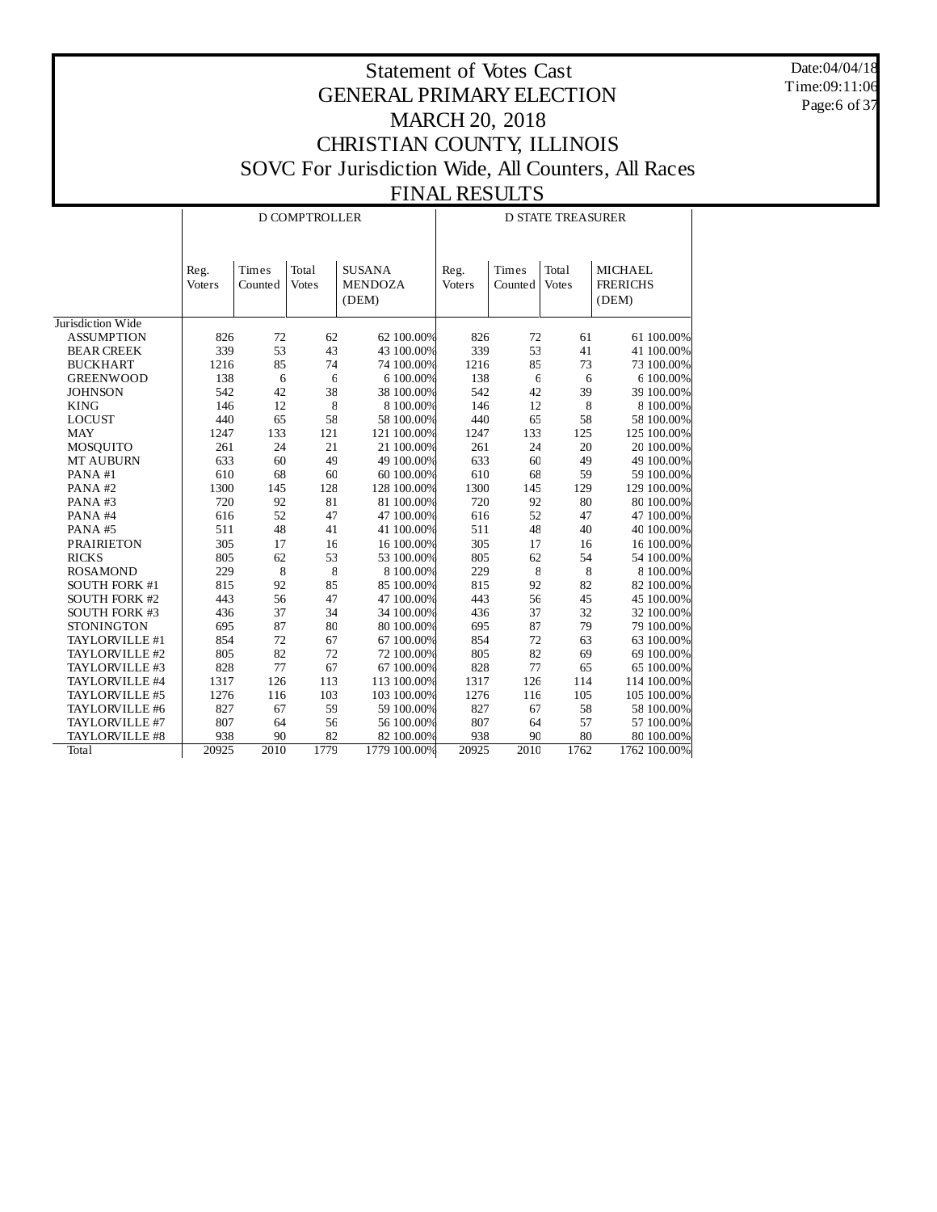Date:04/04/18 Time:09:11:06 Page:6 of 37

|                      |        |         | <b>D COMPTROLLER</b> |                | <b>D STATE TREASURER</b> |         |              |                 |  |
|----------------------|--------|---------|----------------------|----------------|--------------------------|---------|--------------|-----------------|--|
|                      |        |         |                      |                |                          |         |              |                 |  |
|                      | Reg.   | Times   | Total                | <b>SUSANA</b>  | Reg.                     | Times   | Total        | <b>MICHAEL</b>  |  |
|                      | Voters | Counted | <b>Votes</b>         | <b>MENDOZA</b> | Voters                   | Counted | <b>Votes</b> | <b>FRERICHS</b> |  |
|                      |        |         |                      | (DEM)          |                          |         |              | (DEM)           |  |
|                      |        |         |                      |                |                          |         |              |                 |  |
| Jurisdiction Wide    |        |         |                      |                |                          |         |              |                 |  |
| <b>ASSUMPTION</b>    | 826    | 72      | 62                   | 62 100.00%     | 826                      | 72      | 61           | 61 100.00%      |  |
| <b>BEAR CREEK</b>    | 339    | 53      | 43                   | 43 100.00%     | 339                      | 53      | 41           | 41 100.00%      |  |
| <b>BUCKHART</b>      | 1216   | 85      | 74                   | 74 100.00%     | 1216                     | 85      | 73           | 73 100.00%      |  |
| <b>GREENWOOD</b>     | 138    | 6       | $\epsilon$           | 6 100.00%      | 138                      | 6       | 6            | 6 100.00%       |  |
| <b>JOHNSON</b>       | 542    | 42      | 38                   | 38 100.00%     | 542                      | 42      | 39           | 39 100.00%      |  |
| <b>KING</b>          | 146    | 12      | $8\,$                | 8 100.00%      | 146                      | 12      | 8            | 8 100.00%       |  |
| <b>LOCUST</b>        | 440    | 65      | 58                   | 58 100.00%     | 440                      | 65      | 58           | 58 100.00%      |  |
| <b>MAY</b>           | 1247   | 133     | 121                  | 121 100.00%    | 1247                     | 133     | 125          | 125 100.00%     |  |
| MOSQUITO             | 261    | 24      | 21                   | 21 100.00%     | 261                      | 24      | 20           | 20 100.00%      |  |
| <b>MT AUBURN</b>     | 633    | 60      | 49                   | 49 100.00%     | 633                      | 60      | 49           | 49 100.00%      |  |
| PANA#1               | 610    | 68      | 60                   | 60 100.00%     | 610                      | 68      | 59           | 59 100.00%      |  |
| PANA#2               | 1300   | 145     | 128                  | 128 100.00%    | 1300                     | 145     | 129          | 129 100.00%     |  |
| PANA#3               | 720    | 92      | 81                   | 81 100.00%     | 720                      | 92      | 80           | 80 100.00%      |  |
| PANA#4               | 616    | 52      | 47                   | 47 100.00%     | 616                      | 52      | 47           | 47 100.00%      |  |
| PANA#5               | 511    | 48      | 41                   | 41 100.00%     | 511                      | 48      | 40           | 40 100.00%      |  |
| <b>PRAIRIETON</b>    | 305    | 17      | 16                   | 16 100.00%     | 305                      | 17      | 16           | 16 100.00%      |  |
| <b>RICKS</b>         | 805    | 62      | 53                   | 53 100.00%     | 805                      | 62      | 54           | 54 100.00%      |  |
| <b>ROSAMOND</b>      | 229    | $\,8\,$ | $8\,$                | 8 100.00%      | 229                      | 8       | $\,$ 8 $\,$  | 8 100.00%       |  |
| SOUTH FORK #1        | 815    | 92      | 85                   | 85 100.00%     | 815                      | 92      | 82           | 82 100.00%      |  |
| <b>SOUTH FORK #2</b> | 443    | 56      | 47                   | 47 100.00%     | 443                      | 56      | 45           | 45 100.00%      |  |
| <b>SOUTH FORK #3</b> | 436    | 37      | 34                   | 34 100.00%     | 436                      | 37      | 32           | 32 100.00%      |  |
| <b>STONINGTON</b>    | 695    | 87      | 80                   | 80 100.00%     | 695                      | 87      | 79           | 79 100.00%      |  |
| TAYLORVILLE #1       | 854    | 72      | 67                   | 67 100.00%     | 854                      | 72      | 63           | 63 100.00%      |  |
| TAYLORVILLE #2       | 805    | 82      | 72                   | 72 100.00%     | 805                      | 82      | 69           | 69 100.00%      |  |
| TAYLORVILLE #3       | 828    | 77      | 67                   | 67 100.00%     | 828                      | 77      | 65           | 65 100.00%      |  |
| TAYLORVILLE #4       | 1317   | 126     | 113                  | 113 100.00%    | 1317                     | 126     | 114          | 114 100.00%     |  |
| TAYLORVILLE #5       | 1276   | 116     | 103                  | 103 100.00%    | 1276                     | 116     | 105          | 105 100.00%     |  |
| TAYLORVILLE #6       | 827    | 67      | 59                   | 59 100.00%     | 827                      | 67      | 58           | 58 100.00%      |  |
| TAYLORVILLE #7       | 807    | 64      | 56                   | 56 100.00%     | 807                      | 64      | 57           | 57 100.00%      |  |
| TAYLORVILLE #8       | 938    | 90      | 82                   | 82 100.00%     | 938                      | 90      | 80           | 80 100.00%      |  |
| Total                | 20925  | 2010    | 1779                 | 1779 100.00%   | 20925                    | 2010    | 1762         | 1762 100.00%    |  |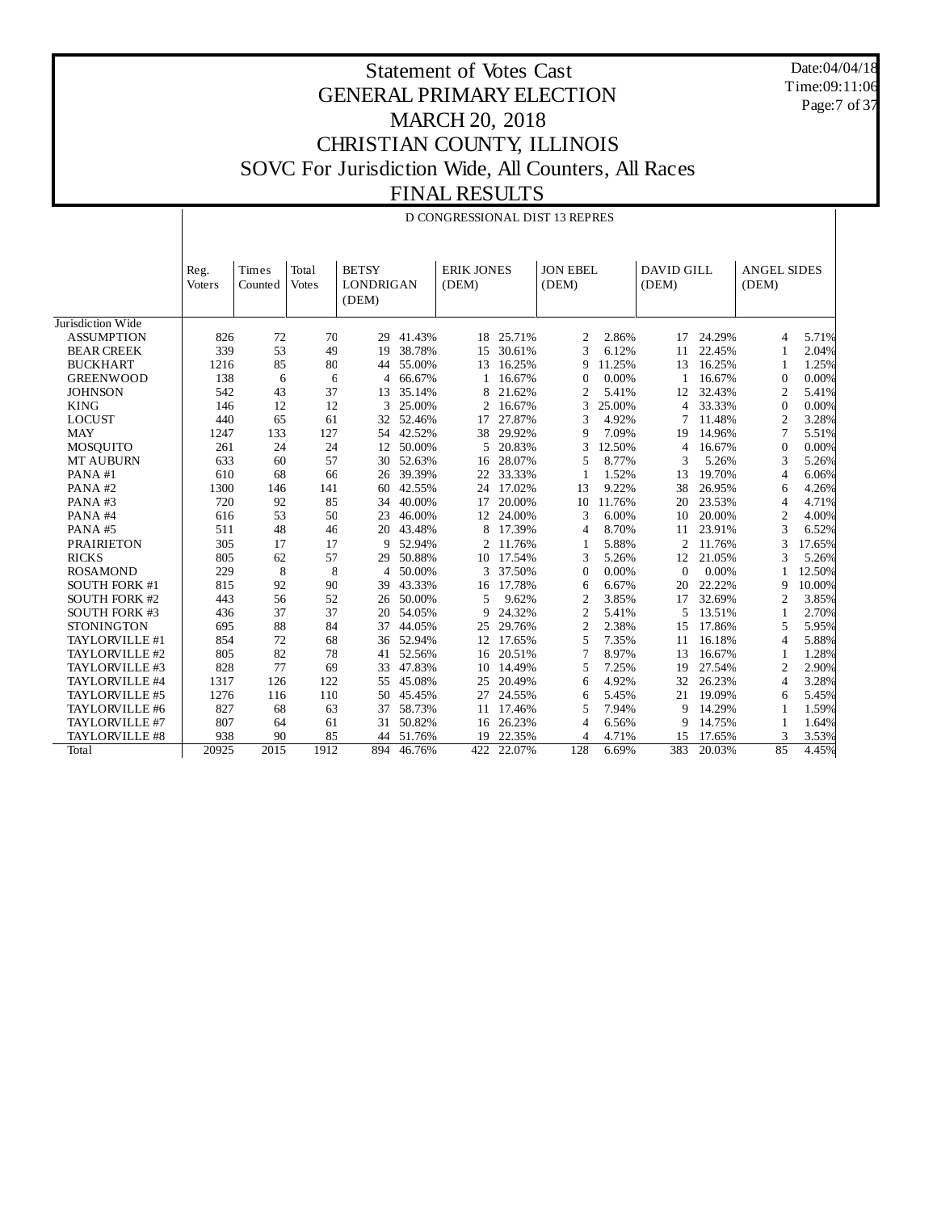Date:04/04/18 Time:09:11:06 Page:7 of 37

 $\mathbf{I}$ 

|                      |        |         |              |                  |        | D CONGRESSIONAL DIST 13 REPRES |           |                 |        |                   |        |                    |        |
|----------------------|--------|---------|--------------|------------------|--------|--------------------------------|-----------|-----------------|--------|-------------------|--------|--------------------|--------|
|                      | Reg.   | Times   | Total        | <b>BETSY</b>     |        | <b>ERIK JONES</b>              |           | <b>JON EBEL</b> |        | <b>DAVID GILL</b> |        | <b>ANGEL SIDES</b> |        |
|                      | Voters | Counted | <b>Votes</b> | <b>LONDRIGAN</b> |        | (DEM)                          |           | (DEM)           |        | (DEM)             |        | (DEM)              |        |
|                      |        |         |              | (DEM)            |        |                                |           |                 |        |                   |        |                    |        |
| Jurisdiction Wide    |        |         |              |                  |        |                                |           |                 |        |                   |        |                    |        |
| <b>ASSUMPTION</b>    | 826    | 72      | 70           | 29               | 41.43% |                                | 18 25.71% | $\overline{2}$  | 2.86%  | 17                | 24.29% | 4                  | 5.71%  |
| <b>BEAR CREEK</b>    | 339    | 53      | 49           | 19               | 38.78% | 15                             | 30.61%    | 3               | 6.12%  | 11                | 22.45% | $\mathbf{1}$       | 2.04%  |
| <b>BUCKHART</b>      | 1216   | 85      | 80           | 44               | 55.00% | 13                             | 16.25%    | g               | 11.25% | 13                | 16.25% | 1                  | 1.25%  |
| <b>GREENWOOD</b>     | 138    | 6       | 6            | $\overline{4}$   | 66.67% | $\mathbf{1}$                   | 16.67%    | C               | 0.00%  | 1                 | 16.67% | $\Omega$           | 0.00%  |
| <b>JOHNSON</b>       | 542    | 43      | 37           | 13               | 35.14% | 8                              | 21.62%    | $\overline{2}$  | 5.41%  | 12                | 32.43% | 2                  | 5.41%  |
| <b>KING</b>          | 146    | 12      | 12           | 3                | 25.00% | 2                              | 16.67%    | 3               | 25.00% | $\overline{4}$    | 33.33% | $\Omega$           | 0.00%  |
| <b>LOCUST</b>        | 440    | 65      | 61           | 32               | 52.46% | 17                             | 27.87%    | 3               | 4.92%  | 7                 | 11.48% | $\overline{2}$     | 3.28%  |
| <b>MAY</b>           | 1247   | 133     | 127          | 54               | 42.52% | 38                             | 29.92%    | $\mathsf{g}$    | 7.09%  | 19                | 14.96% | $\tau$             | 5.51%  |
| MOSQUITO             | 261    | 24      | 24           | 12               | 50.00% | 5                              | 20.83%    | 3               | 12.50% | $\overline{4}$    | 16.67% | $\overline{0}$     | 0.00%  |
| <b>MT AUBURN</b>     | 633    | 60      | 57           | 30               | 52.63% | 16                             | 28.07%    | 5               | 8.77%  | 3                 | 5.26%  | 3                  | 5.26%  |
| PANA#1               | 610    | 68      | 66           | 26               | 39.39% | 22                             | 33.33%    | 1               | 1.52%  | 13                | 19.70% | $\overline{4}$     | 6.06%  |
| PANA#2               | 1300   | 146     | 141          | 60               | 42.55% | 24                             | 17.02%    | 13              | 9.22%  | 38                | 26.95% | 6                  | 4.26%  |
| PANA#3               | 720    | 92      | 85           | 34               | 40.00% | 17                             | 20.00%    | 10              | 11.76% | 20                | 23.53% | $\overline{4}$     | 4.71%  |
| PANA#4               | 616    | 53      | 50           | 23               | 46.00% | 12                             | 24.00%    | 3               | 6.00%  | 10                | 20.00% | $\overline{2}$     | 4.00%  |
| PANA#5               | 511    | 48      | 46           | 20               | 43.48% | 8                              | 17.39%    | $\overline{4}$  | 8.70%  | 11                | 23.91% | 3                  | 6.52%  |
| <b>PRAIRIETON</b>    | 305    | 17      | 17           | 9                | 52.94% | 2                              | 11.76%    | 1               | 5.88%  | $\overline{2}$    | 11.76% | 3                  | 17.65% |
| <b>RICKS</b>         | 805    | 62      | 57           | 29               | 50.88% | 10                             | 17.54%    | 3               | 5.26%  | 12                | 21.05% | 3                  | 5.26%  |
| <b>ROSAMOND</b>      | 229    | 8       | 8            | $\overline{4}$   | 50.00% | 3                              | 37.50%    | $\mathbf{C}$    | 0.00%  | $\mathbf{0}$      | 0.00%  | 1                  | 12.50% |
| <b>SOUTH FORK #1</b> | 815    | 92      | 90           | 39               | 43.33% | 16                             | 17.78%    | 6               | 6.67%  | 20                | 22.22% | 9                  | 10.00% |
| <b>SOUTH FORK #2</b> | 443    | 56      | 52           | 26               | 50.00% | 5                              | 9.62%     | $\overline{2}$  | 3.85%  | 17                | 32.69% | $\overline{c}$     | 3.85%  |
| <b>SOUTH FORK #3</b> | 436    | 37      | 37           | 20               | 54.05% | 9                              | 24.32%    | $\overline{2}$  | 5.41%  | 5                 | 13.51% | 1                  | 2.70%  |
| <b>STONINGTON</b>    | 695    | 88      | 84           | 37               | 44.05% | 25                             | 29.76%    | $\overline{2}$  | 2.38%  | 15                | 17.86% | 5                  | 5.95%  |
| TAYLORVILLE #1       | 854    | 72      | 68           | 36               | 52.94% | 12                             | 17.65%    | 5               | 7.35%  | 11                | 16.18% | $\overline{4}$     | 5.88%  |
| TAYLORVILLE #2       | 805    | 82      | 78           | 41               | 52.56% | 16                             | 20.51%    | 7               | 8.97%  | 13                | 16.67% | 1                  | 1.28%  |
| TAYLORVILLE #3       | 828    | 77      | 69           | 33               | 47.83% | 10                             | 14.49%    | 5               | 7.25%  | 19                | 27.54% | $\overline{2}$     | 2.90%  |
| TAYLORVILLE #4       | 1317   | 126     | 122          | 55               | 45.08% | 25                             | 20.49%    | 6               | 4.92%  | 32                | 26.23% | 4                  | 3.28%  |
| TAYLORVILLE #5       | 1276   | 116     | 110          | 50               | 45.45% | 27                             | 24.55%    | 6               | 5.45%  | 21                | 19.09% | 6                  | 5.45%  |
| TAYLORVILLE #6       | 827    | 68      | 63           | 37               | 58.73% | 11                             | 17.46%    | 5               | 7.94%  | 9                 | 14.29% | 1                  | 1.59%  |
| TAYLORVILLE #7       | 807    | 64      | 61           | 31               | 50.82% | 16                             | 26.23%    | $\overline{4}$  | 6.56%  | 9                 | 14.75% | 1                  | 1.64%  |
| TAYLORVILLE #8       | 938    | 90      | 85           | 44               | 51.76% | 19                             | 22.35%    | 4               | 4.71%  | 15                | 17.65% | 3                  | 3.53%  |
| Total                | 20925  | 2015    | 1912         | 894              | 46.76% | 422                            | 22.07%    | 128             | 6.69%  | 383               | 20.03% | 85                 | 4.45%  |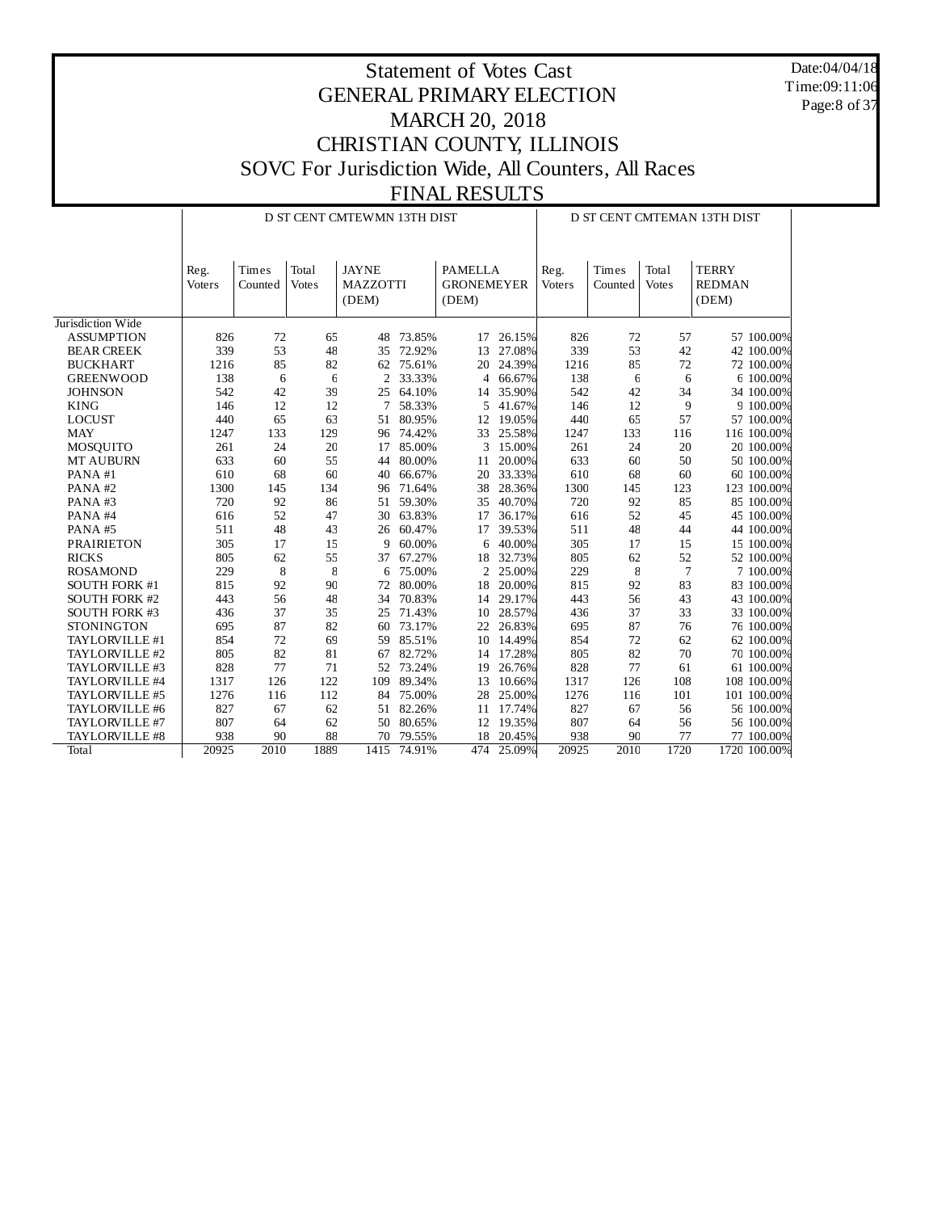Date:04/04/18 Time:09:11:06 Page:8 of 37

|                      |                |                   |                       | D ST CENT CMTEWMN 13TH DIST              |        |                                              |        | D ST CENT CMTEMAN 13TH DIST |                  |                       |                                        |
|----------------------|----------------|-------------------|-----------------------|------------------------------------------|--------|----------------------------------------------|--------|-----------------------------|------------------|-----------------------|----------------------------------------|
|                      | Reg.<br>Voters | Times<br>Counted  | Total<br><b>Votes</b> | <b>JAYNE</b><br><b>MAZZOTTI</b><br>(DEM) |        | <b>PAMELLA</b><br><b>GRONEMEYER</b><br>(DEM) |        | Reg.<br>Voters              | Times<br>Counted | Total<br><b>Votes</b> | <b>TERRY</b><br><b>REDMAN</b><br>(DEM) |
| Jurisdiction Wide    |                |                   |                       |                                          |        |                                              |        |                             |                  |                       |                                        |
| <b>ASSUMPTION</b>    | 826            | 72                | 65                    | 48                                       | 73.85% | 17                                           | 26.15% | 826                         | 72               | 57                    | 57 100.00%                             |
| <b>BEAR CREEK</b>    | 339            | 53                | 48                    | 35                                       | 72.92% | 13                                           | 27.08% | 339                         | 53               | 42                    | 42 100.00%                             |
| <b>BUCKHART</b>      | 1216           | 85                | 82                    | 62                                       | 75.61% | 20                                           | 24.39% | 1216                        | 85               | 72                    | 72 100.00%                             |
| <b>GREENWOOD</b>     | 138            | 6                 | 6                     | $\overline{2}$                           | 33.33% | $\overline{4}$                               | 66.67% | 138                         | 6                | 6                     | 6 100.00%                              |
| <b>JOHNSON</b>       | 542            | 42                | 39                    | 25                                       | 64.10% | 14                                           | 35.90% | 542                         | 42               | 34                    | 34 100.00%                             |
| <b>KING</b>          | 146            | 12                | 12                    | 7                                        | 58.33% | 5                                            | 41.67% | 146                         | 12               | 9                     | 9 100.00%                              |
| <b>LOCUST</b>        | 440            | 65                | 63                    | 51                                       | 80.95% | 12                                           | 19.05% | 440                         | 65               | 57                    | 57 100.00%                             |
| <b>MAY</b>           | 1247           | 133               | 129                   | 96                                       | 74.42% | 33                                           | 25.58% | 1247                        | 133              | 116                   | 116 100.00%                            |
| MOSQUITO             | 261            | 24                | 20                    | 17                                       | 85.00% | 3                                            | 15.00% | 261                         | 24               | 20                    | 20 100.00%                             |
| MT AUBURN            | 633            | 60                | 55                    | 44                                       | 80.00% | 11                                           | 20.00% | 633                         | 60               | 50                    | 50 100.00%                             |
| PANA#1               | 610            | 68                | 60                    | 40                                       | 66.67% | 20                                           | 33.33% | 610                         | 68               | 60                    | 60 100.00%                             |
| PANA#2               | 1300           | 145               | 134                   | 96                                       | 71.64% | 38                                           | 28.36% | 1300                        | 145              | 123                   | 123 100.00%                            |
| PANA#3               | 720            | 92                | 86                    | 51                                       | 59.30% | 35                                           | 40.70% | 720                         | 92               | 85                    | 85 100.00%                             |
| PANA#4               | 616            | 52                | 47                    | 30                                       | 63.83% | 17                                           | 36.17% | 616                         | 52               | 45                    | 45 100.00%                             |
| PANA#5               | 511            | 48                | 43                    | 26                                       | 60.47% | 17                                           | 39.53% | 511                         | 48               | 44                    | 44 100.00%                             |
| <b>PRAIRIETON</b>    | 305            | 17                | 15                    | 9                                        | 60.00% | 6                                            | 40.00% | 305                         | 17               | 15                    | 15 100,00%                             |
| <b>RICKS</b>         | 805            | 62                | 55                    | 37                                       | 67.27% | 18                                           | 32.73% | 805                         | 62               | 52                    | 52 100.00%                             |
| <b>ROSAMOND</b>      | 229            | 8                 | 8                     | 6                                        | 75.00% | $\overline{c}$                               | 25.00% | 229                         | 8                | $7\phantom{.0}$       | 7 100,00%                              |
| <b>SOUTH FORK #1</b> | 815            | 92                | 90                    | 72                                       | 80.00% | 18                                           | 20.00% | 815                         | 92               | 83                    | 83 100.00%                             |
| <b>SOUTH FORK #2</b> | 443            | 56                | 48                    | 34                                       | 70.83% | 14                                           | 29.17% | 443                         | 56               | 43                    | 43 100.00%                             |
| <b>SOUTH FORK #3</b> | 436            | 37                | 35                    | 25                                       | 71.43% | 10                                           | 28.57% | 436                         | 37               | 33                    | 33 100.00%                             |
| <b>STONINGTON</b>    | 695            | 87                | 82                    | 60                                       | 73.17% | 22                                           | 26.83% | 695                         | 87               | 76                    | 76 100.00%                             |
| TAYLORVILLE #1       | 854            | 72                | 69                    | 59                                       | 85.51% | 10                                           | 14.49% | 854                         | 72               | 62                    | 62 100.00%                             |
| TAYLORVILLE #2       | 805            | 82                | 81                    | 67                                       | 82.72% | 14                                           | 17.28% | 805                         | 82               | 70                    | 70 100.00%                             |
| TAYLORVILLE #3       | 828            | 77                | 71                    | 52                                       | 73.24% | 19                                           | 26.76% | 828                         | 77               | 61                    | 61 100.00%                             |
| TAYLORVILLE #4       | 1317           | 126               | 122                   | 109                                      | 89.34% | 13                                           | 10.66% | 1317                        | 126              | 108                   | 108 100.00%                            |
| TAYLORVILLE #5       | 1276           | 116               | 112                   | 84                                       | 75.00% | 28                                           | 25.00% | 1276                        | 116              | 101                   | 101 100.00%                            |
| TAYLORVILLE #6       | 827            | 67                | 62                    | 51                                       | 82.26% | 11                                           | 17.74% | 827                         | 67               | 56                    | 56 100.00%                             |
| TAYLORVILLE #7       | 807            | 64                | 62                    | 50                                       | 80.65% | 12                                           | 19.35% | 807                         | 64               | 56                    | 56 100.00%                             |
| TAYLORVILLE #8       | 938            | 90                | 88                    | 70                                       | 79.55% | 18                                           | 20.45% | 938                         | 90               | 77                    | 77 100.00%                             |
| Total                | 20925          | $\overline{2010}$ | 1889                  | 1415                                     | 74.91% | 474                                          | 25.09% | 20925                       | 2010             | 1720                  | 1720 100.00%                           |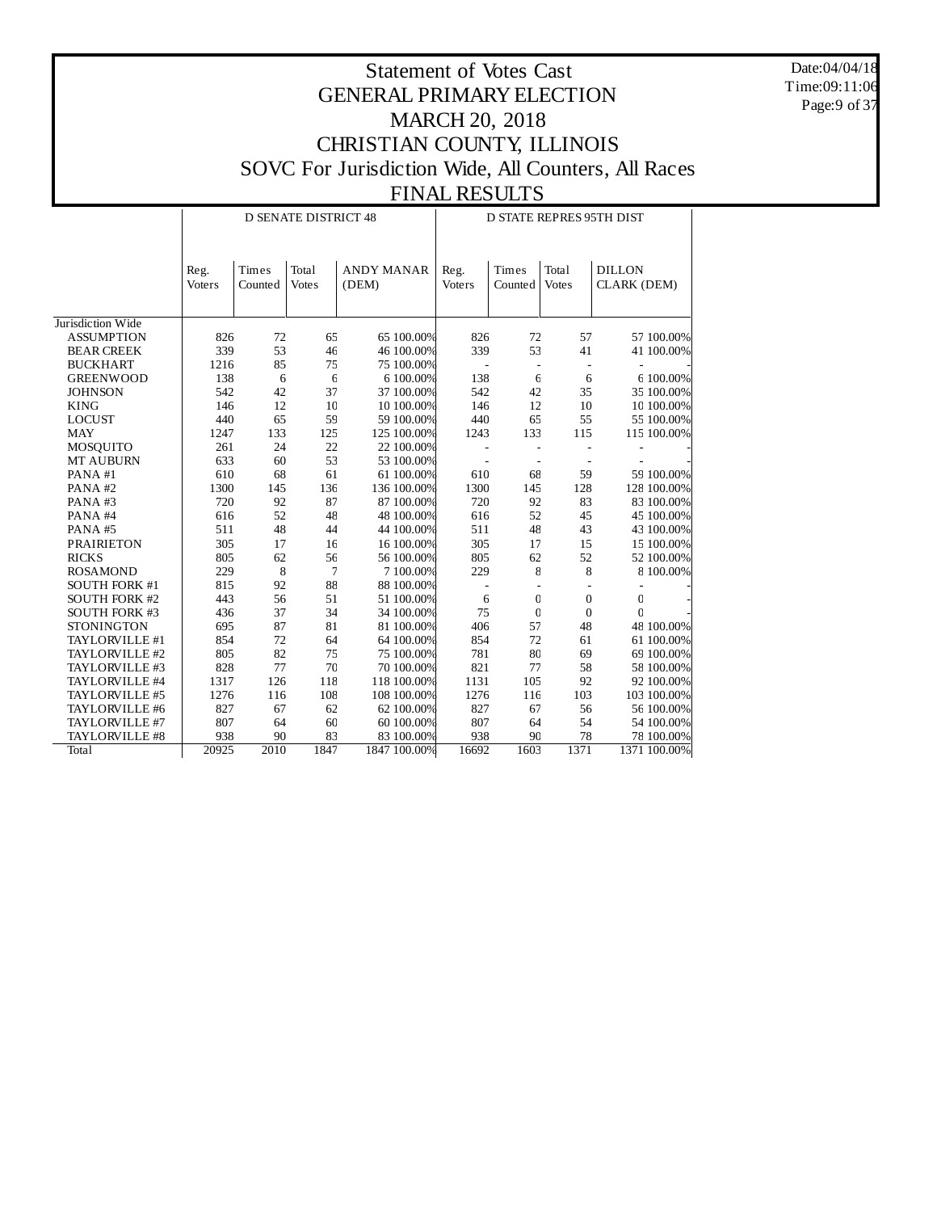Date:04/04/18 Time:09:11:06 Page: 9 of 37

|                      |                |                  | <b>D SENATE DISTRICT 48</b> |                            |                |                          |                       | D STATE REPRES 95TH DIST     |
|----------------------|----------------|------------------|-----------------------------|----------------------------|----------------|--------------------------|-----------------------|------------------------------|
|                      | Reg.<br>Voters | Times<br>Counted | Total<br><b>Votes</b>       | <b>ANDY MANAR</b><br>(DEM) | Reg.<br>Voters | Times<br>Counted         | Total<br><b>Votes</b> | <b>DILLON</b><br>CLARK (DEM) |
| Jurisdiction Wide    |                |                  |                             |                            |                |                          |                       |                              |
| <b>ASSUMPTION</b>    | 826            | 72               | 65                          | 65 100.00%                 | 826            | 72                       | 57                    | 57 100.00%                   |
| <b>BEAR CREEK</b>    | 339            | 53               | 46                          | 46 100.00%                 | 339            | 53                       | 41                    | 41 100.00%                   |
| <b>BUCKHART</b>      | 1216           | 85               | 75                          | 75 100.00%                 |                | $\overline{\phantom{a}}$ |                       |                              |
| <b>GREENWOOD</b>     | 138            | 6                | $\epsilon$                  | 6 100.00%                  | 138            | $\epsilon$               | 6                     | 6 100.00%                    |
| <b>JOHNSON</b>       | 542            | 42               | 37                          | 37 100.00%                 | 542            | 42                       | 35                    | 35 100.00%                   |
| <b>KING</b>          | 146            | 12               | 10                          | 10 100.00%                 | 146            | 12                       | 10                    | 10 100.00%                   |
| <b>LOCUST</b>        | 440            | 65               | 59                          | 59 100.00%                 | 440            | 65                       | 55                    | 55 100.00%                   |
| <b>MAY</b>           | 1247           | 133              | 125                         | 125 100.00%                | 1243           | 133                      | 115                   | 115 100.00%                  |
| MOSQUITO             | 261            | 24               | 22                          | 22 100.00%                 |                |                          |                       |                              |
| MT AUBURN            | 633            | 60               | 53                          | 53 100.00%                 |                |                          |                       |                              |
| PANA#1               | 610            | 68               | 61                          | 61 100.00%                 | 610            | 68                       | 59                    | 59 100.00%                   |
| PANA#2               | 1300           | 145              | 136                         | 136 100.00%                | 1300           | 145                      | 128                   | 128 100.00%                  |
| PANA#3               | 720            | 92               | 87                          | 87 100.00%                 | 720            | 92                       | 83                    | 83 100.00%                   |
| PANA#4               | 616            | 52               | 48                          | 48 100.00%                 | 616            | 52                       | 45                    | 45 100.00%                   |
| PANA#5               | 511            | 48               | 44                          | 44 100,00%                 | 511            | 48                       | 43                    | 43 100.00%                   |
| <b>PRAIRIETON</b>    | 305            | 17               | 16                          | 16 100.00%                 | 305            | 17                       | 15                    | 15 100.00%                   |
| <b>RICKS</b>         | 805            | 62               | 56                          | 56 100.00%                 | 805            | 62                       | 52                    | 52 100.00%                   |
| <b>ROSAMOND</b>      | 229            | 8                | $\overline{7}$              | 7 100.00%                  | 229            | 8                        | 8                     | 8 100.00%                    |
| <b>SOUTH FORK #1</b> | 815            | 92               | 88                          | 88 100.00%                 |                |                          |                       |                              |
| <b>SOUTH FORK #2</b> | 443            | 56               | 51                          | 51 100.00%                 | 6              | $\mathbf{0}$             | $\mathbf{0}$          | $\mathbf 0$                  |
| <b>SOUTH FORK #3</b> | 436            | 37               | 34                          | 34 100.00%                 | 75             | $\mathbf{0}$             | $\mathbf{0}$          | $\mathbf{C}$                 |
| <b>STONINGTON</b>    | 695            | 87               | 81                          | 81 100.00%                 | 406            | 57                       | 48                    | 48 100.00%                   |
| TAYLORVILLE #1       | 854            | 72               | 64                          | 64 100.00%                 | 854            | 72                       | 61                    | 61 100.00%                   |
| TAYLORVILLE #2       | 805            | 82               | 75                          | 75 100.00%                 | 781            | 80                       | 69                    | 69 100.00%                   |
| TAYLORVILLE #3       | 828            | 77               | 70                          | 70 100.00%                 | 821            | 77                       | 58                    | 58 100.00%                   |
| TAYLORVILLE #4       | 1317           | 126              | 118                         | 118 100.00%                | 1131           | 105                      | 92                    | 92 100.00%                   |
| TAYLORVILLE #5       | 1276           | 116              | 108                         | 108 100.00%                | 1276           | 116                      | 103                   | 103 100.00%                  |
| TAYLORVILLE #6       | 827            | 67               | 62                          | 62 100.00%                 | 827            | 67                       | 56                    | 56 100.00%                   |
| TAYLORVILLE #7       | 807            | 64               | 60                          | 60 100.00%                 | 807            | 64                       | 54                    | 54 100.00%                   |
| TAYLORVILLE #8       | 938            | 90               | 83                          | 83 100.00%                 | 938            | 90                       | 78                    | 78 100.00%                   |
| <b>Total</b>         | 20925          | 2010             | 1847                        | 1847 100.00%               | 16692          | 1603                     | 1371                  | 1371 100.00%                 |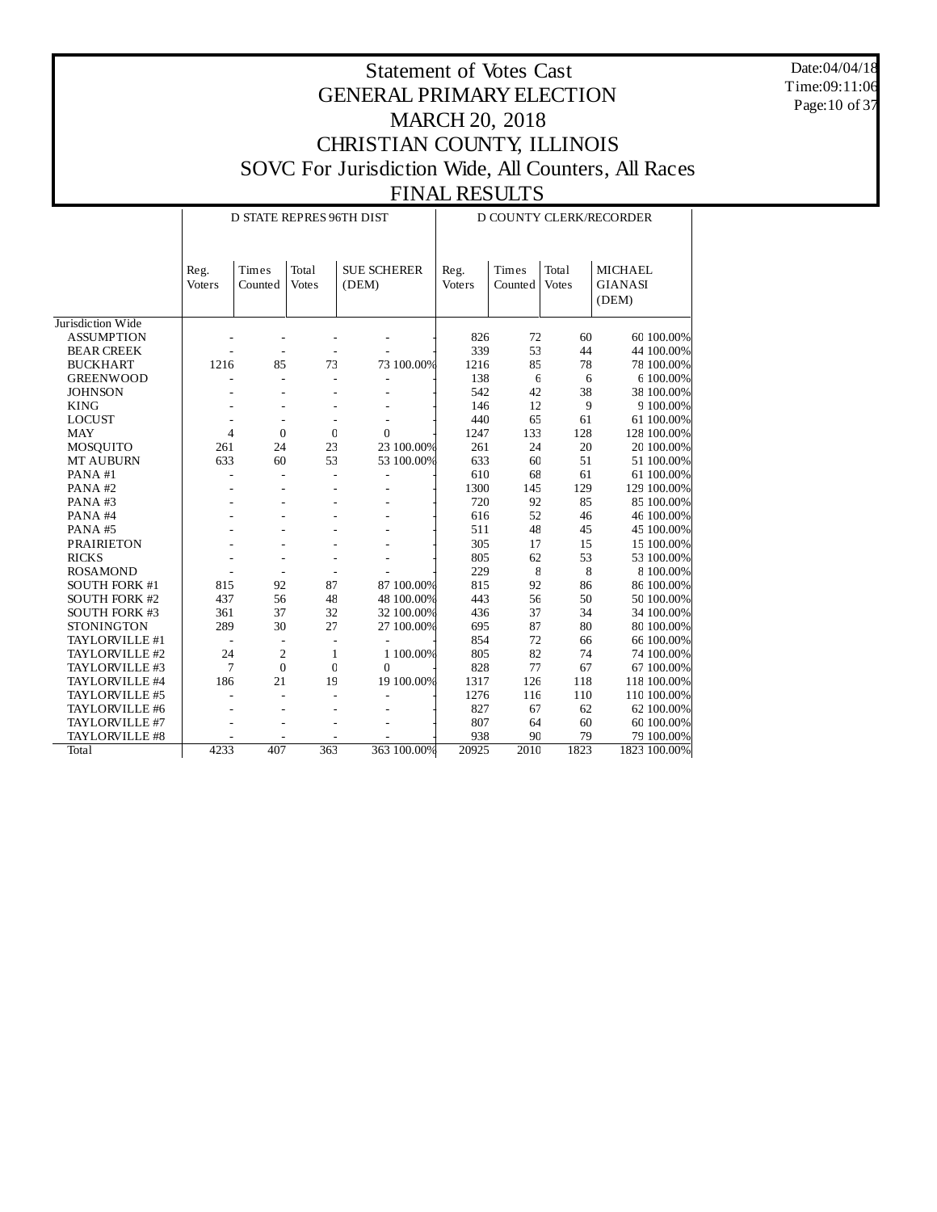Date:04/04/18 Time:09:11:06 Page:10 of 37

|                      |                |                  | <b>D STATE REPRES 96TH DIST</b> |                             |                |                        |                       | D COUNTY CLERK/RECORDER          |
|----------------------|----------------|------------------|---------------------------------|-----------------------------|----------------|------------------------|-----------------------|----------------------------------|
|                      | Reg.<br>Voters | Times<br>Counted | Total<br><b>Votes</b>           | <b>SUE SCHERER</b><br>(DEM) | Reg.<br>Voters | $\rm Times$<br>Counted | Total<br><b>Votes</b> | <b>MICHAEL</b><br><b>GIANASI</b> |
|                      |                |                  |                                 |                             |                |                        |                       | (DEM)                            |
|                      |                |                  |                                 |                             |                |                        |                       |                                  |
| Jurisdiction Wide    |                |                  |                                 |                             |                |                        |                       |                                  |
| <b>ASSUMPTION</b>    |                |                  |                                 |                             | 826            | 72                     | 60                    | 60 100.00%                       |
| <b>BEAR CREEK</b>    |                |                  |                                 |                             | 339            | 53                     | 44                    | 44 100.00%                       |
| <b>BUCKHART</b>      | 1216           | 85               | 73                              | 73 100.00%                  | 1216           | 85                     | 78                    | 78 100.00%                       |
| <b>GREENWOOD</b>     |                |                  |                                 |                             | 138            | 6                      | 6                     | 6 100.00%                        |
| <b>JOHNSON</b>       |                |                  |                                 |                             | 542            | 42                     | 38                    | 38 100.00%                       |
| <b>KING</b>          |                |                  |                                 |                             | 146            | 12                     | 9                     | 9 100.00%                        |
| <b>LOCUST</b>        |                |                  |                                 |                             | 440            | 65                     | 61                    | 61 100.00%                       |
| <b>MAY</b>           | $\overline{4}$ | $\mathbf{0}$     | $\mathbf 0$                     | $\Omega$                    | 1247           | 133                    | 128                   | 128 100.00%                      |
| <b>MOSQUITO</b>      | 261            | 24               | 23                              | 23 100.00%                  | 261            | 24                     | 20                    | 20 100.00%                       |
| MT AUBURN            | 633            | 60               | 53                              | 53 100.00%                  | 633            | 60                     | 51                    | 51 100.00%                       |
| PANA#1               |                |                  |                                 |                             | 610            | 68                     | 61                    | 61 100.00%                       |
| PANA#2               |                |                  |                                 |                             | 1300           | 145                    | 129                   | 129 100.00%                      |
| PANA#3               |                |                  |                                 |                             | 720            | 92                     | 85                    | 85 100.00%                       |
| PANA#4               |                |                  |                                 |                             | 616            | 52                     | 46                    | 46 100.00%                       |
| PANA#5               |                |                  |                                 |                             | 511            | 48                     | 45                    | 45 100.00%                       |
| <b>PRAIRIETON</b>    |                |                  |                                 |                             | 305            | 17                     | 15                    | 15 100.00%                       |
| <b>RICKS</b>         |                |                  |                                 |                             | 805            | 62                     | 53                    | 53 100.00%                       |
| <b>ROSAMOND</b>      |                |                  |                                 |                             | 229            | 8                      | 8                     | 8 100.00%                        |
| <b>SOUTH FORK #1</b> | 815            | 92               | 87                              | 87 100.00%                  | 815            | 92                     | 86                    | 86 100.00%                       |
| <b>SOUTH FORK #2</b> | 437            | 56               | 48                              | 48 100.00%                  | 443            | 56                     | 50                    | 50 100.00%                       |
| <b>SOUTH FORK #3</b> | 361            | 37               | 32                              | 32 100.00%                  | 436            | 37                     | 34                    | 34 100.00%                       |
| <b>STONINGTON</b>    | 289            | 30               | 27                              | 27 100.00%                  | 695            | 87                     | 80                    | 80 100.00%                       |
| TAYLORVILLE #1       |                |                  |                                 |                             | 854            | 72                     | 66                    | 66 100.00%                       |
| TAYLORVILLE #2       | 24             | $\overline{2}$   | $\mathbf{1}$                    | 1 100.00%                   | 805            | 82                     | 74                    | 74 100.00%                       |
| TAYLORVILLE #3       | 7              | $\overline{0}$   | $\mathbf 0$                     | $\Omega$                    | 828            | 77                     | 67                    | 67 100.00%                       |
| TAYLORVILLE #4       | 186            | 21               | 19                              | 19 100.00%                  | 1317           | 126                    | 118                   | 118 100.00%                      |
| TAYLORVILLE #5       |                |                  |                                 |                             | 1276           | 116                    | 110                   | 110 100.00%                      |
| TAYLORVILLE #6       |                |                  |                                 |                             | 827            | 67                     | 62                    | 62 100.00%                       |
| TAYLORVILLE #7       |                |                  |                                 |                             | 807            | 64                     | 60                    | 60 100.00%                       |
| TAYLORVILLE #8       |                |                  |                                 |                             | 938            | 90                     | 79                    | 79 100.00%                       |
| <b>Total</b>         | 4233           | 407              | 363                             | 363 100.00%                 | 20925          | 2010                   | 1823                  | 1823 100.00%                     |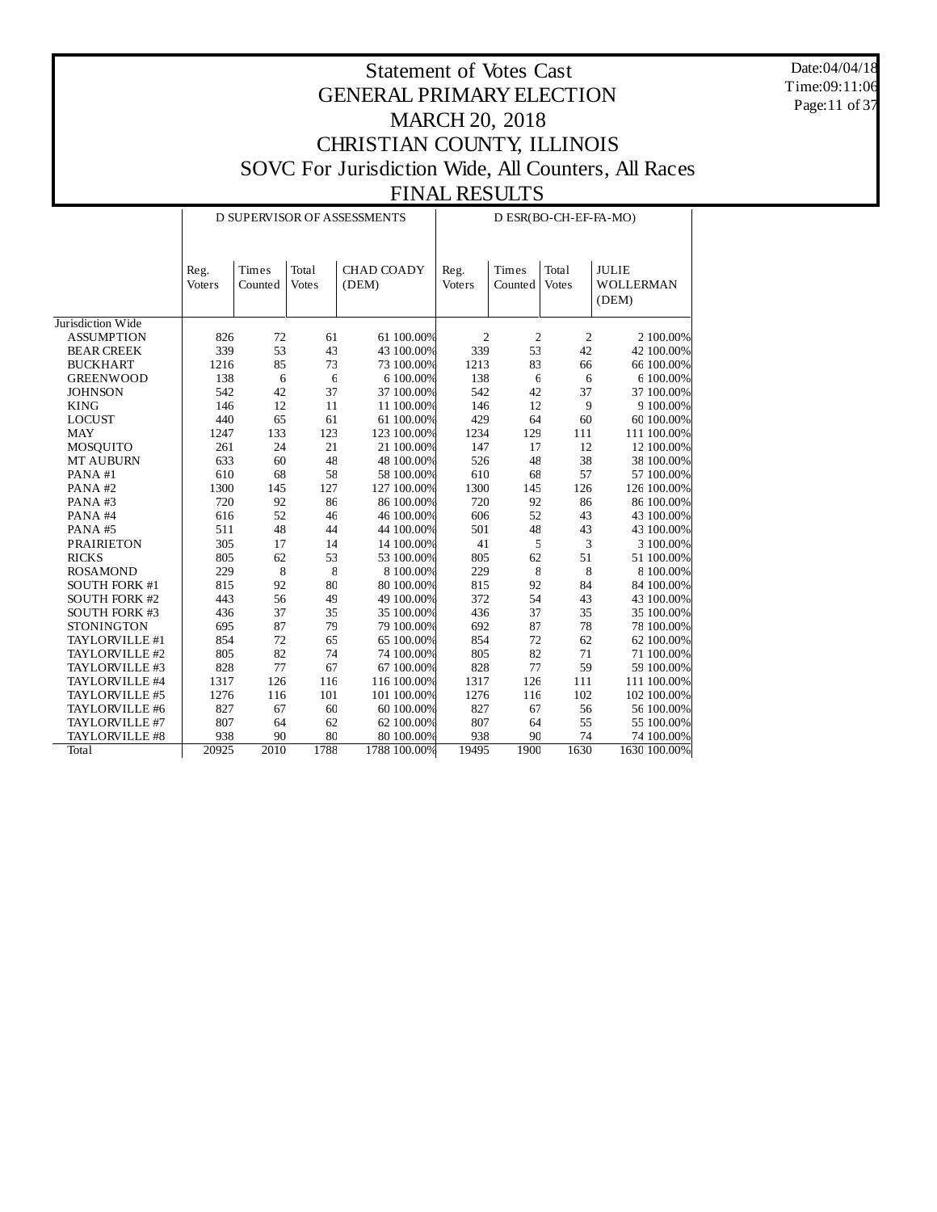Date:04/04/18 Time:09:11:06 Page:11 of 37

|                      |                |                  |                       | D SUPERVISOR OF ASSESSMENTS |                |                                  | D ESR(BO-CH-EF-FA-MO) |                                           |
|----------------------|----------------|------------------|-----------------------|-----------------------------|----------------|----------------------------------|-----------------------|-------------------------------------------|
|                      | Reg.<br>Voters | Times<br>Counted | Total<br><b>Votes</b> | <b>CHAD COADY</b><br>(DEM)  | Reg.<br>Voters | Times<br>Counted                 | Total<br><b>Votes</b> | <b>JULIE</b><br><b>WOLLERMAN</b><br>(DEM) |
| Jurisdiction Wide    |                |                  |                       |                             |                |                                  |                       |                                           |
| <b>ASSUMPTION</b>    | 826            | 72               | 61                    | 61 100.00%                  |                | $\overline{2}$<br>$\overline{2}$ | $\boldsymbol{2}$      | 2 100.00%                                 |
| <b>BEAR CREEK</b>    | 339            | 53               | 43                    | 43 100.00%                  | 339            | 53                               | 42                    | 42 100.00%                                |
| <b>BUCKHART</b>      | 1216           | 85               | 73                    | 73 100.00%                  | 1213           | 83                               | 66                    | 66 100.00%                                |
| <b>GREENWOOD</b>     | 138            | 6                | $\epsilon$            | 6 100.00%                   | 138            | 6                                | 6                     | 6 100.00%                                 |
| <b>JOHNSON</b>       | 542            | 42               | 37                    | 37 100.00%                  | 542            | 42                               | 37                    | 37 100.00%                                |
| <b>KING</b>          | 146            | 12               | 11                    | 11 100.00%                  | 146            | 12                               | 9                     | 9 100.00%                                 |
| <b>LOCUST</b>        | 440            | 65               | 61                    | 61 100.00%                  | 429            | 64                               | 60                    | 60 100.00%                                |
| <b>MAY</b>           | 1247           | 133              | 123                   | 123 100.00%                 | 1234           | 129                              | 111                   | 111 100.00%                               |
| MOSQUITO             | 261            | 24               | 21                    | 21 100.00%                  | 147            | 17                               | 12                    | 12 100.00%                                |
| <b>MT AUBURN</b>     | 633            | 60               | 48                    | 48 100.00%                  | 526            | 48                               | 38                    | 38 100.00%                                |
| PANA#1               | 610            | 68               | 58                    | 58 100.00%                  | 610            | 68                               | 57                    | 57 100.00%                                |
| PANA#2               | 1300           | 145              | 127                   | 127 100.00%                 | 1300           | 145                              | 126                   | 126 100.00%                               |
| PANA#3               | 720            | 92               | 86                    | 86 100.00%                  | 720            | 92                               | 86                    | 86 100.00%                                |
| PANA#4               | 616            | 52               | 46                    | 46 100.00%                  | 606            | 52                               | 43                    | 43 100.00%                                |
| PANA#5               | 511            | 48               | 44                    | 44 100.00%                  | 501            | 48                               | 43                    | 43 100.00%                                |
| <b>PRAIRIETON</b>    | 305            | 17               | 14                    | 14 100.00%                  | 41             | 5                                | 3                     | 3 100.00%                                 |
| <b>RICKS</b>         | 805            | 62               | 53                    | 53 100.00%                  | 805            | 62                               | 51                    | 51 100.00%                                |
| <b>ROSAMOND</b>      | 229            | 8                | 8                     | 8 100.00%                   | 229            | 8                                | 8                     | 8 100.00%                                 |
| <b>SOUTH FORK #1</b> | 815            | 92               | 80                    | 80 100.00%                  | 815            | 92                               | 84                    | 84 100.00%                                |
| <b>SOUTH FORK #2</b> | 443            | 56               | 49                    | 49 100.00%                  | 372            | 54                               | 43                    | 43 100.00%                                |
| <b>SOUTH FORK #3</b> | 436            | 37               | 35                    | 35 100.00%                  | 436            | 37                               | 35                    | 35 100.00%                                |
| <b>STONINGTON</b>    | 695            | 87               | 79                    | 79 100.00%                  | 692            | 87                               | $78\,$                | 78 100.00%                                |
| TAYLORVILLE #1       | 854            | 72               | 65                    | 65 100.00%                  | 854            | 72                               | 62                    | 62 100.00%                                |
| TAYLORVILLE #2       | 805            | 82               | 74                    | 74 100.00%                  | 805            | 82                               | 71                    | 71 100.00%                                |
| TAYLORVILLE #3       | 828            | 77               | 67                    | 67 100.00%                  | 828            | 77                               | 59                    | 59 100.00%                                |
| TAYLORVILLE #4       | 1317           | 126              | 116                   | 116 100.00%                 | 1317           | 126                              | 111                   | 111 100.00%                               |
| TAYLORVILLE #5       | 1276           | 116              | 101                   | 101 100.00%                 | 1276           | 116                              | 102                   | 102 100.00%                               |
| TAYLORVILLE #6       | 827            | 67               | 60                    | 60 100.00%                  | 827            | 67                               | 56                    | 56 100.00%                                |
| TAYLORVILLE #7       | 807            | 64               | 62                    | 62 100.00%                  | 807            | 64                               | 55                    | 55 100.00%                                |
| TAYLORVILLE #8       | 938            | 90               | 80                    | 80 100.00%                  | 938            | 90                               | 74                    | 74 100.00%                                |
| <b>Total</b>         | 20925          | 2010             | 1788                  | 1788 100.00%                | 19495          | 1900                             | 1630                  | 1630 100.00%                              |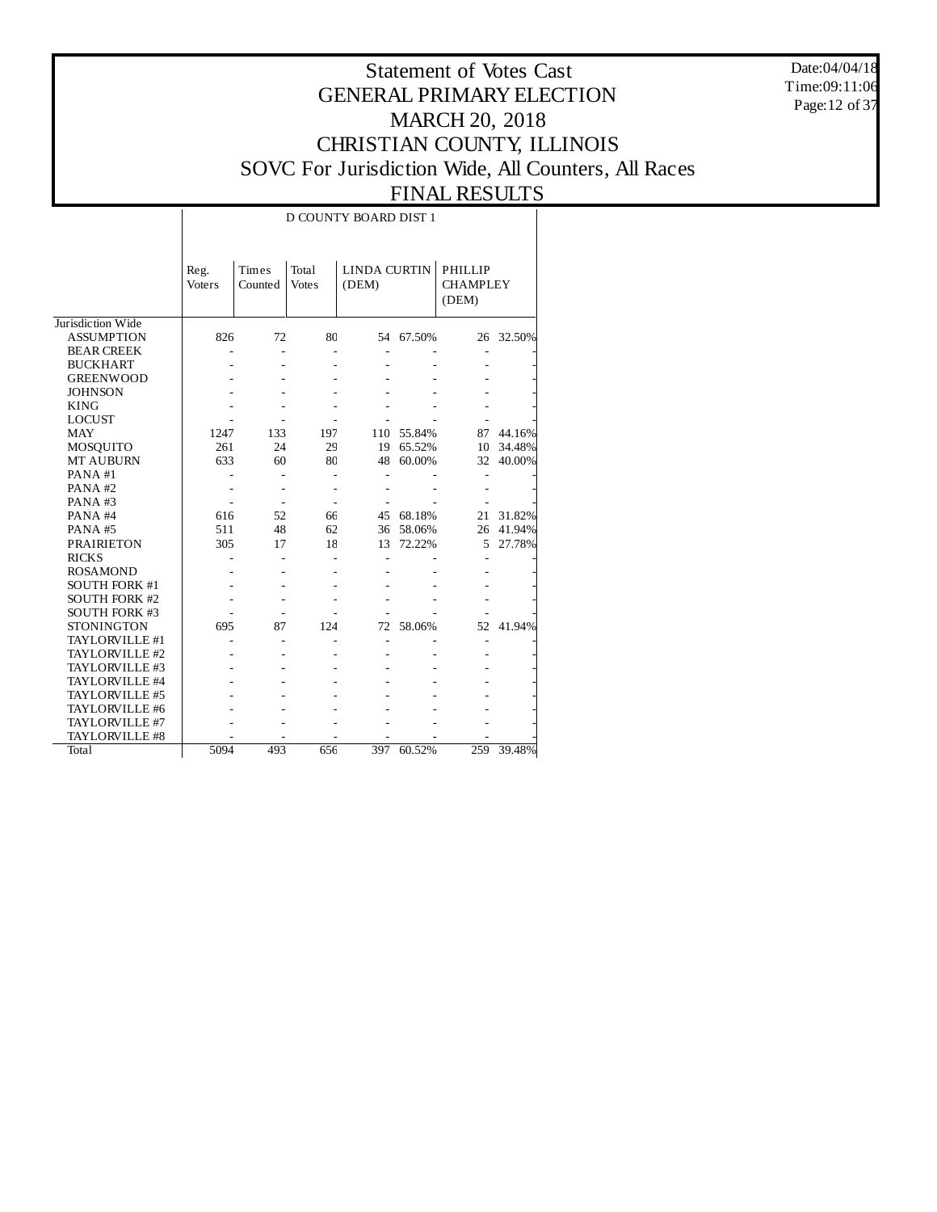Date:04/04/18 Time:09:11:06 Page:12 of 37

#### Statement of Votes Cast GENERAL PRIMARY ELECTION MARCH 20, 2018 CHRISTIAN COUNTY, ILLINOIS SOVC For Jurisdiction Wide, All Counters, All Races FINAL RESULTS

#### Jurisdiction Wide ASSUMPTION BEAR CREEK BUCKHART GREENWOOD **JOHNSON** KING LOCUST MAY MOSQUITO MT AUBURN PANA #1 PANA #2 PANA #3 PANA #4 PANA #5 PRAIRIETON RICKS ROSAMOND SOUTH FORK #1 SOUTH FORK #2 SOUTH FORK #3 STONINGTON TAYLORVILLE #1 TAYLORVILLE #2 TAYLORVILLE #3 TAYLORVILLE #4 TAYLORVILLE #5 TAYLORVILLE #6 TAYLORVILLE #7 TAYLORVILLE #8 **Total** Reg. Voters Times Counted Votes Total LINDA CURTIN PHILLIP (DEM) **CHAMPLEY** (DEM) D COUNTY BOARD DIST 1 826 72 80 54 67.50% 26 32.50% - - - - - - - - - - - - - - - - - - - - - - - - - - - - - - - - - - - - - - - - - - 1247 133 197 110 55.84% 87 44.16% 261 24 29 19 65.52% 10 34.48% 48 60.00% - - - - - - - - - - - - - - - - - - - - - 616 52 66 45 68.18% 21 31.82% 511 48 62 36 58.06% 26 41.94% 17 18 13 72.22% - - - - - - - - - - - - - - - - - - - - - - - - - - - - - - - - - - - 695 87 124 72 58.06% 52 41.94% - - - - - - - - - - - - - - - - - - - - - - - - - - - - - - - - - - - - - - - - - - - - - - - - - - - - - - - - 5094 493 656 397 60.52% 259 39.48%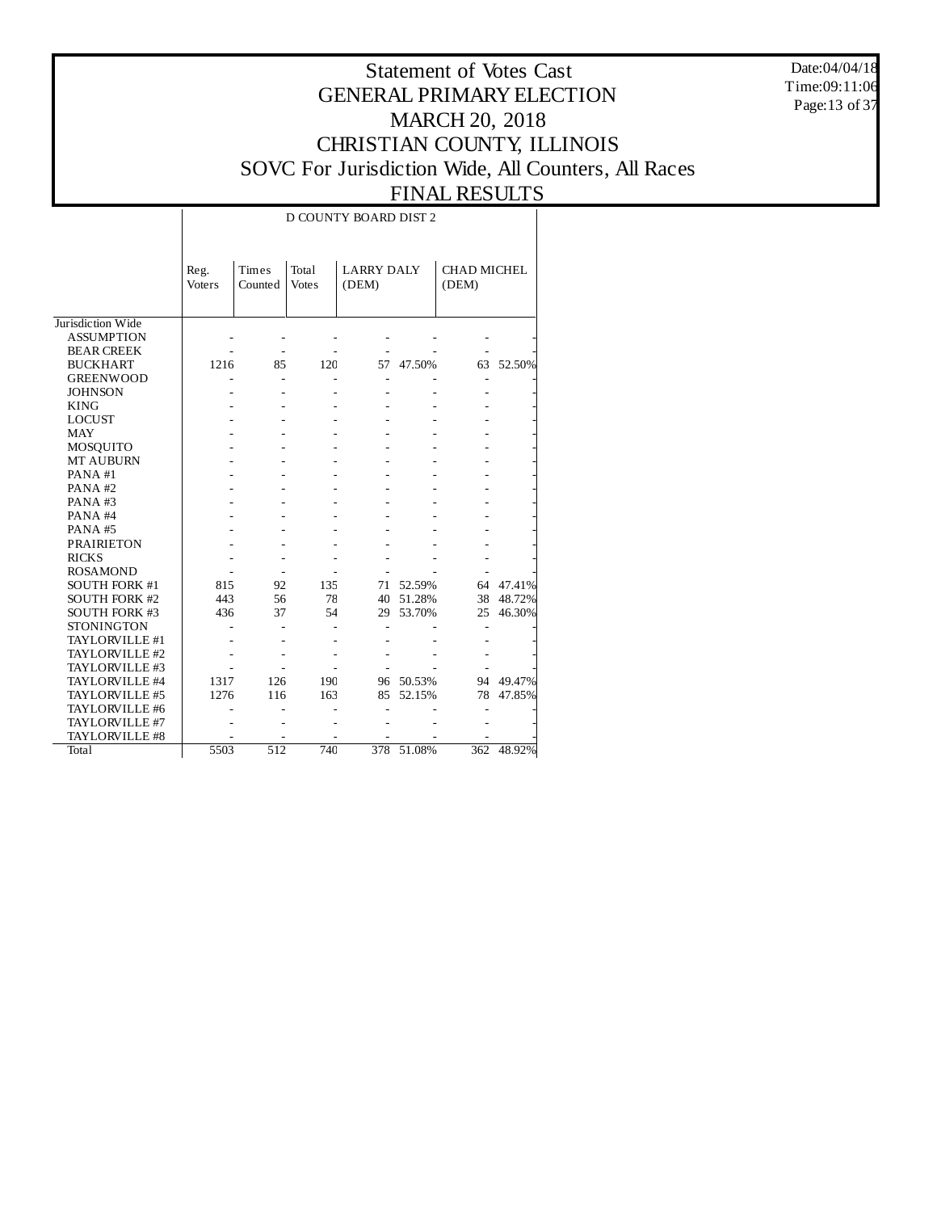Date:04/04/18 Time:09:11:06 Page:13 of 37

## Statement of Votes Cast GENERAL PRIMARY ELECTION MARCH 20, 2018 CHRISTIAN COUNTY, ILLINOIS SOVC For Jurisdiction Wide, All Counters, All Races FINAL RESULTS

# D COUNTY BOARD DIST 2

|                      | Reg.   | Times   | Total        | <b>LARRY DALY</b> |        | <b>CHAD MICHEL</b> |        |
|----------------------|--------|---------|--------------|-------------------|--------|--------------------|--------|
|                      | Voters | Counted | <b>Votes</b> | (DEM)             |        | (DEM)              |        |
|                      |        |         |              |                   |        |                    |        |
| Jurisdiction Wide    |        |         |              |                   |        |                    |        |
| <b>ASSUMPTION</b>    |        |         |              |                   |        |                    |        |
| <b>BEAR CREEK</b>    |        |         |              |                   |        |                    |        |
| <b>BUCKHART</b>      | 1216   |         |              | 57                |        |                    |        |
|                      |        | 85      | 120          |                   | 47.50% | 63                 | 52.50% |
| <b>GREENWOOD</b>     |        |         |              |                   |        |                    |        |
| <b>JOHNSON</b>       |        |         |              |                   |        |                    |        |
| <b>KING</b>          |        |         |              |                   |        |                    |        |
| <b>LOCUST</b>        |        |         |              |                   |        |                    |        |
| <b>MAY</b>           |        |         |              |                   |        |                    |        |
| MOSQUITO             |        |         |              |                   |        |                    |        |
| <b>MT AUBURN</b>     |        |         |              |                   |        |                    |        |
| PANA#1               |        |         |              |                   |        |                    |        |
| PANA#2               |        |         |              |                   |        |                    |        |
| PANA#3               |        |         |              |                   |        |                    |        |
| PANA#4               |        |         |              |                   |        |                    |        |
| <b>PANA#5</b>        |        |         |              |                   |        |                    |        |
| <b>PRAIRIETON</b>    |        |         |              |                   |        |                    |        |
| <b>RICKS</b>         |        |         |              |                   |        |                    |        |
| <b>ROSAMOND</b>      |        |         |              |                   |        |                    |        |
| <b>SOUTH FORK #1</b> | 815    | 92      | 135          | 71                | 52.59% | 64                 | 47.41% |
| <b>SOUTH FORK #2</b> | 443    | 56      | 78           | 40                | 51.28% | 38                 | 48.72% |
| <b>SOUTH FORK #3</b> | 436    | 37      | 54           | 29                | 53.70% | 25                 | 46.30% |
| <b>STONINGTON</b>    |        |         |              |                   |        |                    |        |
| TAYLORVILLE #1       |        |         |              |                   |        |                    |        |
| TAYLORVILLE #2       |        |         |              |                   |        |                    |        |
| TAYLORVILLE #3       |        |         |              |                   |        |                    |        |
| TAYLORVILLE #4       | 1317   | 126     | 190          | 96                | 50.53% | 94                 | 49.47% |
| TAYLORVILLE #5       | 1276   | 116     | 163          | 85                | 52.15% | 78                 | 47.85% |
| TAYLORVILLE #6       |        |         |              |                   |        |                    |        |
| TAYLORVILLE #7       |        |         |              |                   |        |                    |        |
| TAYLORVILLE #8       |        |         |              |                   |        |                    |        |
| Total                | 5503   | 512     | 740          | 378               | 51.08% | 362                | 48.92% |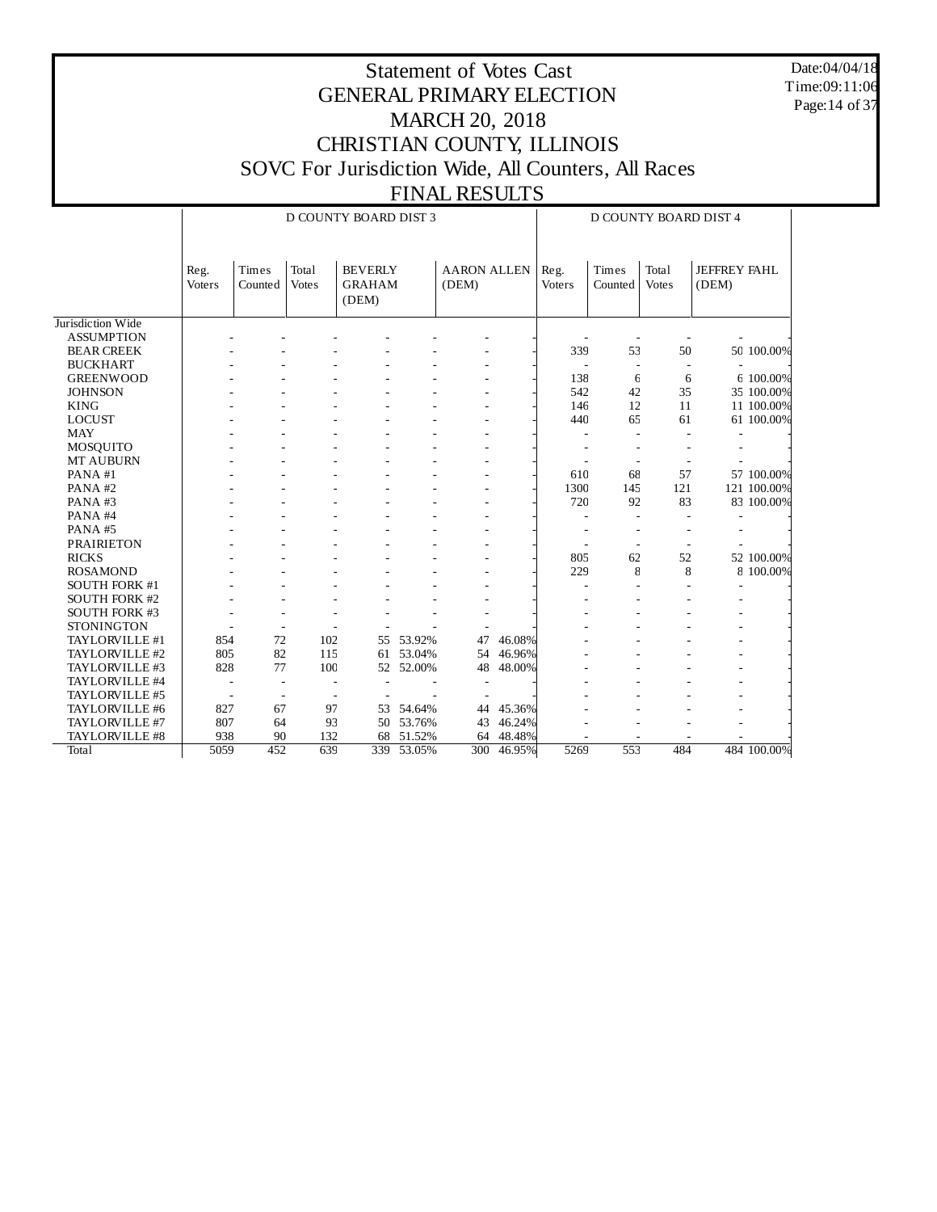Date:04/04/18 Time:09:11:06 Page:14 of 37

|                      |                       |                  |                          | D COUNTY BOARD DIST 3                    | <b>D COUNTY BOARD DIST 4</b> |                             |        |                |                  |                       |                              |             |
|----------------------|-----------------------|------------------|--------------------------|------------------------------------------|------------------------------|-----------------------------|--------|----------------|------------------|-----------------------|------------------------------|-------------|
|                      | Reg.<br><b>Voters</b> | Times<br>Counted | Total<br><b>Votes</b>    | <b>BEVERLY</b><br><b>GRAHAM</b><br>(DEM) |                              | <b>AARON ALLEN</b><br>(DEM) |        | Reg.<br>Voters | Times<br>Counted | Total<br><b>Votes</b> | <b>JEFFREY FAHL</b><br>(DEM) |             |
| Jurisdiction Wide    |                       |                  |                          |                                          |                              |                             |        |                |                  |                       |                              |             |
| <b>ASSUMPTION</b>    |                       |                  |                          |                                          |                              |                             |        |                |                  |                       |                              |             |
| <b>BEAR CREEK</b>    |                       |                  |                          |                                          |                              |                             |        | 339            | 53               | 50                    |                              | 50 100.00%  |
| <b>BUCKHART</b>      |                       |                  |                          |                                          |                              |                             |        |                |                  |                       |                              |             |
| <b>GREENWOOD</b>     |                       |                  |                          |                                          |                              |                             |        | 138            | 6                | 6                     |                              | 6 100.00%   |
| <b>JOHNSON</b>       |                       |                  |                          |                                          |                              |                             |        | 542            | 42               | 35                    |                              | 35 100.00%  |
| <b>KING</b>          |                       |                  |                          |                                          |                              |                             |        | 146            | 12               | 11                    |                              | 11 100.00%  |
| <b>LOCUST</b>        |                       |                  |                          |                                          |                              |                             |        | 440            | 65               | 61                    |                              | 61 100.00%  |
| <b>MAY</b>           |                       |                  |                          |                                          |                              |                             |        |                |                  |                       |                              |             |
| MOSQUITO             |                       |                  |                          |                                          |                              |                             |        |                |                  |                       |                              |             |
| MT AUBURN            |                       |                  |                          |                                          |                              |                             |        |                |                  |                       |                              |             |
| PANA#1               |                       |                  |                          |                                          |                              |                             |        | 610            | 68               | 57                    |                              | 57 100.00%  |
| PANA#2               |                       |                  |                          |                                          |                              |                             |        | 1300           | 145              | 121                   |                              | 121 100.00% |
| PANA#3               |                       |                  |                          |                                          |                              |                             |        | 720            | 92               | 83                    |                              | 83 100.00%  |
| PANA#4               |                       |                  |                          |                                          |                              |                             |        |                |                  |                       |                              |             |
| PANA#5               |                       |                  |                          |                                          |                              |                             |        |                |                  |                       |                              |             |
| <b>PRAIRIETON</b>    |                       |                  |                          |                                          |                              |                             |        |                |                  |                       |                              |             |
| <b>RICKS</b>         |                       |                  |                          |                                          |                              |                             |        | 805            | 62               | 52                    |                              | 52 100.00%  |
| <b>ROSAMOND</b>      |                       |                  |                          |                                          |                              |                             |        | 229            | 8                | 8                     |                              | 8 100.00%   |
| <b>SOUTH FORK #1</b> |                       |                  |                          |                                          |                              |                             |        |                |                  |                       |                              |             |
| <b>SOUTH FORK #2</b> |                       |                  |                          |                                          |                              |                             |        |                |                  |                       |                              |             |
| <b>SOUTH FORK #3</b> |                       |                  |                          |                                          |                              |                             |        |                |                  |                       |                              |             |
| <b>STONINGTON</b>    |                       |                  |                          |                                          |                              |                             |        |                |                  |                       |                              |             |
| TAYLORVILLE #1       | 854                   | 72               | 102                      | 55                                       | 53.92%                       | 47                          | 46.08% |                |                  |                       |                              |             |
| TAYLORVILLE #2       | 805                   | 82               | 115                      | 61                                       | 53.04%                       | 54                          | 46.96% |                |                  |                       |                              |             |
| TAYLORVILLE #3       | 828                   | 77               | 100                      |                                          | 52 52.00%                    | 48                          | 48.00% |                |                  |                       |                              |             |
| TAYLORVILLE #4       |                       |                  | $\overline{\phantom{a}}$ |                                          |                              |                             |        |                |                  |                       |                              |             |
| TAYLORVILLE #5       |                       |                  |                          |                                          |                              |                             |        |                |                  |                       |                              |             |
| TAYLORVILLE #6       | 827                   | 67               | 97                       | 53                                       | 54.64%                       | 44                          | 45.36% |                |                  |                       |                              |             |
| TAYLORVILLE #7       | 807                   | 64               | 93                       | 50                                       | 53.76%                       | 43                          | 46.24% |                |                  |                       |                              |             |
| TAYLORVILLE #8       | 938                   | 90               | 132                      | 68                                       | 51.52%                       | 64                          | 48.48% |                |                  |                       |                              |             |
| Total                | 5059                  | 452              | 639                      | 339                                      | 53.05%                       | 300                         | 46.95% | 5269           | 553              | 484                   |                              | 484 100.00% |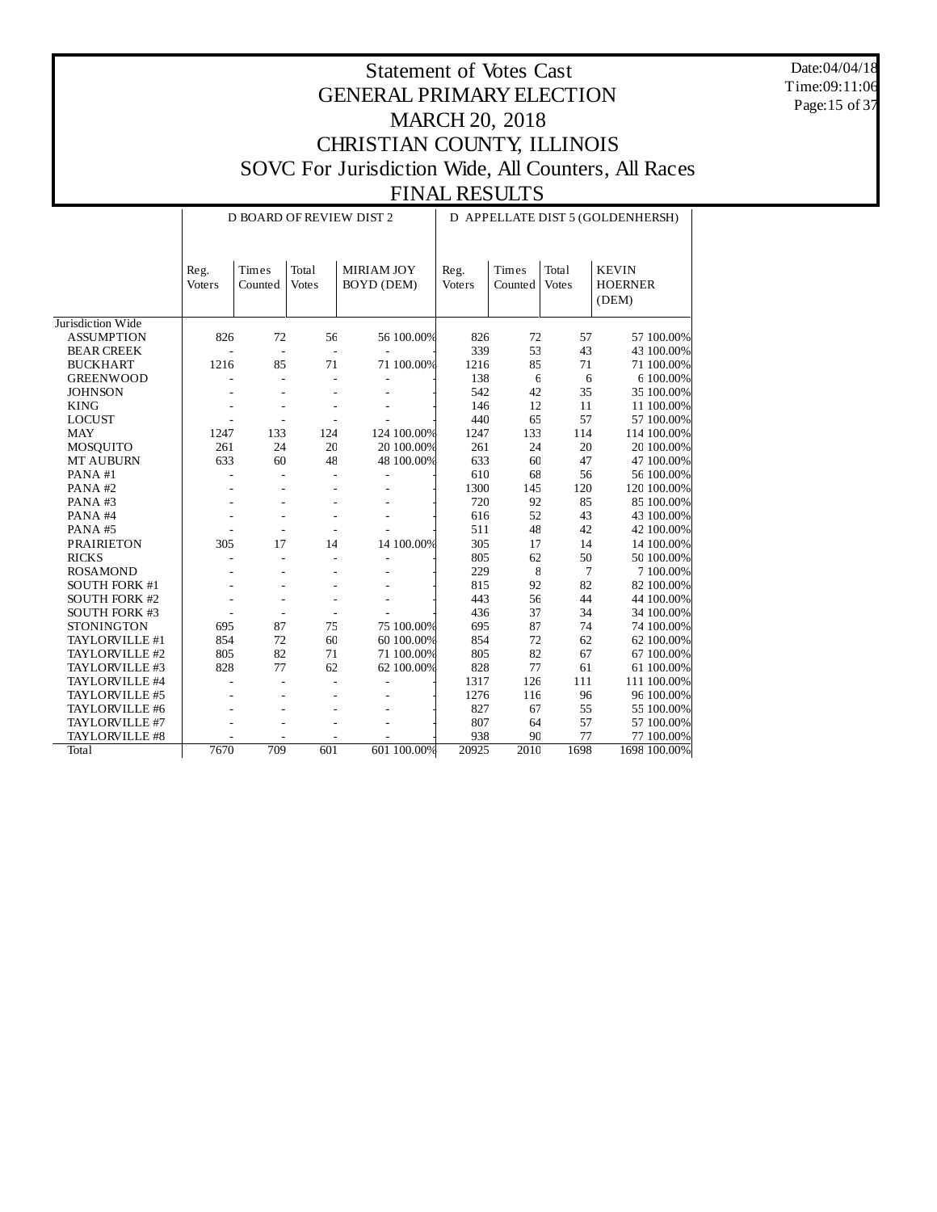Date:04/04/18 Time:09:11:06 Page:15 of 37

|                      |                |                  |                       | <b>D BOARD OF REVIEW DIST 2</b> | D APPELLATE DIST 5 (GOLDENHERSH) |                  |                       |                                         |  |
|----------------------|----------------|------------------|-----------------------|---------------------------------|----------------------------------|------------------|-----------------------|-----------------------------------------|--|
|                      | Reg.<br>Voters | Times<br>Counted | Total<br><b>Votes</b> | MIRIAM JOY<br><b>BOYD</b> (DEM) | Reg.<br>Voters                   | Times<br>Counted | Total<br><b>Votes</b> | <b>KEVIN</b><br><b>HOERNER</b><br>(DEM) |  |
| Jurisdiction Wide    |                |                  |                       |                                 |                                  |                  |                       |                                         |  |
| <b>ASSUMPTION</b>    | 826            | 72               | 56                    | 56 100.00%                      | 826                              | 72               | 57                    | 57 100.00%                              |  |
| <b>BEAR CREEK</b>    |                | $\overline{a}$   | ÷,                    |                                 | 339                              | 53               | 43                    | 43 100.00%                              |  |
| <b>BUCKHART</b>      | 1216           | 85               | 71                    | 71 100.00%                      | 1216                             | 85               | 71                    | 71 100.00%                              |  |
| <b>GREENWOOD</b>     |                |                  |                       |                                 | 138                              | $\epsilon$       | 6                     | 6 100.00%                               |  |
| <b>JOHNSON</b>       |                |                  |                       |                                 | 542                              | 42               | 35                    | 35 100.00%                              |  |
| <b>KING</b>          |                |                  |                       |                                 | 146                              | 12               | 11                    | 11 100.00%                              |  |
| <b>LOCUST</b>        |                |                  |                       |                                 | 440                              | 65               | 57                    | 57 100.00%                              |  |
| <b>MAY</b>           | 1247           | 133              | 124                   | 124 100.00%                     | 1247                             | 133              | 114                   | 114 100.00%                             |  |
| MOSQUITO             | 261            | 24               | 20                    | 20 100.00%                      | 261                              | 24               | 20                    | 20 100.00%                              |  |
| <b>MT AUBURN</b>     | 633            | 60               | 48                    | 48 100.00%                      | 633                              | 60               | 47                    | 47 100.00%                              |  |
| PANA#1               |                |                  |                       |                                 | 610                              | 68               | 56                    | 56 100.00%                              |  |
| PANA#2               |                |                  |                       |                                 | 1300                             | 145              | 120                   | 120 100.00%                             |  |
| PANA#3               |                |                  |                       |                                 | 720                              | 92               | 85                    | 85 100.00%                              |  |
| PANA#4               |                |                  |                       |                                 | 616                              | 52               | 43                    | 43 100.00%                              |  |
| PANA#5               |                |                  |                       |                                 | 511                              | 48               | 42                    | 42 100.00%                              |  |
| <b>PRAIRIETON</b>    | 305            | 17               | 14                    | 14 100.00%                      | 305                              | 17               | 14                    | 14 100.00%                              |  |
| <b>RICKS</b>         |                |                  |                       |                                 | 805                              | 62               | 50                    | 50 100.00%                              |  |
| <b>ROSAMOND</b>      |                |                  |                       |                                 | 229                              | 8                | $\overline{7}$        | 7 100.00%                               |  |
| SOUTH FORK #1        |                |                  |                       |                                 | 815                              | 92               | 82                    | 82 100.00%                              |  |
| <b>SOUTH FORK #2</b> |                |                  |                       |                                 | 443                              | 56               | 44                    | 44 100.00%                              |  |
| <b>SOUTH FORK #3</b> |                |                  |                       |                                 | 436                              | 37               | 34                    | 34 100.00%                              |  |
| STONINGTON           | 695            | 87               | 75                    | 75 100.00%                      | 695                              | 87               | 74                    | 74 100.00%                              |  |
| TAYLORVILLE #1       | 854            | 72               | 60                    | 60 100.00%                      | 854                              | 72               | 62                    | 62 100.00%                              |  |
| TAYLORVILLE #2       | 805            | 82               | 71                    | 71 100.00%                      | 805                              | 82               | 67                    | 67 100.00%                              |  |
| TAYLORVILLE #3       | 828            | 77               | 62                    | 62 100.00%                      | 828                              | 77               | 61                    | 61 100.00%                              |  |
| TAYLORVILLE #4       |                |                  |                       |                                 | 1317                             | 126              | 111                   | 111 100.00%                             |  |
| TAYLORVILLE #5       |                |                  |                       |                                 | 1276                             | 116              | 96                    | 96 100.00%                              |  |
| TAYLORVILLE #6       |                |                  |                       |                                 | 827                              | 67               | 55                    | 55 100.00%                              |  |
| TAYLORVILLE #7       |                |                  |                       |                                 | 807                              | 64               | 57                    | 57 100.00%                              |  |
| TAYLORVILLE #8       |                |                  |                       |                                 | 938                              | 90               | 77                    | 77 100.00%                              |  |
| Total                | 7670           | 709              | 601                   | 601 100.00%                     | 20925                            | 2010             | 1698                  | 1698 100.00%                            |  |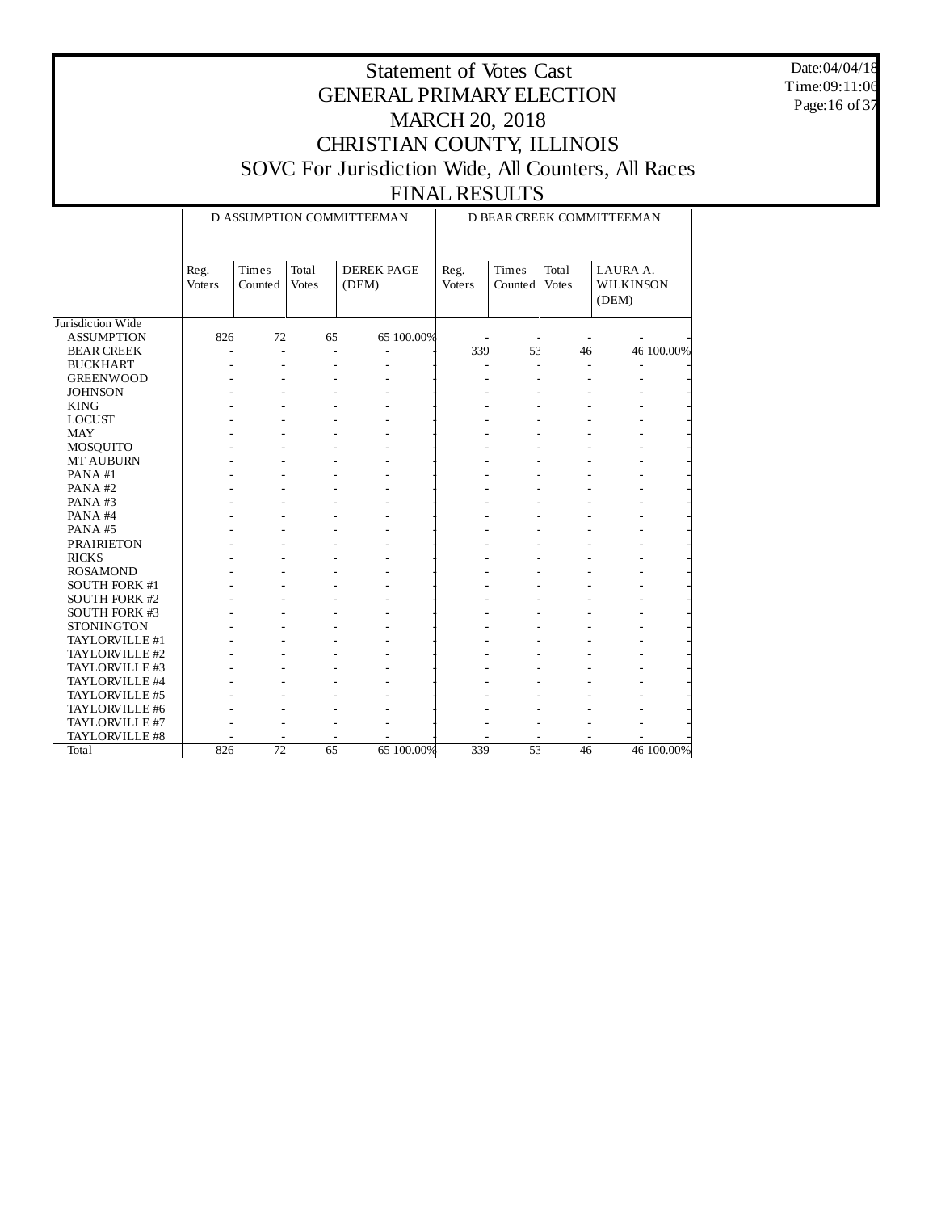Date:04/04/18 Time:09:11:06 Page:16 of 37

|                      |                       |                  |                       | D ASSUMPTION COMMITTEEMAN  | D BEAR CREEK COMMITTEEMAN |                  |                       |                                       |            |  |
|----------------------|-----------------------|------------------|-----------------------|----------------------------|---------------------------|------------------|-----------------------|---------------------------------------|------------|--|
|                      | Reg.<br><b>Voters</b> | Times<br>Counted | Total<br><b>Votes</b> | <b>DEREK PAGE</b><br>(DEM) | Reg.<br><b>Voters</b>     | Times<br>Counted | Total<br><b>Votes</b> | LAURA A.<br><b>WILKINSON</b><br>(DEM) |            |  |
| Jurisdiction Wide    |                       |                  |                       |                            |                           |                  |                       |                                       |            |  |
| <b>ASSUMPTION</b>    | 826                   | 72               | 65                    | 65 100.00%                 |                           |                  |                       |                                       |            |  |
| <b>BEAR CREEK</b>    | L,                    | ÷,               | ä,                    |                            | 339                       | 53               | 46                    |                                       | 46 100.00% |  |
| <b>BUCKHART</b>      |                       |                  |                       |                            |                           |                  |                       |                                       |            |  |
| <b>GREENWOOD</b>     |                       |                  |                       |                            |                           |                  |                       |                                       |            |  |
| <b>JOHNSON</b>       |                       |                  |                       |                            |                           |                  |                       |                                       |            |  |
| <b>KING</b>          |                       |                  |                       |                            |                           |                  |                       |                                       |            |  |
| <b>LOCUST</b>        |                       |                  |                       |                            |                           |                  |                       |                                       |            |  |
| <b>MAY</b>           |                       |                  |                       |                            |                           |                  |                       |                                       |            |  |
| MOSQUITO             |                       |                  |                       |                            |                           |                  |                       |                                       |            |  |
| <b>MT AUBURN</b>     |                       |                  |                       |                            |                           |                  |                       |                                       |            |  |
| PANA#1               |                       |                  |                       |                            |                           |                  |                       |                                       |            |  |
| PANA#2               |                       |                  |                       |                            |                           |                  |                       |                                       |            |  |
| PANA#3               |                       |                  |                       |                            |                           |                  |                       |                                       |            |  |
| PANA#4               |                       |                  |                       |                            |                           |                  |                       |                                       |            |  |
| PANA#5               |                       |                  |                       |                            |                           |                  |                       |                                       |            |  |
| <b>PRAIRIETON</b>    |                       |                  |                       |                            |                           |                  |                       |                                       |            |  |
| <b>RICKS</b>         |                       |                  |                       |                            |                           |                  |                       |                                       |            |  |
| <b>ROSAMOND</b>      |                       |                  |                       |                            |                           |                  |                       |                                       |            |  |
| SOUTH FORK #1        |                       |                  |                       |                            |                           |                  |                       |                                       |            |  |
| <b>SOUTH FORK #2</b> |                       |                  |                       |                            |                           |                  |                       |                                       |            |  |
| <b>SOUTH FORK #3</b> |                       |                  |                       |                            |                           |                  |                       |                                       |            |  |
| <b>STONINGTON</b>    |                       |                  |                       |                            |                           |                  |                       |                                       |            |  |
| TAYLORVILLE #1       |                       |                  |                       |                            |                           |                  |                       |                                       |            |  |
| TAYLORVILLE #2       |                       |                  |                       |                            |                           |                  |                       |                                       |            |  |
| TAYLORVILLE #3       |                       |                  |                       |                            |                           |                  |                       |                                       |            |  |
| TAYLORVILLE #4       |                       |                  |                       |                            |                           |                  |                       |                                       |            |  |
| TAYLORVILLE #5       |                       |                  |                       |                            |                           |                  |                       |                                       |            |  |
| TAYLORVILLE #6       |                       |                  |                       |                            |                           |                  |                       |                                       |            |  |
| TAYLORVILLE #7       |                       |                  |                       |                            |                           |                  |                       |                                       |            |  |
| TAYLORVILLE #8       |                       |                  |                       |                            |                           |                  |                       |                                       |            |  |
| Total                | 826                   | $\overline{72}$  | 65                    | 65 100.00%                 | 339                       | $\overline{53}$  | 46                    |                                       | 46 100.00% |  |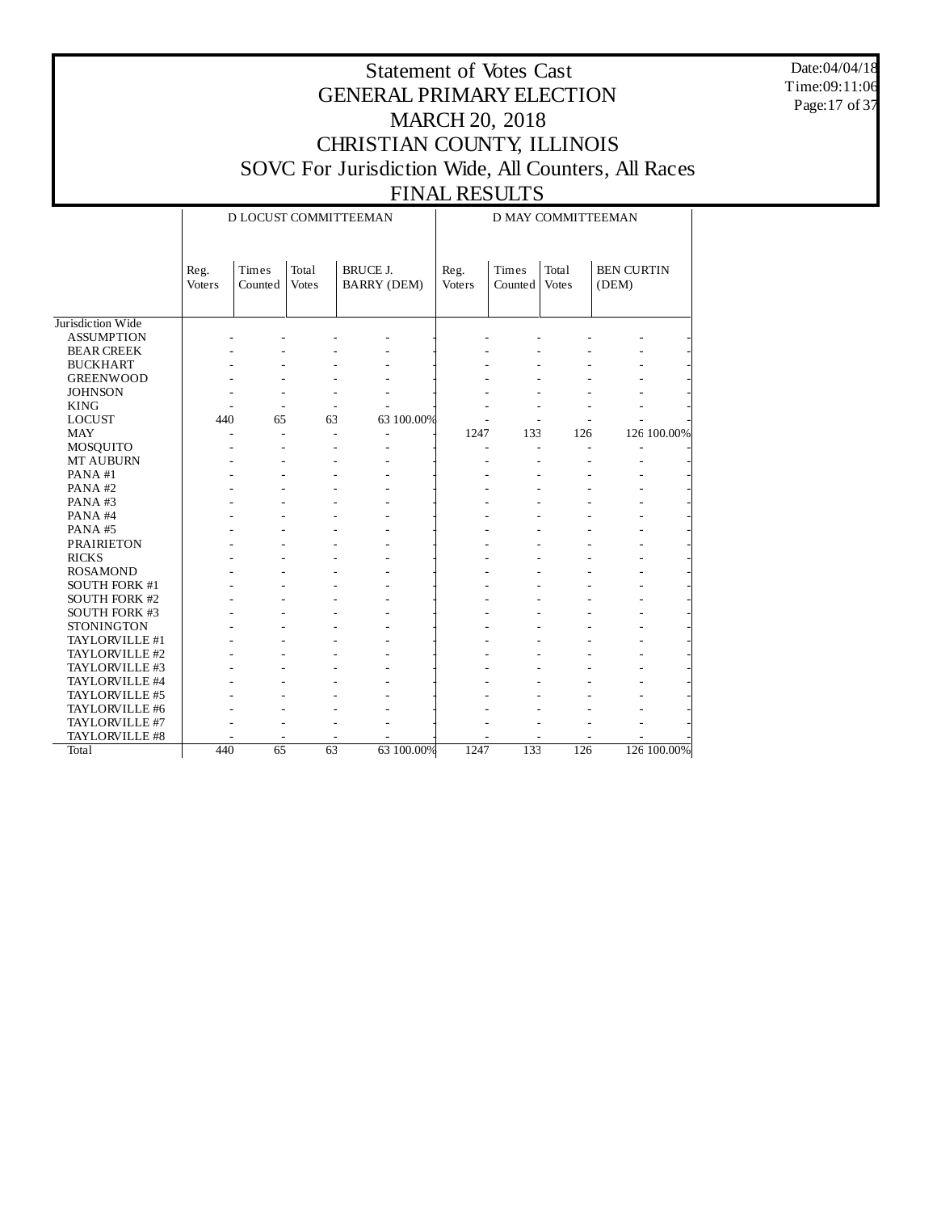Date:04/04/18 Time:09:11:06 Page:17 of 37

#### Statement of Votes Cast GENERAL PRIMARY ELECTION MARCH 20, 2018 CHRISTIAN COUNTY, ILLINOIS SOVC For Jurisdiction Wide, All Counters, All Races FINAL RESULTS

#### Jurisdiction Wide ASSUMPTION BEAR CREEK BUCKHART GREENWOOD **JOHNSON** KING LOCUST MAY MOSQUITO MT AUBURN PANA #1 PANA #2 PANA #3 PANA #4 PANA #5 PRAIRIETON RICKS ROSAMOND SOUTH FORK #1 SOUTH FORK #2 SOUTH FORK #3 STONINGTON TAYLORVILLE #1 TAYLORVILLE #2 TAYLORVILLE #3 TAYLORVILLE #4 TAYLORVILLE #5 TAYLORVILLE #6 TAYLORVILLE #7 TAYLORVILLE #8 **Total** Reg. Voters Times Counted Votes Total BRUCE J. BARRY (DEM) D LOCUST COMMITTEEMAN Reg. Voters Times Counted Votes Total BEN CURTIN (DEM) D MAY COMMITTEEMAN - - - - - - - - - - - - - - - - - - - - - - - - - - - - - - - - - - - - - - - - - - - - - - - - - - - - - - - - - - - - 440 65 63 63 100.00% - - - - -  $+$   $1247$   $133$   $126$   $126100.00\%$ - - - - - - - - - - - - - - - - - - - - - - - - - - - - - - - - - - - - - - - - - - - - - - - - - - - - - - - - - - - - - - - - - - - - - - - - - - - - - - - - - - - - - - - - - - - - - - - - - - - - - - - - - - - - - - - - - - - - - - - - - - - - - - - - - - - - - - - - - - - - - - - - - - - - - - - - - - - - - - - - - - - - - - - - - - - - - - - - - - - - - - - - - - - - - - - - - - - - - - - - - - - - - - - - - - - - - - - - - - - - 440 65 63 63 100.00% 1247 133 126 126 100.00%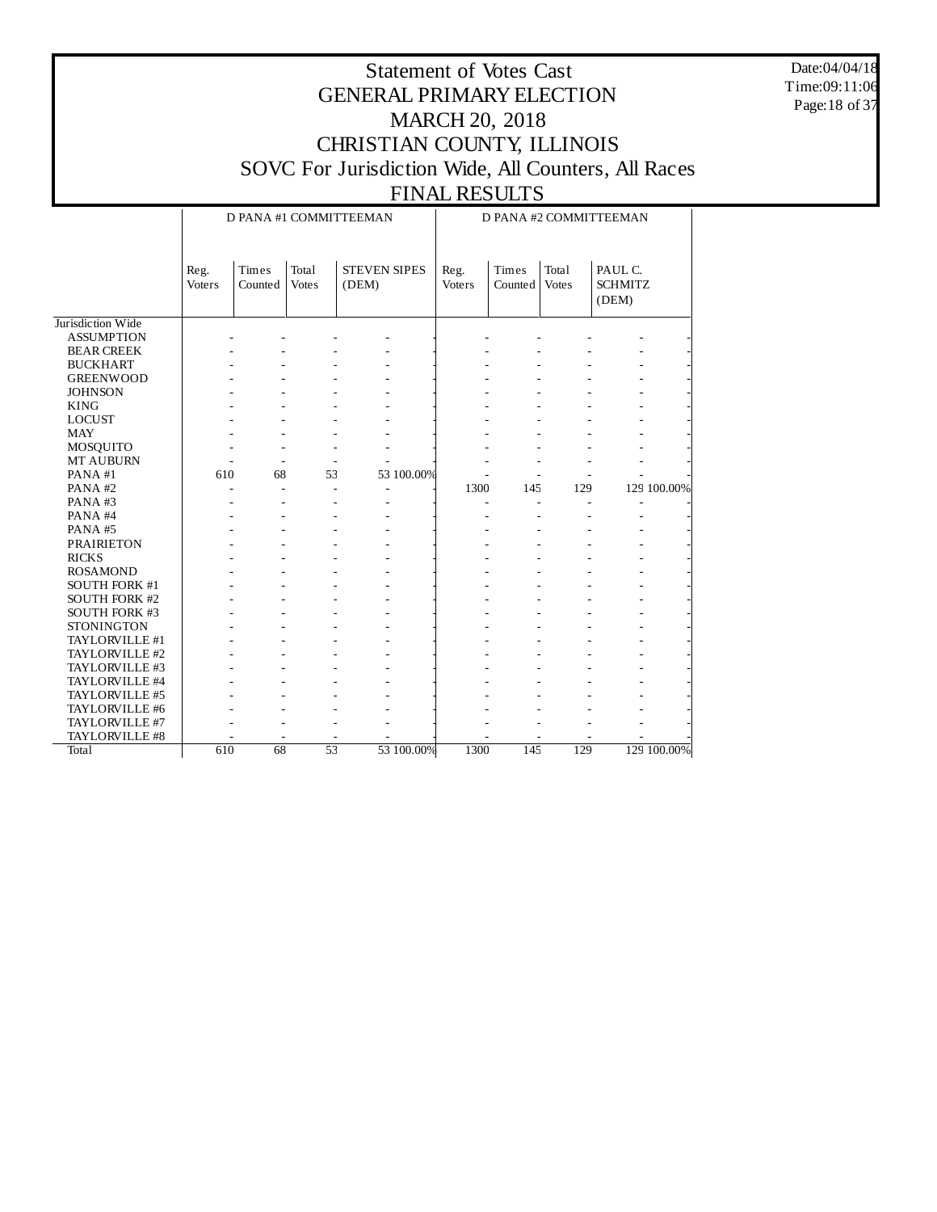Date:04/04/18 Time:09:11:06 Page:18 of 37

## Statement of Votes Cast GENERAL PRIMARY ELECTION MARCH 20, 2018 CHRISTIAN COUNTY, ILLINOIS SOVC For Jurisdiction Wide, All Counters, All Races

|                      | D PANA #1 COMMITTEEMAN<br>D PANA #2 COMMITTEEMAN |                  |                       |                              |                |                  |                       |                                    |             |
|----------------------|--------------------------------------------------|------------------|-----------------------|------------------------------|----------------|------------------|-----------------------|------------------------------------|-------------|
|                      | Reg.<br><b>Voters</b>                            | Times<br>Counted | Total<br><b>Votes</b> | <b>STEVEN SIPES</b><br>(DEM) | Reg.<br>Voters | Times<br>Counted | Total<br><b>Votes</b> | PAUL C.<br><b>SCHMITZ</b><br>(DEM) |             |
| Jurisdiction Wide    |                                                  |                  |                       |                              |                |                  |                       |                                    |             |
| <b>ASSUMPTION</b>    |                                                  |                  |                       |                              |                |                  |                       |                                    |             |
| <b>BEAR CREEK</b>    |                                                  |                  |                       |                              |                |                  |                       |                                    |             |
| <b>BUCKHART</b>      |                                                  |                  |                       |                              |                |                  |                       |                                    |             |
| <b>GREENWOOD</b>     |                                                  |                  |                       |                              |                |                  |                       |                                    |             |
| <b>JOHNSON</b>       |                                                  |                  |                       |                              |                |                  |                       |                                    |             |
| <b>KING</b>          |                                                  |                  |                       |                              |                |                  |                       |                                    |             |
| <b>LOCUST</b>        |                                                  |                  |                       |                              |                |                  |                       |                                    |             |
| <b>MAY</b>           |                                                  |                  |                       |                              |                |                  |                       |                                    |             |
| MOSQUITO             |                                                  |                  |                       |                              |                |                  |                       |                                    |             |
| MT AUBURN            |                                                  |                  |                       |                              |                |                  |                       |                                    |             |
| PANA#1               | 610                                              | 68               | 53                    | 53 100.00%                   |                |                  |                       |                                    |             |
| PANA#2               | $\overline{a}$                                   | $\overline{a}$   | ÷,                    | ä,                           | 1300           | 145              | 129                   |                                    | 129 100.00% |
| PANA#3               |                                                  |                  |                       |                              |                |                  |                       | Ĭ.                                 |             |
| PANA#4               |                                                  |                  |                       |                              |                |                  |                       |                                    |             |
| PANA#5               |                                                  |                  |                       |                              |                |                  |                       |                                    |             |
| <b>PRAIRIETON</b>    |                                                  |                  |                       |                              |                |                  |                       |                                    |             |
| <b>RICKS</b>         |                                                  |                  |                       |                              |                |                  |                       |                                    |             |
| <b>ROSAMOND</b>      |                                                  |                  |                       |                              |                |                  |                       |                                    |             |
| SOUTH FORK #1        |                                                  |                  |                       |                              |                |                  |                       |                                    |             |
| <b>SOUTH FORK #2</b> |                                                  |                  |                       |                              |                |                  |                       |                                    |             |
| <b>SOUTH FORK #3</b> |                                                  |                  |                       |                              |                |                  |                       |                                    |             |
| <b>STONINGTON</b>    |                                                  |                  |                       |                              |                |                  |                       |                                    |             |
| TAYLORVILLE #1       |                                                  |                  |                       |                              |                |                  |                       |                                    |             |
| TAYLORVILLE #2       |                                                  |                  |                       |                              |                |                  |                       |                                    |             |
| TAYLORVILLE #3       |                                                  |                  |                       |                              |                |                  |                       |                                    |             |
| TAYLORVILLE #4       |                                                  |                  |                       |                              |                |                  |                       |                                    |             |
| TAYLORVILLE #5       |                                                  |                  |                       |                              |                |                  |                       |                                    |             |
| TAYLORVILLE #6       |                                                  |                  |                       |                              |                |                  |                       |                                    |             |
| TAYLORVILLE #7       |                                                  |                  |                       |                              |                |                  |                       |                                    |             |
| TAYLORVILLE #8       |                                                  |                  |                       |                              |                |                  |                       |                                    |             |
| Total                | 610                                              | 68               | 53                    | 53 100.00%                   | 1300           | 145              | 129                   |                                    | 129 100.00% |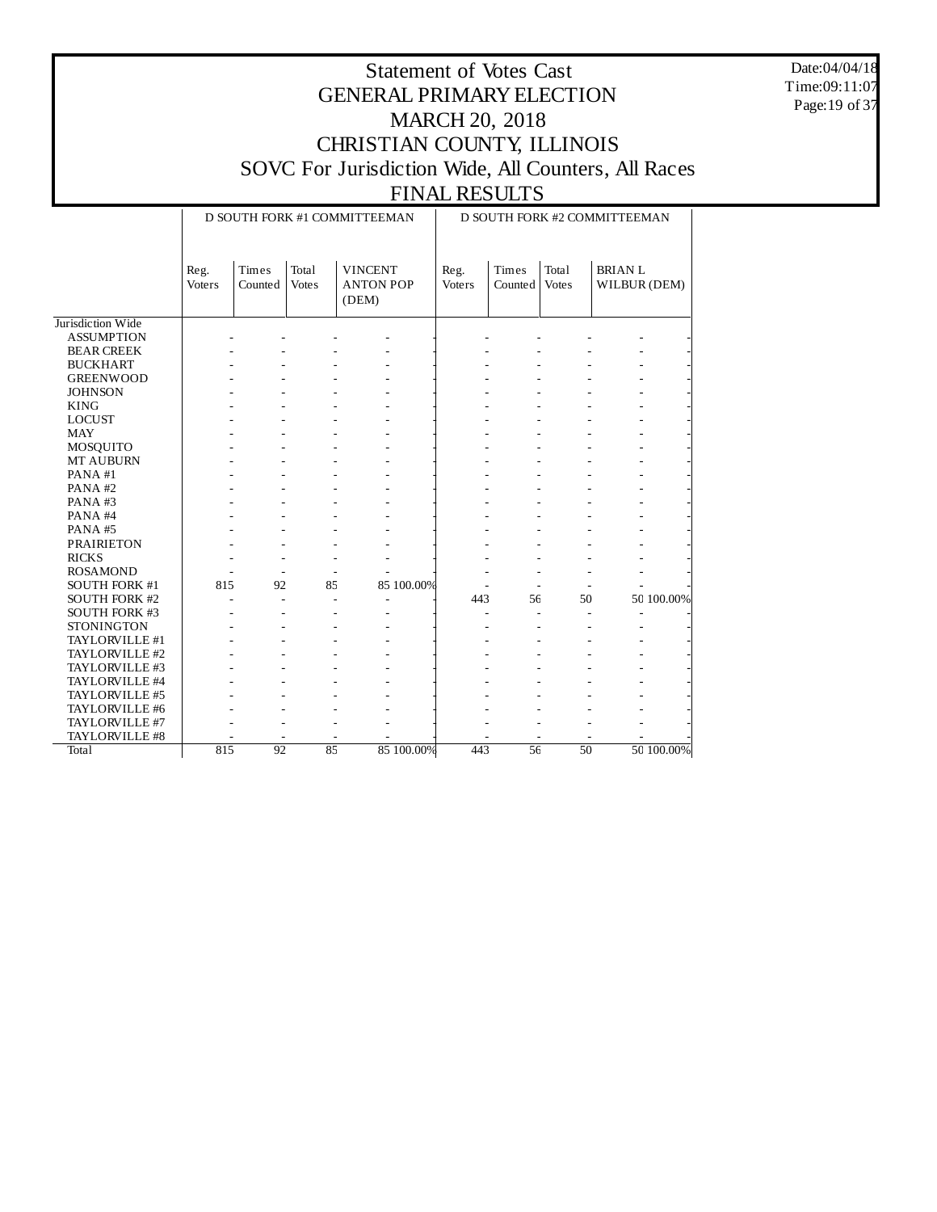Date:04/04/18 Time:09:11:07 Page:19 of 37

## Statement of Votes Cast GENERAL PRIMARY ELECTION MARCH 20, 2018 CHRISTIAN COUNTY, ILLINOIS SOVC For Jurisdiction Wide, All Counters, All Races

|                      |                |                          |                       | D SOUTH FORK #1 COMMITTEEMAN                | D SOUTH FORK #2 COMMITTEEMAN |                  |                       |                               |            |  |
|----------------------|----------------|--------------------------|-----------------------|---------------------------------------------|------------------------------|------------------|-----------------------|-------------------------------|------------|--|
|                      | Reg.<br>Voters | Times<br>Counted         | Total<br><b>Votes</b> | <b>VINCENT</b><br><b>ANTON POP</b><br>(DEM) | Reg.<br>Voters               | Times<br>Counted | Total<br><b>Votes</b> | <b>BRIANL</b><br>WILBUR (DEM) |            |  |
| Jurisdiction Wide    |                |                          |                       |                                             |                              |                  |                       |                               |            |  |
| <b>ASSUMPTION</b>    |                |                          |                       |                                             |                              |                  |                       |                               |            |  |
| <b>BEAR CREEK</b>    |                |                          |                       |                                             |                              |                  |                       |                               |            |  |
| <b>BUCKHART</b>      |                |                          |                       |                                             |                              |                  |                       |                               |            |  |
| <b>GREENWOOD</b>     |                |                          |                       |                                             |                              |                  |                       |                               |            |  |
| <b>JOHNSON</b>       |                |                          |                       |                                             |                              |                  |                       |                               |            |  |
| <b>KING</b>          |                |                          |                       |                                             |                              |                  |                       |                               |            |  |
| <b>LOCUST</b>        |                |                          |                       |                                             |                              |                  |                       |                               |            |  |
| <b>MAY</b>           |                |                          |                       |                                             |                              |                  |                       |                               |            |  |
| MOSQUITO             |                |                          |                       |                                             |                              |                  |                       |                               |            |  |
| MT AUBURN            |                |                          |                       |                                             |                              |                  |                       |                               |            |  |
| PANA#1               |                |                          |                       |                                             |                              |                  |                       |                               |            |  |
| PANA#2               |                |                          |                       |                                             |                              |                  |                       |                               |            |  |
| PANA#3               |                |                          |                       |                                             |                              |                  |                       |                               |            |  |
| PANA#4               |                |                          |                       |                                             |                              |                  |                       |                               |            |  |
| PANA#5               |                |                          |                       |                                             |                              |                  |                       |                               |            |  |
| <b>PRAIRIETON</b>    |                |                          |                       |                                             |                              |                  |                       |                               |            |  |
| <b>RICKS</b>         |                | ٠                        |                       |                                             |                              |                  |                       |                               |            |  |
| <b>ROSAMOND</b>      |                | $\overline{\phantom{a}}$ | $\sim$                |                                             |                              |                  |                       |                               |            |  |
| <b>SOUTH FORK #1</b> | 815            | 92                       | 85                    | 85 100.00%                                  |                              |                  |                       |                               |            |  |
| SOUTH FORK #2        |                | $\overline{a}$           |                       |                                             | 443                          | 56               | 50                    |                               | 50 100.00% |  |
| SOUTH FORK #3        |                |                          |                       |                                             |                              |                  |                       |                               |            |  |
| <b>STONINGTON</b>    |                |                          |                       |                                             |                              |                  |                       |                               |            |  |
| TAYLORVILLE #1       |                |                          |                       |                                             |                              |                  |                       |                               |            |  |
| TAYLORVILLE #2       |                |                          |                       |                                             |                              |                  |                       |                               |            |  |
| TAYLORVILLE #3       |                |                          |                       |                                             |                              |                  |                       |                               |            |  |
| TAYLORVILLE #4       |                |                          |                       |                                             |                              |                  |                       |                               |            |  |
| TAYLORVILLE #5       |                |                          |                       |                                             |                              |                  |                       |                               |            |  |
| TAYLORVILLE #6       |                |                          |                       |                                             |                              |                  |                       |                               |            |  |
| TAYLORVILLE #7       |                |                          |                       |                                             |                              |                  |                       |                               |            |  |
| TAYLORVILLE #8       |                |                          |                       |                                             |                              |                  |                       |                               |            |  |
| <b>Total</b>         | 815            | 92                       | 85                    | 85 100,00%                                  | 443                          | 56               | 50                    |                               | 50 100,00% |  |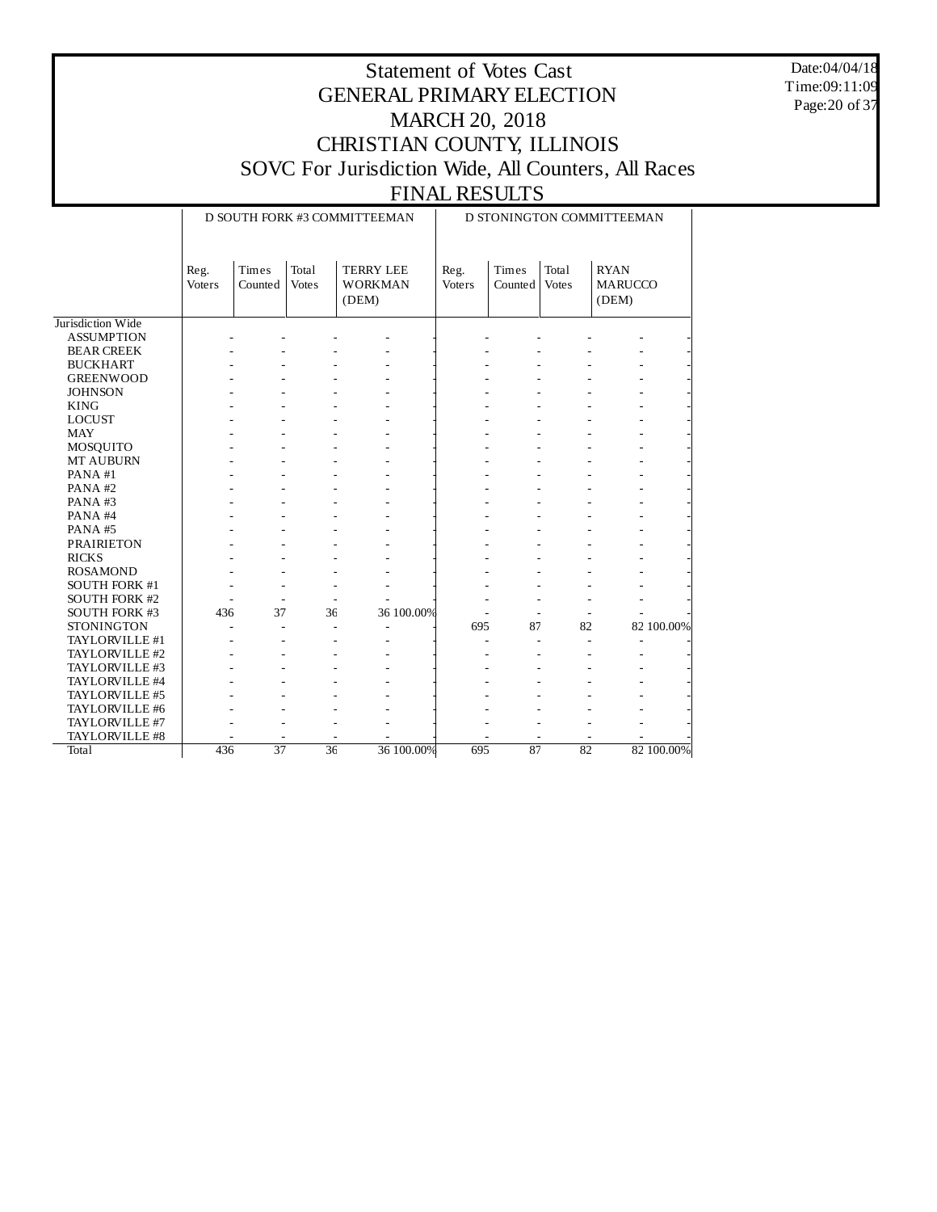Date:04/04/18 Time:09:11:09 Page:20 of 37

## Statement of Votes Cast GENERAL PRIMARY ELECTION MARCH 20, 2018 CHRISTIAN COUNTY, ILLINOIS SOVC For Jurisdiction Wide, All Counters, All Races

|                      |                       |                          |                       | D SOUTH FORK #3 COMMITTEEMAN                | D STONINGTON COMMITTEEMAN |                                  |                       |                                        |            |  |
|----------------------|-----------------------|--------------------------|-----------------------|---------------------------------------------|---------------------------|----------------------------------|-----------------------|----------------------------------------|------------|--|
|                      | Reg.<br><b>Voters</b> | Times<br>Counted         | Total<br><b>Votes</b> | <b>TERRY LEE</b><br><b>WORKMAN</b><br>(DEM) | Reg.<br>Voters            | Times<br>Counted                 | Total<br><b>Votes</b> | <b>RYAN</b><br><b>MARUCCO</b><br>(DEM) |            |  |
| Jurisdiction Wide    |                       |                          |                       |                                             |                           |                                  |                       |                                        |            |  |
| <b>ASSUMPTION</b>    |                       |                          |                       |                                             |                           |                                  |                       |                                        |            |  |
| <b>BEAR CREEK</b>    |                       |                          |                       |                                             |                           |                                  |                       |                                        |            |  |
| <b>BUCKHART</b>      |                       |                          |                       |                                             |                           |                                  |                       |                                        |            |  |
| <b>GREENWOOD</b>     |                       |                          |                       |                                             |                           |                                  |                       |                                        |            |  |
| <b>JOHNSON</b>       |                       |                          |                       |                                             |                           |                                  |                       |                                        |            |  |
| <b>KING</b>          |                       |                          |                       |                                             |                           |                                  |                       |                                        |            |  |
| <b>LOCUST</b>        |                       |                          |                       |                                             |                           |                                  |                       |                                        |            |  |
| <b>MAY</b>           |                       |                          |                       |                                             |                           |                                  |                       |                                        |            |  |
| MOSQUITO             |                       |                          |                       |                                             |                           |                                  |                       |                                        |            |  |
| MT AUBURN            |                       |                          |                       |                                             |                           |                                  |                       |                                        |            |  |
| PANA#1               |                       |                          |                       |                                             |                           |                                  |                       |                                        |            |  |
| PANA#2               |                       |                          |                       |                                             |                           |                                  |                       |                                        |            |  |
| PANA#3               |                       |                          |                       |                                             |                           |                                  |                       |                                        |            |  |
| PANA#4               |                       |                          |                       |                                             |                           |                                  |                       |                                        |            |  |
| PANA#5               |                       |                          |                       |                                             |                           |                                  |                       |                                        |            |  |
| <b>PRAIRIETON</b>    |                       |                          |                       |                                             |                           |                                  |                       |                                        |            |  |
| <b>RICKS</b>         |                       |                          |                       |                                             |                           |                                  |                       |                                        |            |  |
| <b>ROSAMOND</b>      |                       |                          |                       |                                             |                           |                                  |                       |                                        |            |  |
| SOUTH FORK #1        |                       | $\overline{a}$           |                       | $\overline{a}$<br>٠                         |                           |                                  |                       |                                        |            |  |
| <b>SOUTH FORK #2</b> |                       | $\overline{\phantom{a}}$ |                       | $\overline{\phantom{a}}$                    |                           |                                  |                       |                                        |            |  |
| SOUTH FORK #3        | 436                   | 37                       | 36                    | 36 100.00%                                  |                           |                                  |                       |                                        |            |  |
| <b>STONINGTON</b>    |                       | $\sim$                   |                       | L,                                          | 695                       | 87                               | 82                    |                                        | 82 100.00% |  |
| TAYLORVILLE #1       |                       |                          |                       |                                             |                           | $\overline{a}$<br>$\overline{a}$ |                       | $\overline{a}$                         |            |  |
| TAYLORVILLE #2       |                       |                          |                       |                                             |                           |                                  |                       |                                        |            |  |
| TAYLORVILLE #3       |                       |                          |                       |                                             |                           |                                  |                       |                                        |            |  |
| TAYLORVILLE #4       |                       |                          |                       |                                             |                           |                                  |                       |                                        |            |  |
| TAYLORVILLE #5       |                       |                          |                       |                                             |                           |                                  |                       |                                        |            |  |
| TAYLORVILLE #6       |                       |                          |                       |                                             |                           |                                  |                       |                                        |            |  |
| TAYLORVILLE #7       |                       |                          |                       |                                             |                           |                                  |                       |                                        |            |  |
| TAYLORVILLE #8       |                       |                          |                       |                                             |                           |                                  |                       |                                        |            |  |
| Total                | 436                   | $\overline{37}$          | 36                    | 36 100.00%                                  | 695                       | 87                               | 82                    |                                        | 82 100.00% |  |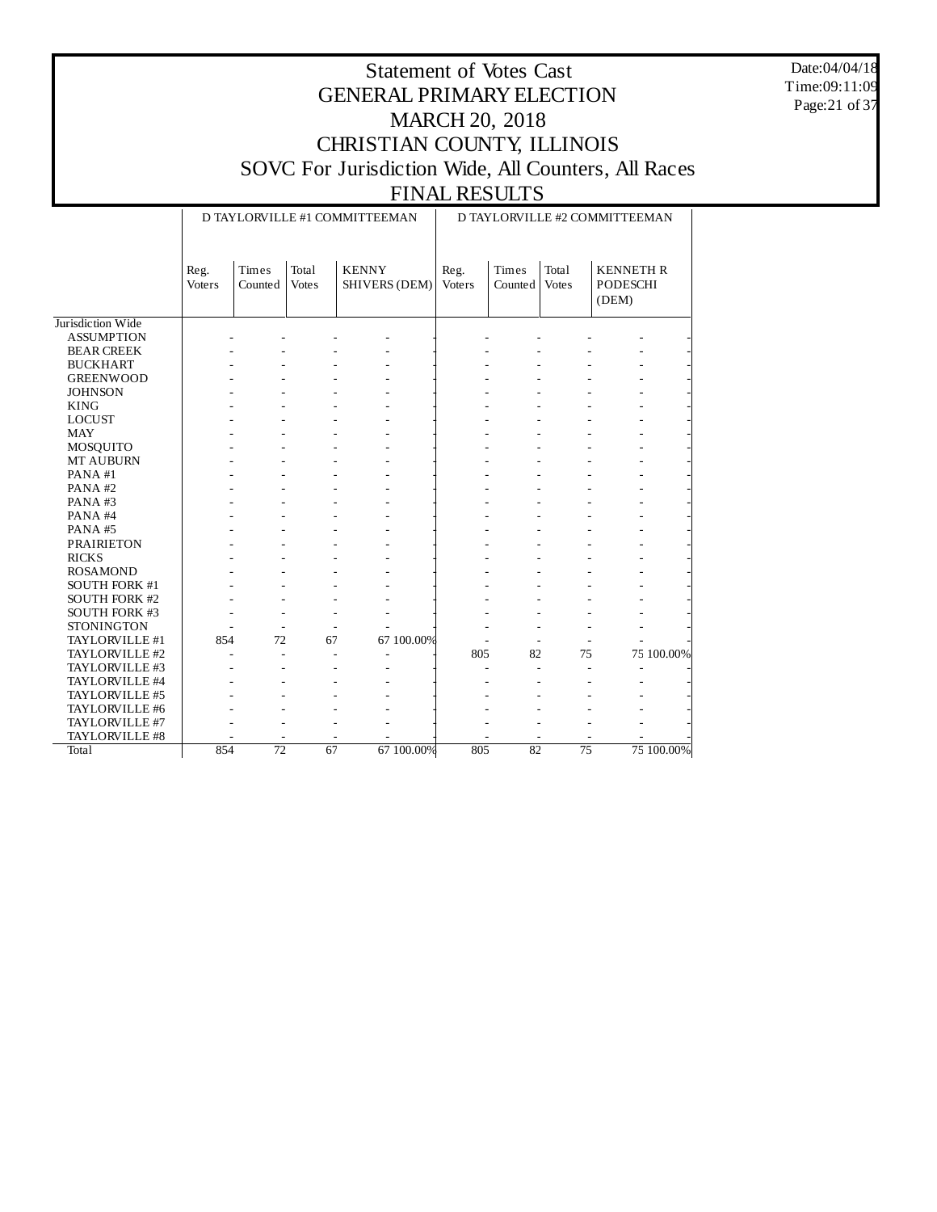Date:04/04/18 Time:09:11:09 Page:21 of 37

## Statement of Votes Cast GENERAL PRIMARY ELECTION MARCH 20, 2018 CHRISTIAN COUNTY, ILLINOIS SOVC For Jurisdiction Wide, All Counters, All Races

|                      |                       |                  |                       | D TAYLORVILLE #1 COMMITTEEMAN        | D TAYLORVILLE #2 COMMITTEEMAN |                  |                       |                                              |            |  |
|----------------------|-----------------------|------------------|-----------------------|--------------------------------------|-------------------------------|------------------|-----------------------|----------------------------------------------|------------|--|
|                      | Reg.<br><b>Voters</b> | Times<br>Counted | Total<br><b>Votes</b> | <b>KENNY</b><br><b>SHIVERS (DEM)</b> | Reg.<br>Voters                | Times<br>Counted | Total<br><b>Votes</b> | <b>KENNETH R</b><br><b>PODESCHI</b><br>(DEM) |            |  |
| Jurisdiction Wide    |                       |                  |                       |                                      |                               |                  |                       |                                              |            |  |
| <b>ASSUMPTION</b>    |                       |                  |                       |                                      |                               |                  |                       |                                              |            |  |
| <b>BEAR CREEK</b>    |                       |                  |                       |                                      |                               |                  |                       |                                              |            |  |
| <b>BUCKHART</b>      |                       |                  |                       |                                      |                               |                  |                       |                                              |            |  |
| <b>GREENWOOD</b>     |                       |                  |                       |                                      |                               |                  |                       |                                              |            |  |
| <b>JOHNSON</b>       |                       |                  |                       |                                      |                               |                  |                       |                                              |            |  |
| <b>KING</b>          |                       |                  |                       |                                      |                               |                  |                       |                                              |            |  |
| <b>LOCUST</b>        |                       |                  |                       |                                      |                               |                  |                       |                                              |            |  |
| <b>MAY</b>           |                       |                  |                       |                                      |                               |                  |                       |                                              |            |  |
| MOSQUITO             |                       |                  |                       |                                      |                               |                  |                       |                                              |            |  |
| MT AUBURN            |                       |                  |                       |                                      |                               |                  |                       |                                              |            |  |
| PANA#1               |                       |                  |                       |                                      |                               |                  |                       |                                              |            |  |
| PANA#2               |                       |                  |                       |                                      |                               |                  |                       |                                              |            |  |
| PANA#3               |                       |                  |                       |                                      |                               |                  |                       |                                              |            |  |
| PANA#4               |                       |                  |                       |                                      |                               |                  |                       |                                              |            |  |
| PANA#5               |                       |                  |                       |                                      |                               |                  |                       |                                              |            |  |
| <b>PRAIRIETON</b>    |                       |                  |                       |                                      |                               |                  |                       |                                              |            |  |
| <b>RICKS</b>         |                       |                  |                       |                                      |                               |                  |                       |                                              |            |  |
| <b>ROSAMOND</b>      |                       |                  |                       |                                      |                               |                  |                       |                                              |            |  |
| SOUTH FORK #1        |                       |                  |                       |                                      |                               |                  |                       |                                              |            |  |
| SOUTH FORK #2        |                       |                  |                       |                                      |                               |                  |                       |                                              |            |  |
| <b>SOUTH FORK #3</b> |                       |                  |                       |                                      |                               |                  |                       |                                              |            |  |
| <b>STONINGTON</b>    |                       | $\sim$           |                       |                                      |                               |                  |                       |                                              |            |  |
| TAYLORVILLE #1       | 854                   | 72               | 67                    | 67 100.00%                           |                               |                  |                       |                                              |            |  |
| TAYLORVILLE #2       |                       | $\overline{a}$   |                       |                                      | 805                           | 82               | 75                    |                                              | 75 100.00% |  |
| TAYLORVILLE #3       |                       |                  |                       |                                      |                               |                  |                       |                                              |            |  |
| TAYLORVILLE #4       |                       |                  |                       |                                      |                               |                  |                       |                                              |            |  |
| TAYLORVILLE #5       |                       |                  |                       |                                      |                               |                  |                       |                                              |            |  |
| TAYLORVILLE #6       |                       |                  |                       |                                      |                               |                  |                       |                                              |            |  |
| TAYLORVILLE #7       |                       |                  |                       |                                      |                               |                  |                       |                                              |            |  |
| TAYLORVILLE #8       |                       |                  |                       |                                      |                               |                  |                       |                                              |            |  |
| Total                | 854                   | $\overline{72}$  | 67                    | 67 100.00%                           | 805                           | 82               | $\overline{75}$       |                                              | 75 100.00% |  |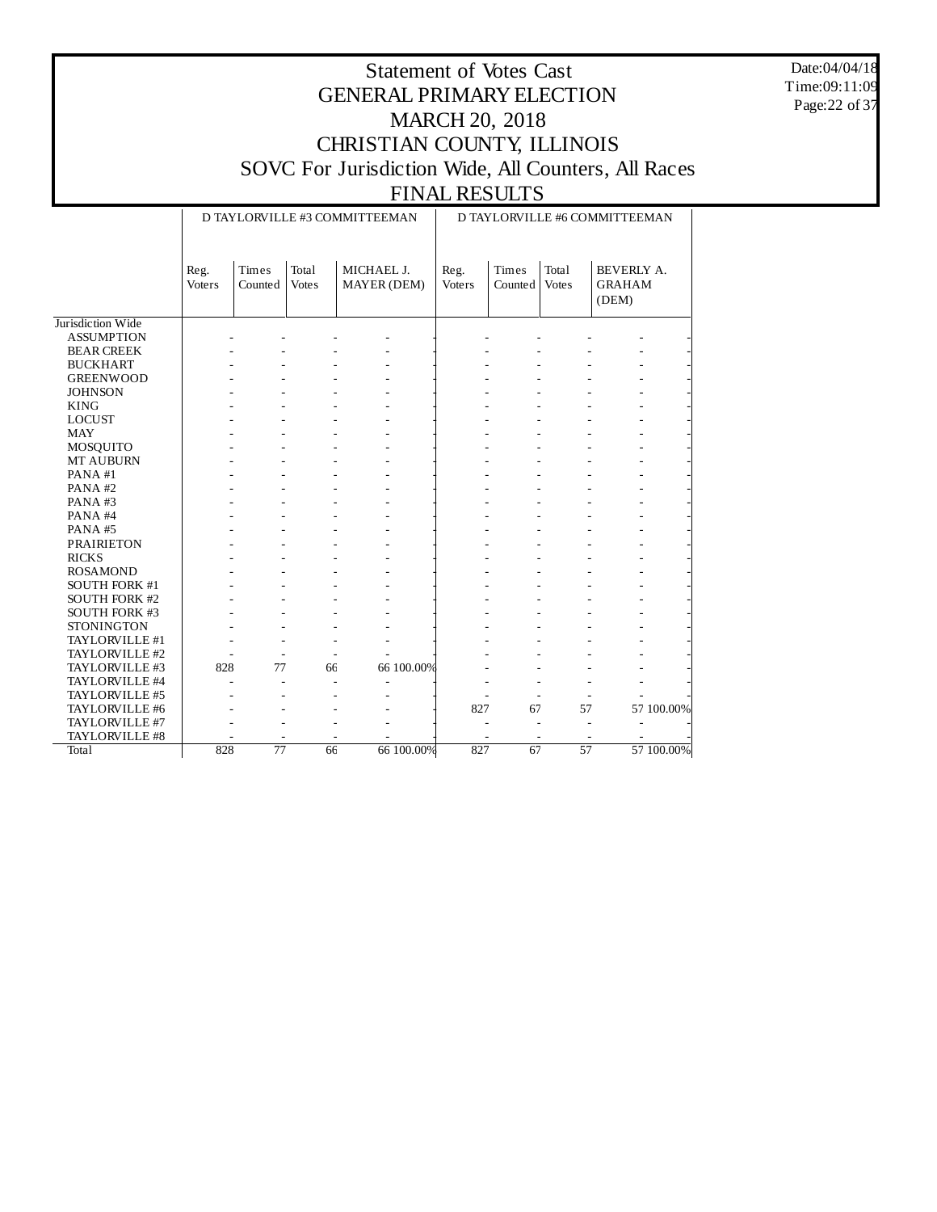Date:04/04/18 Time:09:11:09 Page:22 of 37

|                      |                       |                      |                       | D TAYLORVILLE #3 COMMITTEEMAN | D TAYLORVILLE #6 COMMITTEEMAN |                       |                       |                                      |            |  |
|----------------------|-----------------------|----------------------|-----------------------|-------------------------------|-------------------------------|-----------------------|-----------------------|--------------------------------------|------------|--|
|                      | Reg.<br><b>Voters</b> | Times<br>Counted     | Total<br><b>Votes</b> | MICHAEL J.<br>MAYER (DEM)     | Reg.<br>Voters                | Times<br>Counted      | Total<br><b>Votes</b> | BEVERLY A.<br><b>GRAHAM</b><br>(DEM) |            |  |
| Jurisdiction Wide    |                       |                      |                       |                               |                               |                       |                       |                                      |            |  |
| <b>ASSUMPTION</b>    |                       |                      |                       |                               |                               |                       |                       |                                      |            |  |
| <b>BEAR CREEK</b>    |                       |                      |                       |                               |                               |                       |                       |                                      |            |  |
| <b>BUCKHART</b>      |                       |                      |                       |                               |                               |                       |                       |                                      |            |  |
| <b>GREENWOOD</b>     |                       |                      |                       |                               |                               |                       |                       |                                      |            |  |
| <b>JOHNSON</b>       |                       |                      |                       |                               |                               |                       |                       |                                      |            |  |
| <b>KING</b>          |                       |                      |                       |                               |                               |                       |                       |                                      |            |  |
| <b>LOCUST</b>        |                       |                      |                       |                               |                               |                       |                       |                                      |            |  |
| <b>MAY</b>           |                       |                      |                       |                               |                               |                       |                       |                                      |            |  |
| MOSQUITO             |                       |                      |                       |                               |                               |                       |                       |                                      |            |  |
| MT AUBURN            |                       |                      |                       |                               |                               |                       |                       |                                      |            |  |
| PANA#1               |                       |                      |                       |                               |                               |                       |                       |                                      |            |  |
| PANA#2               |                       |                      |                       |                               |                               |                       |                       |                                      |            |  |
| PANA#3               |                       |                      |                       |                               |                               |                       |                       |                                      |            |  |
| PANA#4               |                       |                      |                       |                               |                               |                       |                       |                                      |            |  |
| PANA#5               |                       |                      |                       |                               |                               |                       |                       |                                      |            |  |
| <b>PRAIRIETON</b>    |                       |                      |                       |                               |                               |                       |                       |                                      |            |  |
| <b>RICKS</b>         |                       |                      |                       |                               |                               |                       |                       |                                      |            |  |
| <b>ROSAMOND</b>      |                       |                      |                       |                               |                               |                       |                       |                                      |            |  |
| <b>SOUTH FORK #1</b> |                       |                      |                       |                               |                               |                       |                       |                                      |            |  |
| <b>SOUTH FORK #2</b> |                       |                      |                       |                               |                               |                       |                       |                                      |            |  |
| <b>SOUTH FORK #3</b> |                       |                      |                       |                               |                               |                       |                       |                                      |            |  |
| <b>STONINGTON</b>    |                       |                      |                       |                               |                               |                       |                       |                                      |            |  |
| TAYLORVILLE #1       |                       |                      |                       |                               |                               |                       |                       |                                      |            |  |
| TAYLORVILLE #2       |                       | L.                   | $\sim$                |                               |                               |                       |                       |                                      |            |  |
| TAYLORVILLE #3       | 828                   | 77                   | 66                    | 66 100.00%                    |                               |                       |                       |                                      |            |  |
| TAYLORVILLE #4       |                       | L.<br>$\overline{a}$ | $\overline{a}$        | $\overline{a}$                |                               |                       |                       |                                      |            |  |
| TAYLORVILLE #5       |                       |                      |                       | ä,                            | ä,                            | $\tilde{\phantom{a}}$ | $\sim$                |                                      |            |  |
| TAYLORVILLE #6       |                       |                      |                       |                               | 827                           | 67                    | 57                    |                                      | 57 100.00% |  |
| TAYLORVILLE #7       |                       |                      |                       |                               |                               |                       |                       |                                      |            |  |
| TAYLORVILLE #8       |                       | ÷,                   |                       |                               |                               |                       |                       |                                      |            |  |
| <b>Total</b>         | 828                   | $\overline{77}$      | 66                    | 66 100.00%                    | 827                           | 67                    | $\overline{57}$       |                                      | 57 100.00% |  |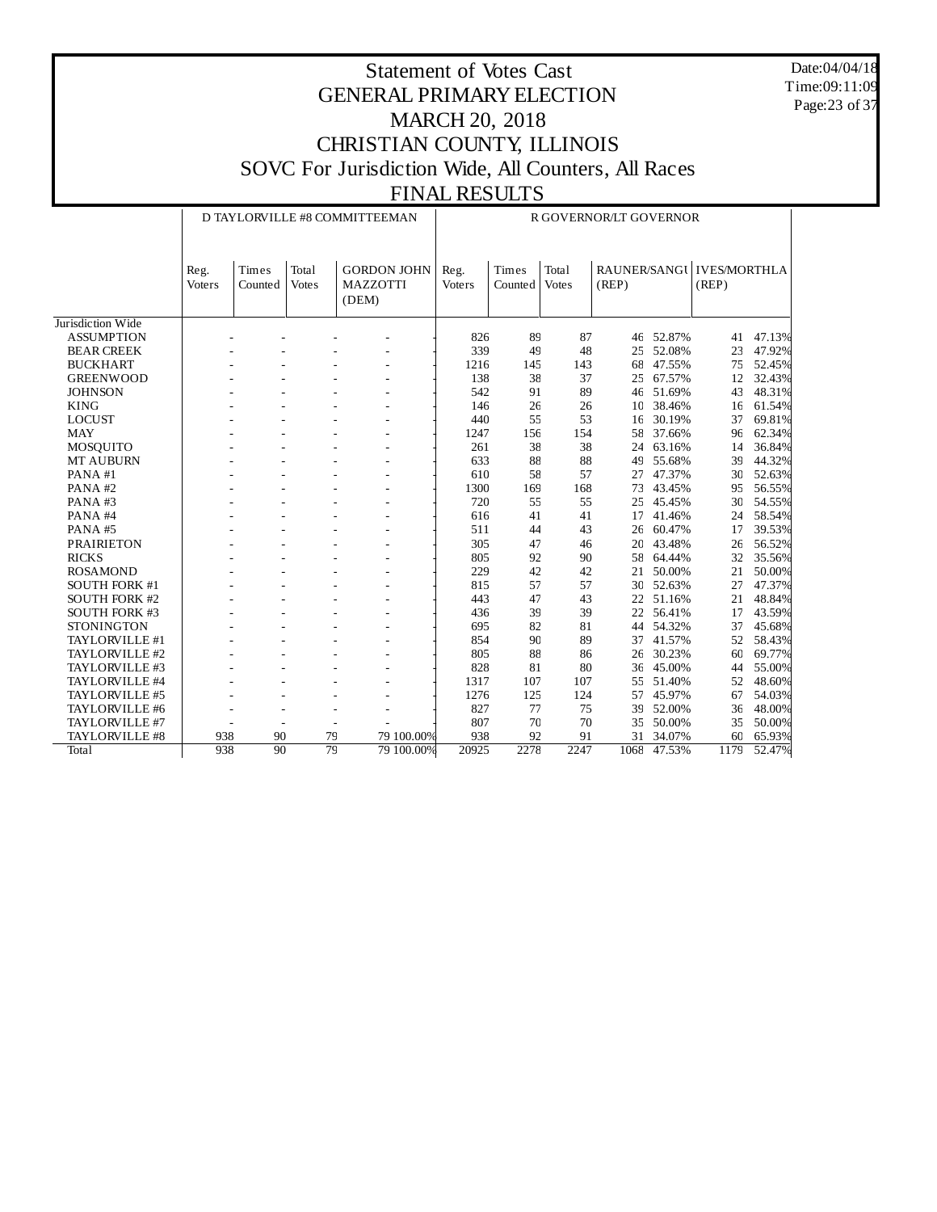Date:04/04/18 Time:09:11:09 Page:23 of 37

|                      |                |                  |                       | D TAYLORVILLE #8 COMMITTEEMAN                  | R GOVERNOR/LT GOVERNOR |                  |                       |                       |        |                              |        |  |
|----------------------|----------------|------------------|-----------------------|------------------------------------------------|------------------------|------------------|-----------------------|-----------------------|--------|------------------------------|--------|--|
|                      | Reg.<br>Voters | Times<br>Counted | Total<br><b>Votes</b> | <b>GORDON JOHN</b><br><b>MAZZOTTI</b><br>(DEM) | Reg.<br>Voters         | Times<br>Counted | Total<br><b>Votes</b> | RAUNER/SANGU<br>(REP) |        | <b>IVES/MORTHLA</b><br>(REP) |        |  |
| Jurisdiction Wide    |                |                  |                       |                                                |                        |                  |                       |                       |        |                              |        |  |
| <b>ASSUMPTION</b>    |                |                  |                       |                                                | 826                    | 89               | 87                    | 46                    | 52.87% | 41                           | 47.13% |  |
| <b>BEAR CREEK</b>    |                |                  |                       |                                                | 339                    | 49               | 48                    | 25                    | 52.08% | 23                           | 47.92% |  |
| <b>BUCKHART</b>      |                |                  |                       |                                                | 1216                   | 145              | 143                   | 68                    | 47.55% | 75                           | 52.45% |  |
| <b>GREENWOOD</b>     |                |                  |                       |                                                | 138                    | 38               | 37                    | 25                    | 67.57% | 12                           | 32.43% |  |
| <b>JOHNSON</b>       |                |                  |                       |                                                | 542                    | 91               | 89                    | 46                    | 51.69% | 43                           | 48.31% |  |
| <b>KING</b>          |                |                  |                       |                                                | 146                    | 26               | 26                    | 10                    | 38.46% | 16                           | 61.54% |  |
| <b>LOCUST</b>        |                |                  |                       |                                                | 440                    | 55               | 53                    | 16                    | 30.19% | 37                           | 69.81% |  |
| <b>MAY</b>           |                |                  |                       |                                                | 1247                   | 156              | 154                   | 58                    | 37.66% | 96                           | 62.34% |  |
| MOSQUITO             |                |                  |                       |                                                | 261                    | 38               | 38                    | 24                    | 63.16% | 14                           | 36.84% |  |
| <b>MT AUBURN</b>     |                |                  |                       |                                                | 633                    | 88               | 88                    | 49                    | 55.68% | 39                           | 44.32% |  |
| PANA#1               |                |                  |                       |                                                | 610                    | 58               | 57                    | 27                    | 47.37% | 30                           | 52.63% |  |
| PANA#2               |                |                  |                       |                                                | 1300                   | 169              | 168                   | 73                    | 43.45% | 95                           | 56.55% |  |
| PANA#3               |                |                  |                       |                                                | 720                    | 55               | 55                    | 25                    | 45.45% | 30                           | 54.55% |  |
| PANA#4               |                |                  |                       |                                                | 616                    | 41               | 41                    | 17                    | 41.46% | 24                           | 58.54% |  |
| PANA#5               |                |                  |                       |                                                | 511                    | 44               | 43                    | 26                    | 60.47% | 17                           | 39.53% |  |
| <b>PRAIRIETON</b>    |                |                  |                       |                                                | 305                    | 47               | 46                    | 20                    | 43.48% | 26                           | 56.52% |  |
| <b>RICKS</b>         |                |                  |                       |                                                | 805                    | 92               | 90                    | 58                    | 64.44% | 32                           | 35.56% |  |
| <b>ROSAMOND</b>      |                |                  |                       |                                                | 229                    | 42               | 42                    | 21                    | 50.00% | 21                           | 50.00% |  |
| <b>SOUTH FORK #1</b> |                |                  |                       |                                                | 815                    | 57               | 57                    | 30                    | 52.63% | 27                           | 47.37% |  |
| <b>SOUTH FORK #2</b> |                |                  |                       |                                                | 443                    | 47               | 43                    | 22                    | 51.16% | 21                           | 48.84% |  |
| <b>SOUTH FORK #3</b> |                |                  |                       |                                                | 436                    | 39               | 39                    | 22                    | 56.41% | 17                           | 43.59% |  |
| <b>STONINGTON</b>    |                |                  |                       |                                                | 695                    | 82               | 81                    | 44                    | 54.32% | 37                           | 45.68% |  |
| TAYLORVILLE #1       |                |                  |                       |                                                | 854                    | 90               | 89                    | 37                    | 41.57% | 52                           | 58.43% |  |
| TAYLORVILLE #2       |                |                  |                       |                                                | 805                    | 88               | 86                    | 26                    | 30.23% | 60                           | 69.77% |  |
| TAYLORVILLE #3       |                |                  |                       |                                                | 828                    | 81               | 80                    | 36                    | 45.00% | 44                           | 55.00% |  |
| TAYLORVILLE #4       |                |                  |                       |                                                | 1317                   | 107              | 107                   | 55                    | 51.40% | 52                           | 48.60% |  |
| TAYLORVILLE #5       |                |                  |                       |                                                | 1276                   | 125              | 124                   | 57                    | 45.97% | 67                           | 54.03% |  |
| TAYLORVILLE #6       |                | ٠                |                       |                                                | 827                    | 77               | 75                    | 39                    | 52.00% | 36                           | 48.00% |  |
| TAYLORVILLE #7       |                | ÷,               |                       |                                                | 807                    | 70               | 70                    | 35                    | 50.00% | 35                           | 50.00% |  |
| TAYLORVILLE #8       | 938            | 90               | 79                    | 79 100,00%                                     | 938                    | 92               | 91                    | 31                    | 34.07% | 60                           | 65.93% |  |
| Total                | 938            | 90               | $\overline{79}$       | 79 100.00%                                     | 20925                  | 2278             | 2247                  | 1068                  | 47.53% | 1179                         | 52.47% |  |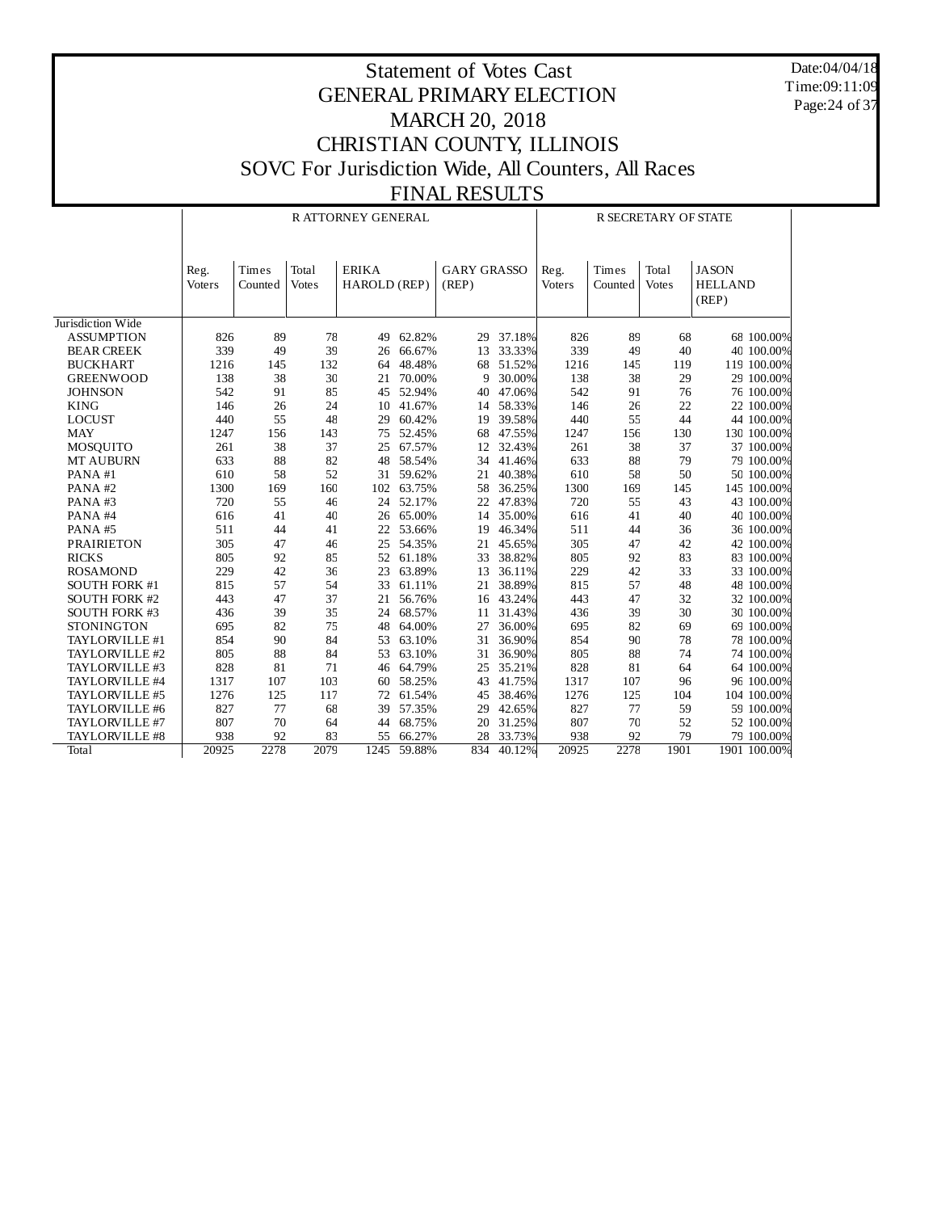Date:04/04/18 Time:09:11:09 Page:24 of 37

|                      |        |         |              | R ATTORNEY GENERAL |        |                    | R SECRETARY OF STATE |        |         |              |                |
|----------------------|--------|---------|--------------|--------------------|--------|--------------------|----------------------|--------|---------|--------------|----------------|
|                      |        |         |              |                    |        |                    |                      |        |         |              |                |
|                      | Reg.   | Times   | Total        | <b>ERIKA</b>       |        | <b>GARY GRASSO</b> |                      | Reg.   | Times   | Total        | <b>JASON</b>   |
|                      | Voters | Counted | <b>Votes</b> | HAROLD (REP)       |        | (REP)              |                      | Voters | Counted | <b>Votes</b> | <b>HELLAND</b> |
|                      |        |         |              |                    |        |                    |                      |        |         |              | (REP)          |
|                      |        |         |              |                    |        |                    |                      |        |         |              |                |
| Jurisdiction Wide    |        |         |              |                    |        |                    |                      |        |         |              |                |
| <b>ASSUMPTION</b>    | 826    | 89      | 78           | 49                 | 62.82% | 29                 | 37.18%               | 826    | 89      | 68           | 68 100.00%     |
| <b>BEAR CREEK</b>    | 339    | 49      | 39           | 26                 | 66.67% | 13                 | 33.33%               | 339    | 49      | 40           | 40 100.00%     |
| <b>BUCKHART</b>      | 1216   | 145     | 132          | 64                 | 48.48% | 68                 | 51.52%               | 1216   | 145     | 119          | 119 100.00%    |
| <b>GREENWOOD</b>     | 138    | 38      | 30           | 21                 | 70.00% | g                  | 30.00%               | 138    | 38      | 29           | 29 100.00%     |
| <b>JOHNSON</b>       | 542    | 91      | 85           | 45                 | 52.94% | 40                 | 47.06%               | 542    | 91      | 76           | 76 100.00%     |
| <b>KING</b>          | 146    | 26      | 24           | 10                 | 41.67% | 14                 | 58.33%               | 146    | 26      | 22           | 22 100.00%     |
| <b>LOCUST</b>        | 440    | 55      | 48           | 29                 | 60.42% | 19                 | 39.58%               | 440    | 55      | 44           | 44 100.00%     |
| <b>MAY</b>           | 1247   | 156     | 143          | 75                 | 52.45% | 68                 | 47.55%               | 1247   | 156     | 130          | 130 100,00%    |
| MOSQUITO             | 261    | 38      | 37           | 25                 | 67.57% | 12                 | 32.43%               | 261    | 38      | 37           | 37 100.00%     |
| <b>MT AUBURN</b>     | 633    | 88      | 82           | 48                 | 58.54% | 34                 | 41.46%               | 633    | 88      | 79           | 79 100.00%     |
| PANA#1               | 610    | 58      | 52           | 31                 | 59.62% | 21                 | 40.38%               | 610    | 58      | 50           | 50 100.00%     |
| PANA#2               | 1300   | 169     | 160          | 102                | 63.75% | 58                 | 36.25%               | 1300   | 169     | 145          | 145 100.00%    |
| PANA#3               | 720    | 55      | 46           | 24                 | 52.17% | 22                 | 47.83%               | 720    | 55      | 43           | 43 100.00%     |
| PANA#4               | 616    | 41      | 40           | 26                 | 65.00% | 14                 | 35.00%               | 616    | 41      | 40           | 40 100.00%     |
| PANA#5               | 511    | 44      | 41           | 22                 | 53.66% | 19                 | 46.34%               | 511    | 44      | 36           | 36 100.00%     |
| <b>PRAIRIETON</b>    | 305    | 47      | 46           | 25                 | 54.35% | 21                 | 45.65%               | 305    | 47      | 42           | 42 100.00%     |
| <b>RICKS</b>         | 805    | 92      | 85           | 52                 | 61.18% | 33                 | 38.82%               | 805    | 92      | 83           | 83 100.00%     |
| <b>ROSAMOND</b>      | 229    | 42      | 36           | 23                 | 63.89% | 13                 | 36.11%               | 229    | 42      | 33           | 33 100.00%     |
| <b>SOUTH FORK #1</b> | 815    | 57      | 54           | 33                 | 61.11% | 21                 | 38.89%               | 815    | 57      | 48           | 48 100.00%     |
| <b>SOUTH FORK #2</b> | 443    | 47      | 37           | 21                 | 56.76% | 16                 | 43.24%               | 443    | 47      | 32           | 32 100.00%     |
| <b>SOUTH FORK #3</b> | 436    | 39      | 35           | 24                 | 68.57% | 11                 | 31.43%               | 436    | 39      | 30           | 30 100.00%     |
| <b>STONINGTON</b>    | 695    | 82      | 75           | 48                 | 64.00% | 27                 | 36.00%               | 695    | 82      | 69           | 69 100.00%     |
| TAYLORVILLE #1       | 854    | 90      | 84           | 53                 | 63.10% | 31                 | 36.90%               | 854    | 90      | 78           | 78 100.00%     |
| TAYLORVILLE #2       | 805    | 88      | 84           | 53                 | 63.10% | 31                 | 36.90%               | 805    | 88      | 74           | 74 100.00%     |
| TAYLORVILLE #3       | 828    | 81      | 71           | 46                 | 64.79% | 25                 | 35.21%               | 828    | 81      | 64           | 64 100.00%     |
| TAYLORVILLE #4       | 1317   | 107     | 103          | 60                 | 58.25% | 43                 | 41.75%               | 1317   | 107     | 96           | 96 100.00%     |
| TAYLORVILLE #5       | 1276   | 125     | 117          | 72                 | 61.54% | 45                 | 38.46%               | 1276   | 125     | 104          | 104 100.00%    |
| TAYLORVILLE #6       | 827    | 77      | 68           | 39                 | 57.35% | 29                 | 42.65%               | 827    | 77      | 59           | 59 100.00%     |
| TAYLORVILLE #7       | 807    | 70      | 64           | 44                 | 68.75% | 20                 | 31.25%               | 807    | 70      | 52           | 52 100.00%     |
| TAYLORVILLE #8       | 938    | 92      | 83           | 55                 | 66.27% | 28                 | 33.73%               | 938    | 92      | 79           | 79 100.00%     |
| Total                | 20925  | 2278    | 2079         | 1245               | 59.88% | 834                | 40.12%               | 20925  | 2278    | 1901         | 1901 100.00%   |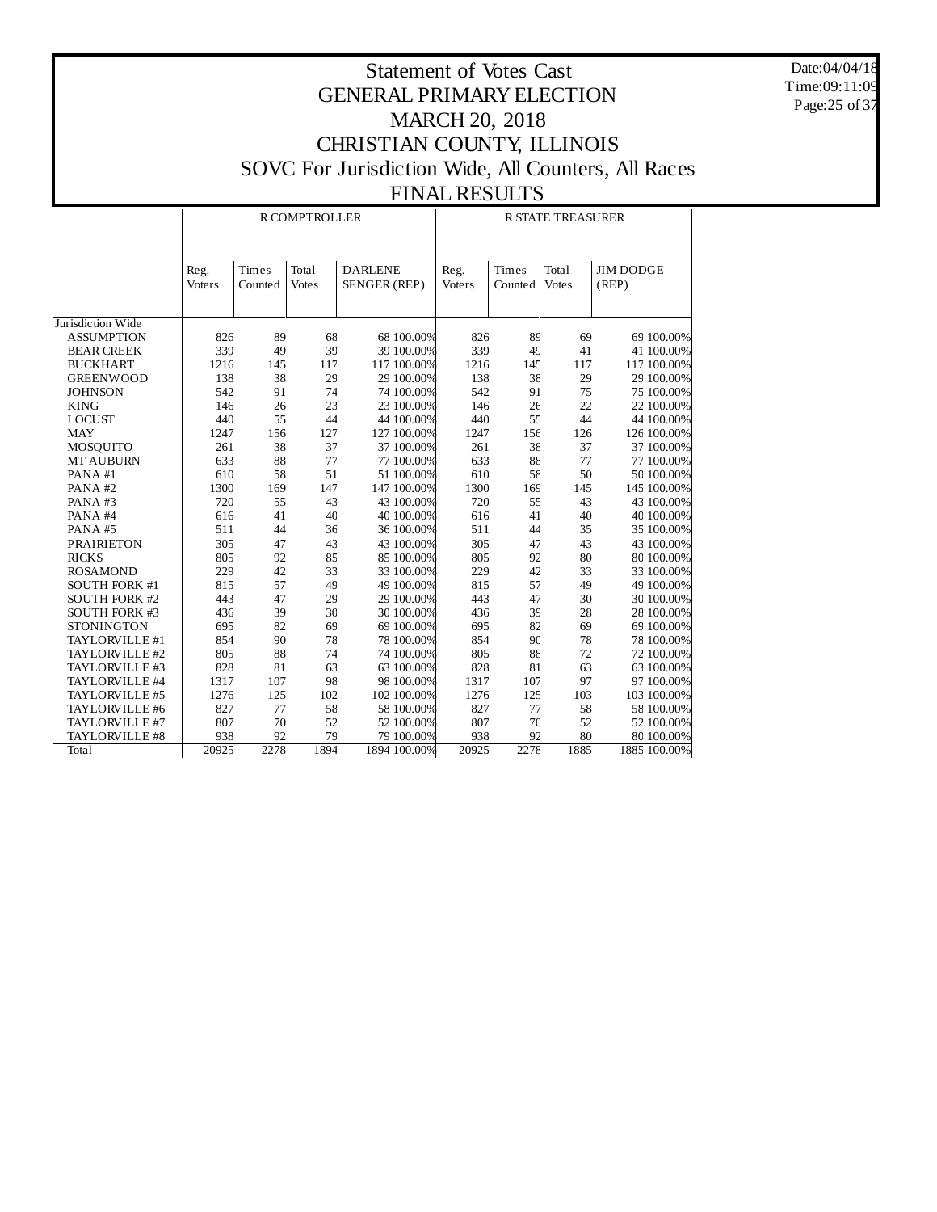Date:04/04/18 Time:09:11:09 Page:25 of 37

|                                     |                       |                  | R COMPTROLLER         |                                | <b>R STATE TREASURER</b> |                  |                       |                           |  |
|-------------------------------------|-----------------------|------------------|-----------------------|--------------------------------|--------------------------|------------------|-----------------------|---------------------------|--|
|                                     | Reg.<br><b>Voters</b> | Times<br>Counted | Total<br><b>Votes</b> | <b>DARLENE</b><br>SENGER (REP) | Reg.<br>Voters           | Times<br>Counted | Total<br><b>Votes</b> | <b>JIM DODGE</b><br>(REP) |  |
| Jurisdiction Wide                   |                       |                  |                       |                                |                          |                  |                       |                           |  |
| <b>ASSUMPTION</b>                   | 826                   | 89               | 68                    | 68 100.00%                     | 826                      | 89               | 69                    | 69 100.00%                |  |
| <b>BEAR CREEK</b>                   | 339                   | 49               | 39                    | 39 100.00%                     | 339                      | 49               | 41                    | 41 100.00%                |  |
| <b>BUCKHART</b>                     | 1216                  | 145              | 117                   | 117 100.00%                    | 1216                     | 145              | 117                   | 117 100.00%               |  |
| <b>GREENWOOD</b>                    | 138                   | 38               | 29                    | 29 100.00%                     | 138                      | 38               | 29                    | 29 100.00%                |  |
| <b>JOHNSON</b>                      | 542                   | 91               | 74                    | 74 100.00%                     | 542                      | 91               | 75                    | 75 100.00%                |  |
| <b>KING</b>                         | 146                   | 26               | 23                    | 23 100.00%                     | 146                      | 26               | 22                    | 22 100.00%                |  |
| <b>LOCUST</b>                       | 440                   | 55               | 44                    | 44 100.00%                     | 440                      | 55               | 44                    | 44 100.00%                |  |
| <b>MAY</b>                          | 1247                  | 156              | 127                   | 127 100.00%                    | 1247                     | 156              | 126                   | 126 100.00%               |  |
|                                     | 261                   | 38               | 37                    | 37 100.00%                     | 261                      | 38               | 37                    | 37 100.00%                |  |
| <b>MOSQUITO</b><br><b>MT AUBURN</b> | 633                   | 88               | 77                    | 77 100.00%                     | 633                      | 88               | 77                    | 77 100.00%                |  |
| PANA#1                              | 610                   | 58               | 51                    | 51 100.00%                     | 610                      | 58               | 50                    | 50 100.00%                |  |
|                                     | 1300                  |                  |                       | 147 100.00%                    |                          |                  |                       | 145 100.00%               |  |
| PANA#2                              | 720                   | 169<br>55        | 147<br>43             | 43 100.00%                     | 1300<br>720              | 169<br>55        | 145<br>43             | 43 100.00%                |  |
| PANA#3                              |                       | 41               | 40                    | 40 100.00%                     | 616                      |                  |                       | 40 100.00%                |  |
| PANA#4                              | 616                   | 44               | 36                    | 36 100.00%                     |                          | 41               | 40                    |                           |  |
| PANA#5                              | 511                   |                  |                       |                                | 511                      | 44               | 35                    | 35 100.00%                |  |
| <b>PRAIRIETON</b>                   | 305                   | 47               | 43                    | 43 100.00%                     | 305                      | 47               | 43                    | 43 100.00%                |  |
| <b>RICKS</b>                        | 805                   | 92               | 85                    | 85 100.00%                     | 805                      | 92               | 80                    | 80 100.00%                |  |
| <b>ROSAMOND</b>                     | 229                   | 42               | 33                    | 33 100.00%                     | 229                      | 42               | 33                    | 33 100.00%                |  |
| <b>SOUTH FORK #1</b>                | 815                   | 57               | 49                    | 49 100.00%                     | 815                      | 57               | 49                    | 49 100.00%                |  |
| SOUTH FORK #2                       | 443                   | 47               | 29                    | 29 100.00%                     | 443                      | 47               | 30                    | 30 100.00%                |  |
| <b>SOUTH FORK #3</b>                | 436                   | 39               | 30                    | 30 100.00%                     | 436                      | 39               | 28                    | 28 100.00%                |  |
| <b>STONINGTON</b>                   | 695                   | 82               | 69                    | 69 100.00%                     | 695                      | 82               | 69                    | 69 100.00%                |  |
| TAYLORVILLE #1                      | 854                   | 90               | 78                    | 78 100.00%                     | 854                      | 90               | 78                    | 78 100.00%                |  |
| TAYLORVILLE #2                      | 805                   | 88               | 74                    | 74 100.00%                     | 805                      | 88               | 72                    | 72 100.00%                |  |
| TAYLORVILLE #3                      | 828                   | 81               | 63                    | 63 100.00%                     | 828                      | 81               | 63                    | 63 100.00%                |  |
| TAYLORVILLE #4                      | 1317                  | 107              | 98                    | 98 100.00%                     | 1317                     | 107              | 97                    | 97 100.00%                |  |
| TAYLORVILLE #5                      | 1276                  | 125              | 102                   | 102 100.00%                    | 1276                     | 125              | 103                   | 103 100.00%               |  |
| TAYLORVILLE #6                      | 827                   | 77               | 58                    | 58 100.00%                     | 827                      | 77               | 58                    | 58 100.00%                |  |
| TAYLORVILLE #7                      | 807                   | 70               | 52                    | 52 100.00%                     | 807                      | 70               | 52                    | 52 100.00%                |  |
| TAYLORVILLE #8                      | 938                   | 92               | 79                    | 79 100.00%                     | 938                      | 92               | 80                    | 80 100.00%                |  |
| <b>Total</b>                        | 20925                 | 2278             | 1894                  | 1894 100.00%                   | 20925                    | 2278             | 1885                  | 1885 100.00%              |  |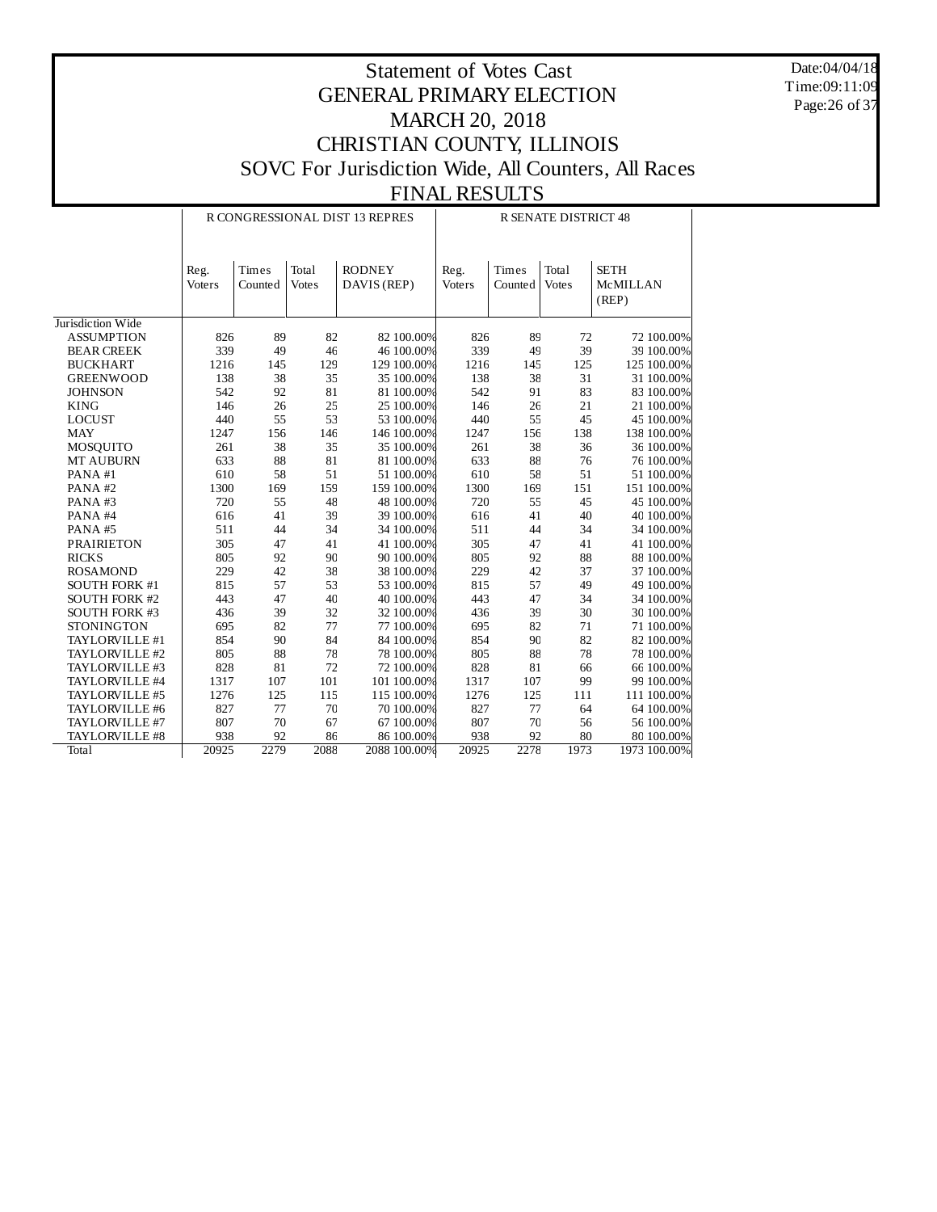Date:04/04/18 Time:09:11:09 Page:26 of 37

|                      |                |                  |                       | R CONGRESSIONAL DIST 13 REPRES | <b>R SENATE DISTRICT 48</b> |                  |                       |                                  |  |  |
|----------------------|----------------|------------------|-----------------------|--------------------------------|-----------------------------|------------------|-----------------------|----------------------------------|--|--|
|                      | Reg.<br>Voters | Times<br>Counted | Total<br><b>Votes</b> | <b>RODNEY</b><br>DAVIS (REP)   | Reg.<br>Voters              | Times<br>Counted | Total<br><b>Votes</b> | <b>SETH</b><br>McMILLAN<br>(REP) |  |  |
| Jurisdiction Wide    |                |                  |                       |                                |                             |                  |                       |                                  |  |  |
| <b>ASSUMPTION</b>    | 826            | 89               | 82                    | 82 100.00%                     | 826                         | 89               | 72                    | 72 100.00%                       |  |  |
| <b>BEAR CREEK</b>    | 339            | 49               | 46                    | 46 100.00%                     | 339                         | 49               | 39                    | 39 100.00%                       |  |  |
| <b>BUCKHART</b>      | 1216           | 145              | 129                   | 129 100.00%                    | 1216                        | 145              | 125                   | 125 100.00%                      |  |  |
| <b>GREENWOOD</b>     | 138            | 38               | 35                    | 35 100.00%                     | 138                         | 38               | 31                    | 31 100.00%                       |  |  |
| <b>JOHNSON</b>       | 542            | 92               | 81                    | 81 100.00%                     | 542                         | 91               | 83                    | 83 100.00%                       |  |  |
| <b>KING</b>          | 146            | 26               | 25                    | 25 100.00%                     | 146                         | 26               | 21                    | 21 100.00%                       |  |  |
| <b>LOCUST</b>        | 440            | 55               | 53                    | 53 100.00%                     | 440                         | 55               | 45                    | 45 100.00%                       |  |  |
| <b>MAY</b>           | 1247           | 156              | 146                   | 146 100.00%                    | 1247                        | 156              | 138                   | 138 100.00%                      |  |  |
| MOSQUITO             | 261            | 38               | 35                    | 35 100.00%                     | 261                         | 38               | 36                    | 36 100.00%                       |  |  |
| MT AUBURN            | 633            | 88               | 81                    | 81 100.00%                     | 633                         | 88               | 76                    | 76 100.00%                       |  |  |
| PANA#1               | 610            | 58               | 51                    | 51 100.00%                     | 610                         | 58               | 51                    | 51 100.00%                       |  |  |
| PANA#2               | 1300           | 169              | 159                   | 159 100.00%                    | 1300                        | 169              | 151                   | 151 100.00%                      |  |  |
| PANA#3               | 720            | 55               | 48                    | 48 100.00%                     | 720                         | 55               | 45                    | 45 100.00%                       |  |  |
| PANA#4               | 616            | 41               | 39                    | 39 100.00%                     | 616                         | 41               | 40                    | 40 100.00%                       |  |  |
| PANA#5               | 511            | 44               | 34                    | 34 100.00%                     | 511                         | 44               | 34                    | 34 100.00%                       |  |  |
| <b>PRAIRIETON</b>    | 305            | 47               | 41                    | 41 100.00%                     | 305                         | 47               | 41                    | 41 100.00%                       |  |  |
| <b>RICKS</b>         | 805            | 92               | 90                    | 90 100.00%                     | 805                         | 92               | 88                    | 88 100.00%                       |  |  |
| <b>ROSAMOND</b>      | 229            | 42               | 38                    | 38 100.00%                     | 229                         | 42               | 37                    | 37 100.00%                       |  |  |
| <b>SOUTH FORK #1</b> | 815            | 57               | 53                    | 53 100.00%                     | 815                         | 57               | 49                    | 49 100.00%                       |  |  |
| <b>SOUTH FORK #2</b> | 443            | 47               | 40                    | 40 100.00%                     | 443                         | 47               | 34                    | 34 100.00%                       |  |  |
| <b>SOUTH FORK #3</b> | 436            | 39               | 32                    | 32 100.00%                     | 436                         | 39               | 30                    | 30 100.00%                       |  |  |
| <b>STONINGTON</b>    | 695            | 82               | 77                    | 77 100.00%                     | 695                         | 82               | 71                    | 71 100.00%                       |  |  |
| TAYLORVILLE #1       | 854            | 90               | 84                    | 84 100.00%                     | 854                         | 90               | 82                    | 82 100.00%                       |  |  |
| TAYLORVILLE #2       | 805            | 88               | 78                    | 78 100.00%                     | 805                         | 88               | 78                    | 78 100.00%                       |  |  |
| TAYLORVILLE #3       | 828            | $81\,$           | 72                    | 72 100.00%                     | 828                         | 81               | 66                    | 66 100.00%                       |  |  |
| TAYLORVILLE #4       | 1317           | 107              | 101                   | 101 100.00%                    | 1317                        | 107              | 99                    | 99 100.00%                       |  |  |
| TAYLORVILLE #5       | 1276           | 125              | 115                   | 115 100.00%                    | 1276                        | 125              | 111                   | 111 100.00%                      |  |  |
| TAYLORVILLE #6       | 827            | 77               | 70                    | 70 100.00%                     | 827                         | 77               | 64                    | 64 100.00%                       |  |  |
| TAYLORVILLE #7       | 807            | 70               | 67                    | 67 100.00%                     | 807                         | $70\,$           | 56                    | 56 100.00%                       |  |  |
| TAYLORVILLE #8       | 938            | 92               | 86                    | 86 100.00%                     | 938                         | 92               | 80                    | 80 100.00%                       |  |  |
| <b>Total</b>         | 20925          | 2279             | 2088                  | 2088 100.00%                   | 20925                       | 2278             | 1973                  | 1973 100.00%                     |  |  |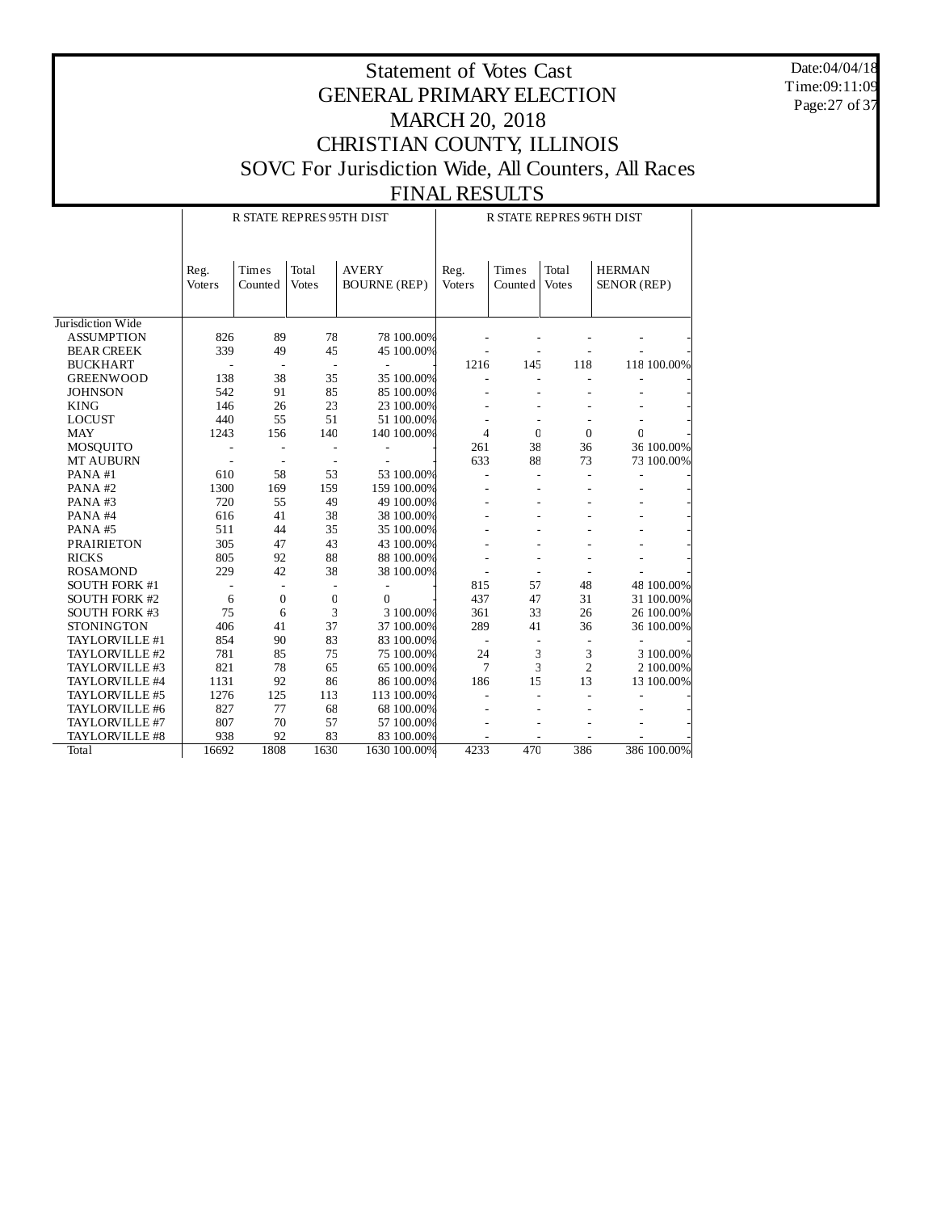Date:04/04/18 Time:09:11:09 Page:27 of 37

|                      |                       | R STATE REPRES 95TH DIST |                       |                                     |              | R STATE REPRES 96TH DIST |                  |                       |                              |             |  |
|----------------------|-----------------------|--------------------------|-----------------------|-------------------------------------|--------------|--------------------------|------------------|-----------------------|------------------------------|-------------|--|
|                      | Reg.<br><b>Voters</b> | Times<br>Counted         | Total<br><b>Votes</b> | <b>AVERY</b><br><b>BOURNE (REP)</b> |              | Reg.<br>Voters           | Times<br>Counted | Total<br><b>Votes</b> | <b>HERMAN</b><br>SENOR (REP) |             |  |
| Jurisdiction Wide    |                       |                          |                       |                                     |              |                          |                  |                       |                              |             |  |
| <b>ASSUMPTION</b>    | 826                   | 89                       | 78                    |                                     | 78 100.00%   |                          |                  |                       |                              |             |  |
| <b>BEAR CREEK</b>    | 339                   | 49                       | 45                    |                                     | 45 100.00%   |                          |                  |                       |                              |             |  |
| <b>BUCKHART</b>      |                       | $\overline{a}$           | $\overline{a}$        | L,                                  |              | 1216                     | 145              | 118                   |                              | 118 100.00% |  |
| <b>GREENWOOD</b>     | 138                   | 38                       | 35                    |                                     | 35 100.00%   |                          |                  |                       |                              |             |  |
| <b>JOHNSON</b>       | 542                   | 91                       | 85                    |                                     | 85 100.00%   |                          |                  |                       |                              |             |  |
| <b>KING</b>          | 146                   | 26                       | 23                    |                                     | 23 100.00%   |                          |                  |                       |                              |             |  |
| <b>LOCUST</b>        | 440                   | 55                       | 51                    |                                     | 51 100.00%   |                          |                  |                       |                              |             |  |
| <b>MAY</b>           | 1243                  | 156                      | 140                   |                                     | 140 100.00%  | 4                        | $\mathbf{0}$     | $\theta$              | $\mathbf 0$                  |             |  |
| <b>MOSQUITO</b>      |                       |                          |                       |                                     |              | 261                      | 38               | 36                    |                              | 36 100.00%  |  |
| MT AUBURN            |                       | ÷,                       | Ē,                    |                                     |              | 633                      | 88               | 73                    |                              | 73 100.00%  |  |
| PANA#1               | 610                   | 58                       | 53                    |                                     | 53 100.00%   |                          |                  |                       |                              |             |  |
| PANA#2               | 1300                  | 169                      | 159                   |                                     | 159 100.00%  |                          |                  |                       |                              |             |  |
| PANA#3               | 720                   | 55                       | 49                    |                                     | 49 100.00%   |                          |                  |                       |                              |             |  |
| PANA#4               | 616                   | 41                       | 38                    |                                     | 38 100.00%   |                          |                  |                       |                              |             |  |
| PANA#5               | 511                   | 44                       | 35                    |                                     | 35 100.00%   |                          |                  |                       |                              |             |  |
| <b>PRAIRIETON</b>    | 305                   | 47                       | 43                    |                                     | 43 100.00%   |                          |                  |                       |                              |             |  |
| <b>RICKS</b>         | 805                   | 92                       | 88                    |                                     | 88 100.00%   |                          |                  |                       |                              |             |  |
| <b>ROSAMOND</b>      | 229                   | 42                       | 38                    |                                     | 38 100.00%   |                          |                  |                       |                              |             |  |
| <b>SOUTH FORK #1</b> |                       | $\overline{a}$           |                       |                                     |              | 815                      | 57               | 48                    |                              | 48 100.00%  |  |
| <b>SOUTH FORK #2</b> | 6                     | $\boldsymbol{0}$         | $\mathbf 0$           | $\mathbf{0}$                        |              | 437                      | 47               | 31                    |                              | 31 100.00%  |  |
| <b>SOUTH FORK #3</b> | 75                    | 6                        | 3                     |                                     | 3 100.00%    | 361                      | 33               | 26                    |                              | 26 100.00%  |  |
| <b>STONINGTON</b>    | 406                   | 41                       | 37                    |                                     | 37 100.00%   | 289                      | 41               | 36                    |                              | 36 100.00%  |  |
| TAYLORVILLE #1       | 854                   | 90                       | 83                    |                                     | 83 100.00%   |                          |                  |                       |                              |             |  |
| TAYLORVILLE #2       | 781                   | 85                       | 75                    |                                     | 75 100.00%   | 24                       | 3                | 3                     |                              | 3 100.00%   |  |
| TAYLORVILLE #3       | 821                   | 78                       | 65                    |                                     | 65 100.00%   | 7                        | 3                | $\overline{c}$        |                              | 2 100.00%   |  |
| TAYLORVILLE #4       | 1131                  | 92                       | 86                    |                                     | 86 100.00%   | 186                      | 15               | 13                    |                              | 13 100.00%  |  |
| TAYLORVILLE #5       | 1276                  | 125                      | 113                   |                                     | 113 100.00%  |                          |                  |                       |                              |             |  |
| TAYLORVILLE #6       | 827                   | 77                       | 68                    |                                     | 68 100.00%   |                          |                  |                       |                              |             |  |
| TAYLORVILLE #7       | 807                   | 70                       | 57                    |                                     | 57 100.00%   |                          |                  |                       |                              |             |  |
| TAYLORVILLE #8       | 938                   | 92                       | 83                    |                                     | 83 100.00%   |                          |                  |                       |                              |             |  |
| <b>Total</b>         | 16692                 | 1808                     | 1630                  |                                     | 1630 100.00% | 4233                     | 470              | 386                   |                              | 386 100,00% |  |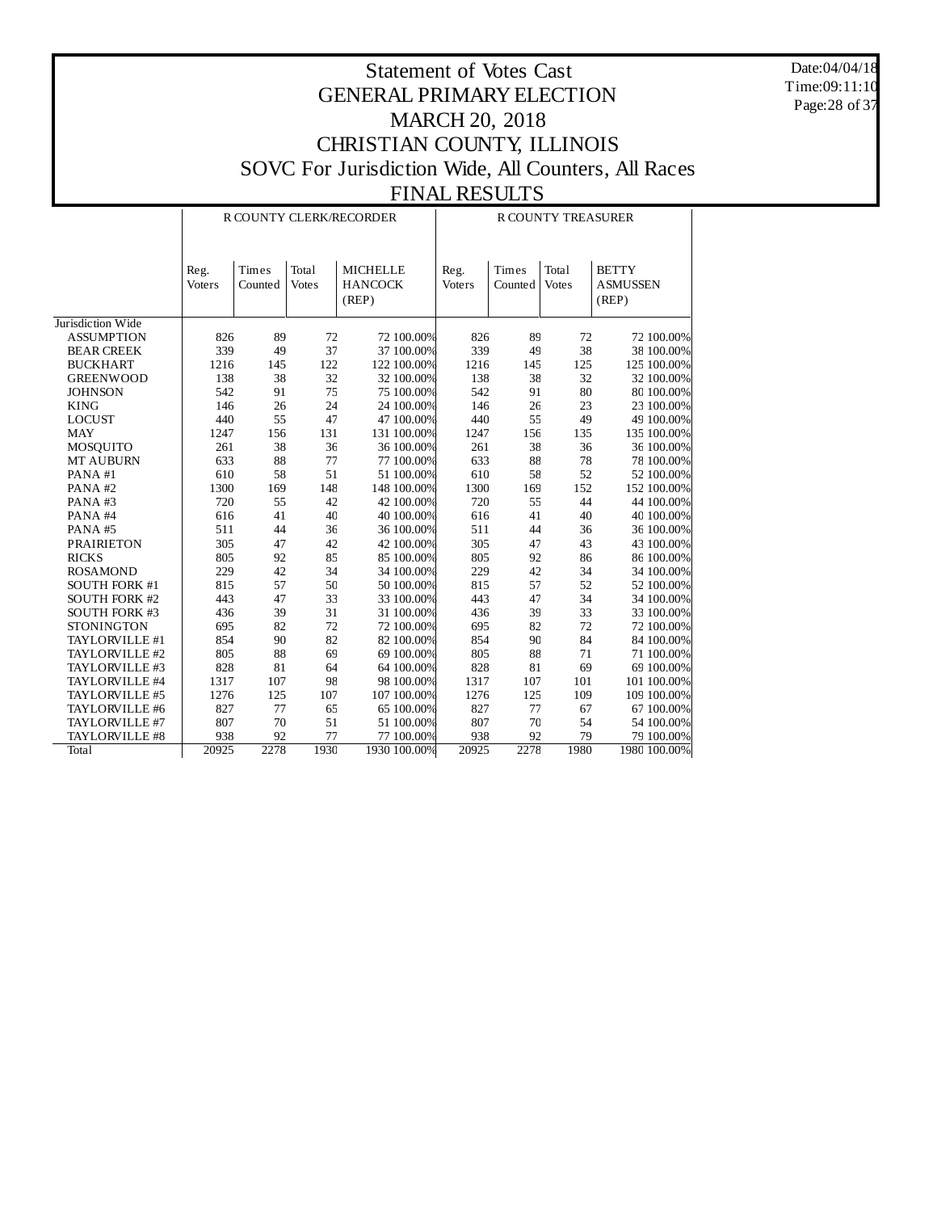Date:04/04/18 Time:09:11:10 Page:28 of 37

|                      |        |         |              | R COUNTY CLERK/RECORDER | <b>R COUNTY TREASURER</b> |         |              |                 |  |  |
|----------------------|--------|---------|--------------|-------------------------|---------------------------|---------|--------------|-----------------|--|--|
|                      | Reg.   | Times   | Total        | <b>MICHELLE</b>         | Reg.                      | Times   | Total        | <b>BETTY</b>    |  |  |
|                      | Voters | Counted | <b>Votes</b> | <b>HANCOCK</b>          | Voters                    | Counted | <b>Votes</b> | <b>ASMUSSEN</b> |  |  |
|                      |        |         |              | (REP)                   |                           |         |              | (REP)           |  |  |
|                      |        |         |              |                         |                           |         |              |                 |  |  |
| Jurisdiction Wide    |        |         |              |                         |                           |         |              |                 |  |  |
| <b>ASSUMPTION</b>    | 826    | 89      | 72           | 72 100.00%              | 826                       | 89      | 72           | 72 100.00%      |  |  |
| <b>BEAR CREEK</b>    | 339    | 49      | 37           | 37 100.00%              | 339                       | 49      | 38           | 38 100.00%      |  |  |
| <b>BUCKHART</b>      | 1216   | 145     | 122          | 122 100.00%             | 1216                      | 145     | 125          | 125 100.00%     |  |  |
| <b>GREENWOOD</b>     | 138    | 38      | 32           | 32 100.00%              | 138                       | 38      | 32           | 32 100.00%      |  |  |
| <b>JOHNSON</b>       | 542    | 91      | 75           | 75 100.00%              | 542                       | 91      | 80           | 80 100.00%      |  |  |
| <b>KING</b>          | 146    | 26      | 24           | 24 100.00%              | 146                       | 26      | 23           | 23 100.00%      |  |  |
| <b>LOCUST</b>        | 440    | 55      | 47           | 47 100.00%              | 440                       | 55      | 49           | 49 100.00%      |  |  |
| <b>MAY</b>           | 1247   | 156     | 131          | 131 100.00%             | 1247                      | 156     | 135          | 135 100.00%     |  |  |
| MOSQUITO             | 261    | 38      | 36           | 36 100.00%              | 261                       | 38      | 36           | 36 100.00%      |  |  |
| <b>MT AUBURN</b>     | 633    | 88      | 77           | 77 100.00%              | 633                       | 88      | 78           | 78 100.00%      |  |  |
| PANA#1               | 610    | 58      | 51           | 51 100.00%              | 610                       | 58      | 52           | 52 100.00%      |  |  |
| PANA#2               | 1300   | 169     | 148          | 148 100.00%             | 1300                      | 169     | 152          | 152 100.00%     |  |  |
| PANA#3               | 720    | 55      | 42           | 42 100.00%              | 720                       | 55      | 44           | 44 100.00%      |  |  |
| PANA#4               | 616    | 41      | 40           | 40 100.00%              | 616                       | 41      | 40           | 40 100.00%      |  |  |
| PANA#5               | 511    | 44      | 36           | 36 100.00%              | 511                       | 44      | 36           | 36 100.00%      |  |  |
| <b>PRAIRIETON</b>    | 305    | 47      | 42           | 42 100.00%              | 305                       | 47      | 43           | 43 100.00%      |  |  |
| <b>RICKS</b>         | 805    | 92      | 85           | 85 100.00%              | 805                       | 92      | 86           | 86 100.00%      |  |  |
| <b>ROSAMOND</b>      | 229    | 42      | 34           | 34 100.00%              | 229                       | 42      | 34           | 34 100.00%      |  |  |
| <b>SOUTH FORK #1</b> | 815    | 57      | 50           | 50 100.00%              | 815                       | 57      | 52           | 52 100.00%      |  |  |
| <b>SOUTH FORK #2</b> | 443    | 47      | 33           | 33 100.00%              | 443                       | 47      | 34           | 34 100.00%      |  |  |
| <b>SOUTH FORK #3</b> | 436    | 39      | 31           | 31 100.00%              | 436                       | 39      | 33           | 33 100.00%      |  |  |
| <b>STONINGTON</b>    | 695    | 82      | 72           | 72 100.00%              | 695                       | 82      | 72           | 72 100.00%      |  |  |
| TAYLORVILLE #1       | 854    | 90      | 82           | 82 100.00%              | 854                       | 90      | 84           | 84 100.00%      |  |  |
| TAYLORVILLE #2       | 805    | 88      | 69           | 69 100.00%              | 805                       | 88      | 71           | 71 100.00%      |  |  |
| TAYLORVILLE #3       | 828    | 81      | 64           | 64 100.00%              | 828                       | 81      | 69           | 69 100.00%      |  |  |
| TAYLORVILLE #4       | 1317   | 107     | 98           | 98 100.00%              | 1317                      | 107     | 101          | 101 100.00%     |  |  |
| TAYLORVILLE #5       | 1276   | 125     | 107          | 107 100.00%             | 1276                      | 125     | 109          | 109 100.00%     |  |  |
| TAYLORVILLE #6       | 827    | 77      | 65           | 65 100.00%              | 827                       | 77      | 67           | 67 100.00%      |  |  |
| TAYLORVILLE #7       | 807    | 70      | 51           | 51 100.00%              | 807                       | 70      | 54           | 54 100.00%      |  |  |
| TAYLORVILLE #8       | 938    | 92      | 77           | 77 100.00%              | 938                       | 92      | 79           | 79 100.00%      |  |  |
| <b>Total</b>         | 20925  | 2278    | 1930         | 1930 100.00%            | 20925                     | 2278    | 1980         | 1980 100.00%    |  |  |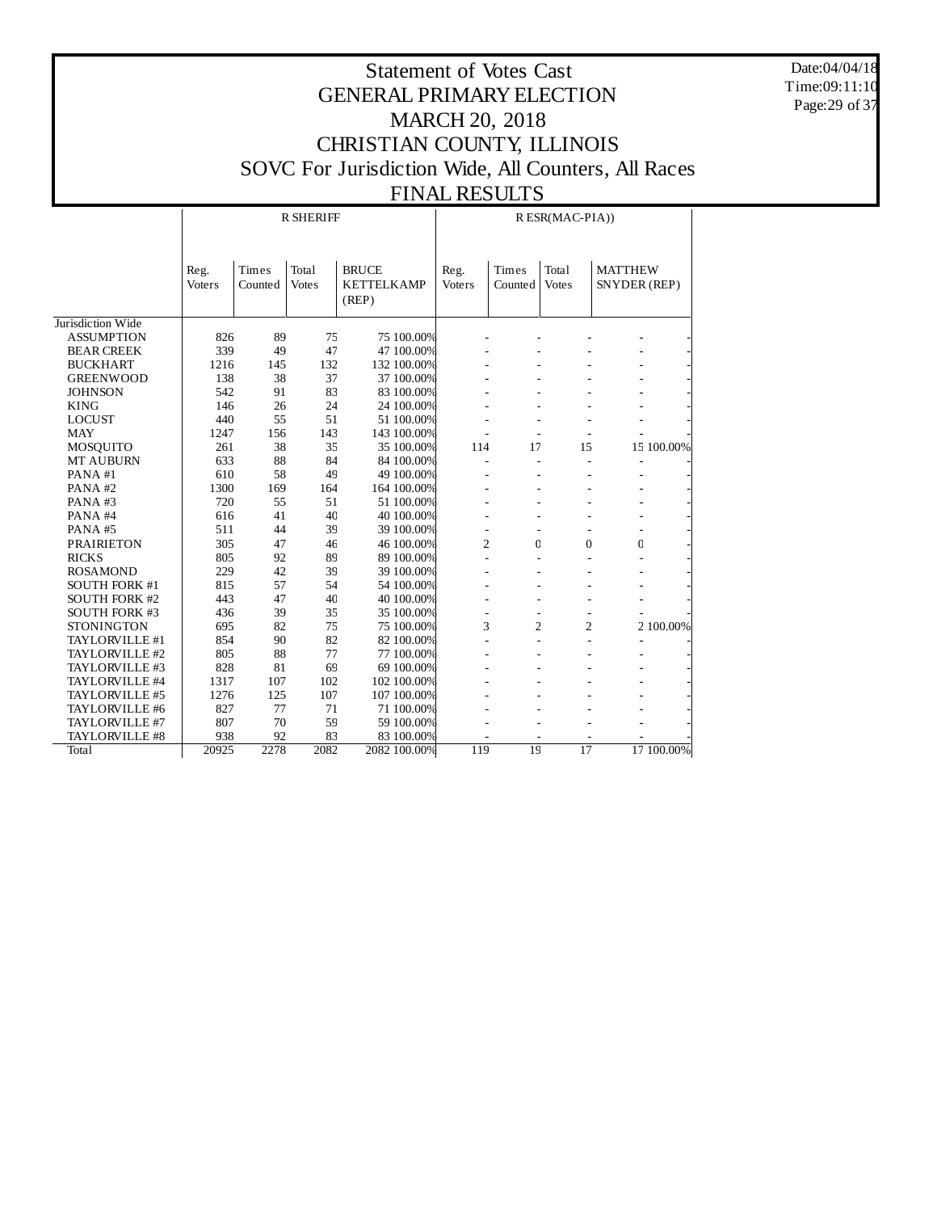Date:04/04/18 Time:09:11:10 Page:29 of 37

|                      |                |                  | <b>R SHERIFF</b>      |                                            | R ESR(MAC-PIA)) |                  |                       |                                |            |  |
|----------------------|----------------|------------------|-----------------------|--------------------------------------------|-----------------|------------------|-----------------------|--------------------------------|------------|--|
|                      | Reg.<br>Voters | Times<br>Counted | Total<br><b>Votes</b> | <b>BRUCE</b><br><b>KETTELKAMP</b><br>(REP) | Reg.<br>Voters  | Times<br>Counted | Total<br><b>Votes</b> | <b>MATTHEW</b><br>SNYDER (REP) |            |  |
| Jurisdiction Wide    |                |                  |                       |                                            |                 |                  |                       |                                |            |  |
| <b>ASSUMPTION</b>    | 826            | 89               | 75                    | 75 100.00%                                 |                 |                  |                       |                                |            |  |
| <b>BEAR CREEK</b>    | 339            | 49               | 47                    | 47 100.00%                                 |                 |                  |                       |                                |            |  |
| <b>BUCKHART</b>      | 1216           | 145              | 132                   | 132 100.00%                                |                 |                  |                       |                                |            |  |
| <b>GREENWOOD</b>     | 138            | 38               | 37                    | 37 100.00%                                 |                 |                  |                       |                                |            |  |
| <b>JOHNSON</b>       | 542            | 91               | 83                    | 83 100.00%                                 |                 |                  |                       |                                |            |  |
| <b>KING</b>          | 146            | 26               | 24                    | 24 100.00%                                 |                 |                  |                       |                                |            |  |
| <b>LOCUST</b>        | 440            | 55               | 51                    | 51 100.00%                                 |                 |                  |                       |                                |            |  |
| <b>MAY</b>           | 1247           | 156              | 143                   | 143 100.00%                                |                 |                  |                       |                                |            |  |
| MOSQUITO             | 261            | 38               | 35                    | 35 100.00%                                 | 114             | 17               | 15                    |                                | 15 100.00% |  |
| MT AUBURN            | 633            | 88               | 84                    | 84 100.00%                                 |                 |                  |                       |                                |            |  |
| PANA#1               | 610            | 58               | 49                    | 49 100.00%                                 |                 |                  |                       |                                |            |  |
| PANA#2               | 1300           | 169              | 164                   | 164 100.00%                                |                 |                  |                       |                                |            |  |
| PANA#3               | 720            | 55               | 51                    | 51 100.00%                                 |                 |                  |                       |                                |            |  |
| PANA#4               | 616            | 41               | 40                    | 40 100.00%                                 |                 |                  |                       |                                |            |  |
| PANA#5               | 511            | 44               | 39                    | 39 100.00%                                 |                 |                  |                       |                                |            |  |
| <b>PRAIRIETON</b>    | 305            | 47               | 46                    | 46 100.00%                                 | $\overline{2}$  | $\mathbf 0$      | $\overline{0}$        | C                              |            |  |
| <b>RICKS</b>         | 805            | 92               | 89                    | 89 100.00%                                 |                 |                  |                       |                                |            |  |
| <b>ROSAMOND</b>      | 229            | 42               | 39                    | 39 100.00%                                 |                 |                  |                       |                                |            |  |
| SOUTH FORK #1        | 815            | 57               | 54                    | 54 100.00%                                 |                 |                  |                       |                                |            |  |
| <b>SOUTH FORK #2</b> | 443            | 47               | 40                    | 40 100.00%                                 |                 |                  |                       |                                |            |  |
| <b>SOUTH FORK #3</b> | 436            | 39               | 35                    | 35 100.00%                                 |                 |                  |                       |                                |            |  |
| <b>STONINGTON</b>    | 695            | 82               | 75                    | 75 100.00%                                 | 3               | $\overline{2}$   | 2                     |                                | 2 100.00%  |  |
| TAYLORVILLE #1       | 854            | 90               | 82                    | 82 100.00%                                 |                 |                  |                       |                                |            |  |
| TAYLORVILLE #2       | 805            | 88               | 77                    | 77 100.00%                                 |                 |                  |                       |                                |            |  |
| TAYLORVILLE #3       | 828            | 81               | 69                    | 69 100.00%                                 |                 |                  |                       |                                |            |  |
| TAYLORVILLE #4       | 1317           | 107              | 102                   | 102 100.00%                                |                 |                  |                       |                                |            |  |
| TAYLORVILLE #5       | 1276           | 125              | 107                   | 107 100.00%                                |                 |                  |                       |                                |            |  |
| TAYLORVILLE #6       | 827            | 77               | 71                    | 71 100.00%                                 |                 |                  |                       |                                |            |  |
| TAYLORVILLE #7       | 807            | 70               | 59                    | 59 100.00%                                 |                 |                  |                       |                                |            |  |
| TAYLORVILLE #8       | 938            | 92               | 83                    | 83 100.00%                                 |                 |                  |                       |                                |            |  |
| Total                | 20925          | 2278             | 2082                  | 2082 100.00%                               | 119             | 19               | 17                    |                                | 17 100.00% |  |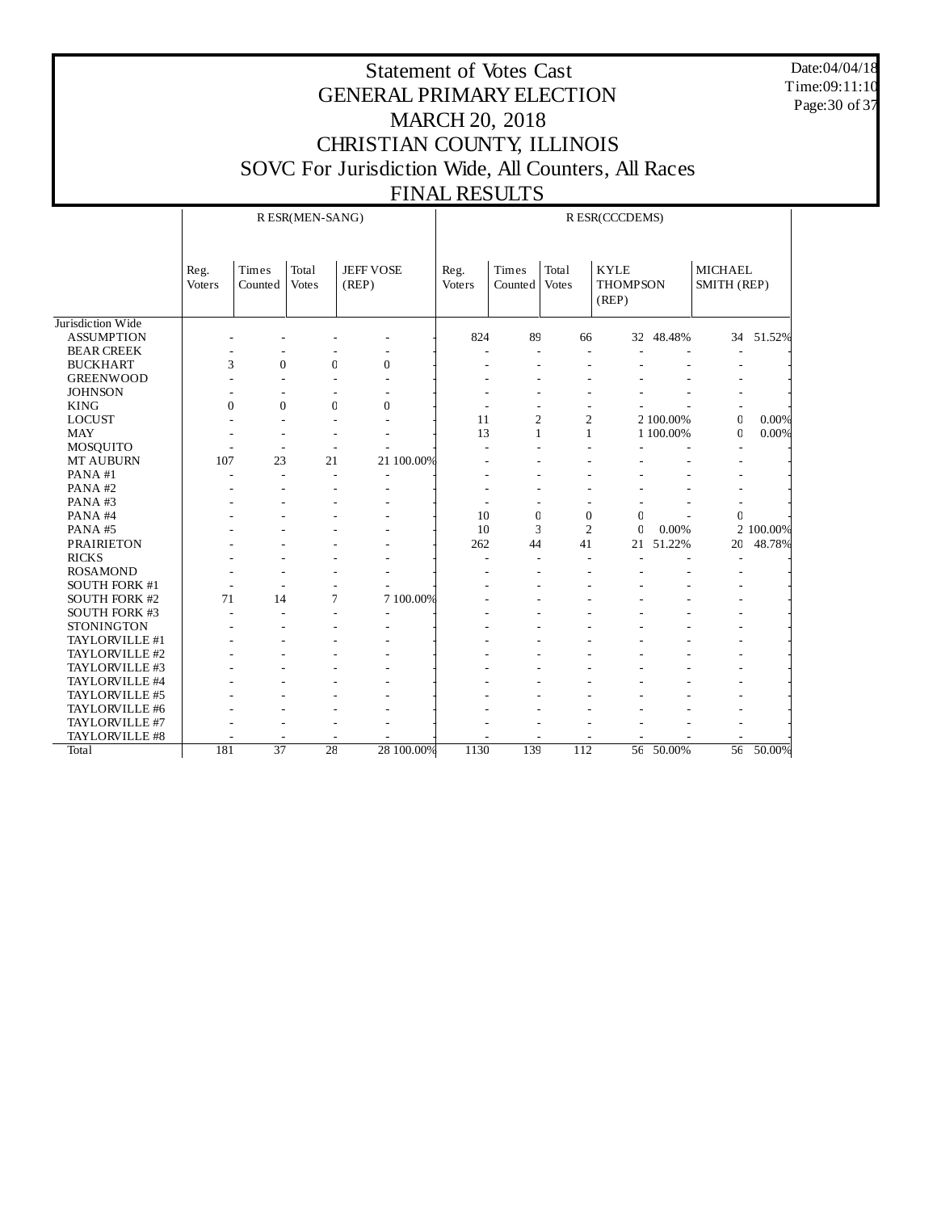Date:04/04/18 Time:09:11:10 Page:30 of 37

|                      |                |                  | R ESR(MEN-SANG)       |                           | R ESR(CCCDEMS) |                  |                       |                                         |           |                               |           |
|----------------------|----------------|------------------|-----------------------|---------------------------|----------------|------------------|-----------------------|-----------------------------------------|-----------|-------------------------------|-----------|
|                      | Reg.<br>Voters | Times<br>Counted | Total<br><b>Votes</b> | <b>JEFF VOSE</b><br>(REP) | Reg.<br>Voters | Times<br>Counted | Total<br><b>Votes</b> | <b>KYLE</b><br><b>THOMPSON</b><br>(REP) |           | <b>MICHAEL</b><br>SMITH (REP) |           |
| Jurisdiction Wide    |                |                  |                       |                           |                |                  |                       |                                         |           |                               |           |
| <b>ASSUMPTION</b>    |                |                  |                       |                           | 824            | 89               | 66                    | 32                                      | 48.48%    | 34                            | 51.52%    |
| <b>BEAR CREEK</b>    |                |                  |                       |                           |                | ÷.               |                       |                                         |           |                               |           |
| <b>BUCKHART</b>      | 3              | $\Omega$         | $\mathbf{0}$          | $\mathbf{0}$              |                |                  |                       |                                         |           |                               |           |
| <b>GREENWOOD</b>     |                |                  |                       |                           |                |                  |                       |                                         |           |                               |           |
| <b>JOHNSON</b>       |                |                  |                       |                           |                |                  |                       |                                         |           |                               |           |
| <b>KING</b>          | $\overline{0}$ | $\theta$         | $\mathbf 0$           | $\overline{0}$            |                |                  |                       |                                         |           |                               |           |
| <b>LOCUST</b>        |                |                  |                       |                           | 11             | $\overline{a}$   | $\mathfrak{2}$        |                                         | 2 100.00% | $\overline{0}$                | 0.00%     |
| <b>MAY</b>           |                |                  |                       |                           | 13             | $\mathbf{1}$     | 1                     |                                         | 1 100.00% | $\mathbf{0}$                  | 0.00%     |
| MOSQUITO             |                | ٠                |                       |                           |                |                  |                       |                                         |           |                               |           |
| <b>MT AUBURN</b>     | 107            | 23               | 21                    | 21 100.00%                |                |                  |                       |                                         |           |                               |           |
| PANA#1               |                | ÷                |                       |                           |                |                  |                       |                                         |           |                               |           |
| PANA#2               |                |                  |                       |                           |                |                  |                       |                                         |           |                               |           |
| PANA#3               |                |                  |                       |                           |                |                  |                       |                                         |           |                               |           |
| PANA#4               |                |                  |                       |                           | 10             | $\mathbf{0}$     | $\overline{0}$        | $\mathbf C$                             |           | $\Omega$                      |           |
| PANA#5               |                |                  |                       |                           | 10             | 3                | $\overline{2}$        | $\mathbf C$                             | 0.00%     |                               | 2 100.00% |
| <b>PRAIRIETON</b>    |                |                  |                       |                           | 262            | 44               | 41                    | 21                                      | 51.22%    | 20                            | 48.78%    |
| <b>RICKS</b>         |                |                  |                       |                           | ٠              |                  |                       |                                         |           |                               |           |
| <b>ROSAMOND</b>      |                |                  |                       |                           |                |                  |                       |                                         |           |                               |           |
| <b>SOUTH FORK #1</b> |                |                  |                       |                           |                |                  |                       |                                         |           |                               |           |
| <b>SOUTH FORK #2</b> | 71             | 14               | 7                     | 7 100.00%                 |                |                  |                       |                                         |           |                               |           |
| SOUTH FORK #3        |                |                  |                       |                           |                |                  |                       |                                         |           |                               |           |
| <b>STONINGTON</b>    |                |                  |                       |                           |                |                  |                       |                                         |           |                               |           |
| TAYLORVILLE #1       |                |                  |                       |                           |                |                  |                       |                                         |           |                               |           |
| TAYLORVILLE #2       |                |                  |                       |                           |                |                  |                       |                                         |           |                               |           |
| TAYLORVILLE #3       |                |                  |                       |                           |                |                  |                       |                                         |           |                               |           |
| TAYLORVILLE #4       |                |                  |                       |                           |                |                  |                       |                                         |           |                               |           |
| TAYLORVILLE #5       |                |                  |                       |                           |                |                  |                       |                                         |           |                               |           |
| TAYLORVILLE #6       |                |                  |                       |                           |                |                  |                       |                                         |           |                               |           |
| TAYLORVILLE #7       |                |                  |                       |                           |                |                  |                       |                                         |           |                               |           |
| TAYLORVILLE #8       |                |                  |                       |                           |                |                  |                       |                                         |           |                               |           |
| Total                | 181            | $\overline{37}$  | $\overline{28}$       | 28 100.00%                | 1130           | 139              | $\overline{112}$      | $\overline{56}$                         | 50.00%    | $\overline{56}$               | 50.00%    |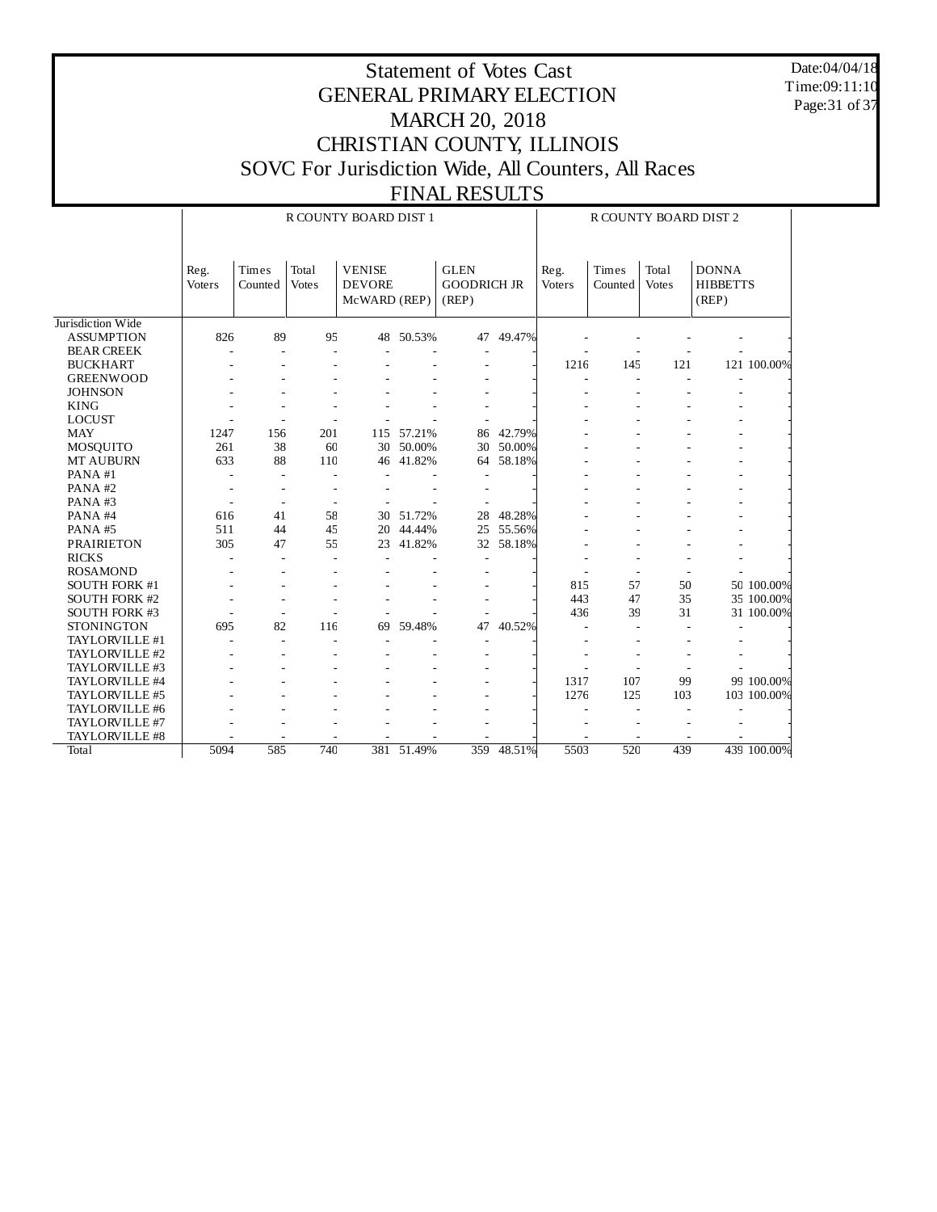Date:04/04/18 Time:09:11:10 Page:31 of 37

|                      |                       |                          |                       | R COUNTY BOARD DIST 1                          |            |                                            |        |                | R COUNTY BOARD DIST 2 |                       |                                          |             |
|----------------------|-----------------------|--------------------------|-----------------------|------------------------------------------------|------------|--------------------------------------------|--------|----------------|-----------------------|-----------------------|------------------------------------------|-------------|
|                      | Reg.<br><b>Voters</b> | Times<br>Counted         | Total<br><b>Votes</b> | <b>VENISE</b><br><b>DEVORE</b><br>McWARD (REP) |            | <b>GLEN</b><br><b>GOODRICH JR</b><br>(REP) |        | Reg.<br>Voters | Times<br>Counted      | Total<br><b>Votes</b> | <b>DONNA</b><br><b>HIBBETTS</b><br>(REP) |             |
| Jurisdiction Wide    |                       |                          |                       |                                                |            |                                            |        |                |                       |                       |                                          |             |
| <b>ASSUMPTION</b>    | 826                   | 89                       | 95                    |                                                | 48 50.53%  | 47                                         | 49.47% |                |                       |                       |                                          |             |
| <b>BEAR CREEK</b>    |                       | ÷                        | J.                    |                                                |            |                                            |        |                |                       |                       |                                          |             |
| <b>BUCKHART</b>      |                       |                          |                       |                                                |            |                                            |        | 1216           | 145                   | 121                   |                                          | 121 100.00% |
| <b>GREENWOOD</b>     |                       |                          |                       |                                                |            |                                            |        |                |                       |                       |                                          |             |
| <b>JOHNSON</b>       |                       |                          |                       |                                                |            |                                            |        |                |                       |                       |                                          |             |
| <b>KING</b>          |                       |                          |                       |                                                |            |                                            |        |                |                       |                       |                                          |             |
| <b>LOCUST</b>        |                       | ÷,                       |                       |                                                |            |                                            |        |                |                       |                       |                                          |             |
| <b>MAY</b>           | 1247                  | 156                      | 201                   | 115                                            | 57.21%     | 86                                         | 42.79% |                |                       |                       |                                          |             |
| MOSQUITO             | 261                   | 38                       | 60                    | 30                                             | 50.00%     | 30                                         | 50.00% |                |                       |                       |                                          |             |
| <b>MT AUBURN</b>     | 633                   | 88                       | 110                   | 46                                             | 41.82%     | 64                                         | 58.18% |                |                       |                       |                                          |             |
| PANA#1               |                       | $\sim$                   |                       |                                                |            |                                            |        |                |                       |                       |                                          |             |
| PANA#2               |                       |                          |                       |                                                |            |                                            |        |                |                       |                       |                                          |             |
| PANA#3               |                       | $\overline{\phantom{a}}$ |                       |                                                |            |                                            |        |                |                       |                       |                                          |             |
| PANA#4               | 616                   | 41                       | 58                    | 30                                             | 51.72%     | 28                                         | 48.28% |                |                       |                       |                                          |             |
| PANA#5               | 511                   | 44                       | 45                    | 20                                             | 44.44%     | 25                                         | 55.56% |                |                       |                       |                                          |             |
| <b>PRAIRIETON</b>    | 305                   | 47                       | 55                    | 23                                             | 41.82%     | 32                                         | 58.18% |                |                       |                       |                                          |             |
| <b>RICKS</b>         |                       | L,                       |                       |                                                |            |                                            |        |                |                       |                       |                                          |             |
| <b>ROSAMOND</b>      |                       |                          |                       |                                                |            |                                            |        |                |                       |                       |                                          |             |
| <b>SOUTH FORK #1</b> |                       |                          |                       |                                                |            |                                            |        | 815            | 57                    | 50                    |                                          | 50 100.00%  |
| <b>SOUTH FORK #2</b> |                       |                          |                       |                                                |            |                                            |        | 443            | 47                    | 35                    |                                          | 35 100.00%  |
| <b>SOUTH FORK #3</b> |                       |                          |                       |                                                |            |                                            |        | 436            | 39                    | 31                    |                                          | 31 100.00%  |
| <b>STONINGTON</b>    | 695                   | 82                       | 116                   | 69                                             | 59.48%     | 47                                         | 40.52% |                |                       |                       |                                          |             |
| TAYLORVILLE #1       |                       | ÷.                       |                       |                                                |            |                                            |        |                |                       |                       |                                          |             |
| TAYLORVILLE #2       |                       |                          |                       |                                                |            |                                            |        |                |                       |                       |                                          |             |
| TAYLORVILLE #3       |                       |                          |                       |                                                |            |                                            |        |                |                       |                       |                                          |             |
| TAYLORVILLE #4       |                       |                          |                       |                                                |            |                                            |        | 1317           | 107                   | 99                    |                                          | 99 100.00%  |
| TAYLORVILLE #5       |                       |                          |                       |                                                |            |                                            |        | 1276           | 125                   | 103                   |                                          | 103 100.00% |
| TAYLORVILLE #6       |                       |                          |                       |                                                |            |                                            |        |                |                       |                       |                                          |             |
| TAYLORVILLE #7       |                       |                          |                       |                                                |            |                                            |        |                |                       |                       |                                          |             |
| TAYLORVILLE #8       |                       |                          |                       |                                                |            |                                            |        |                |                       |                       |                                          |             |
| Total                | 5094                  | 585                      | 740                   |                                                | 381 51.49% | 359                                        | 48.51% | 5503           | 520                   | 439                   |                                          | 439 100.00% |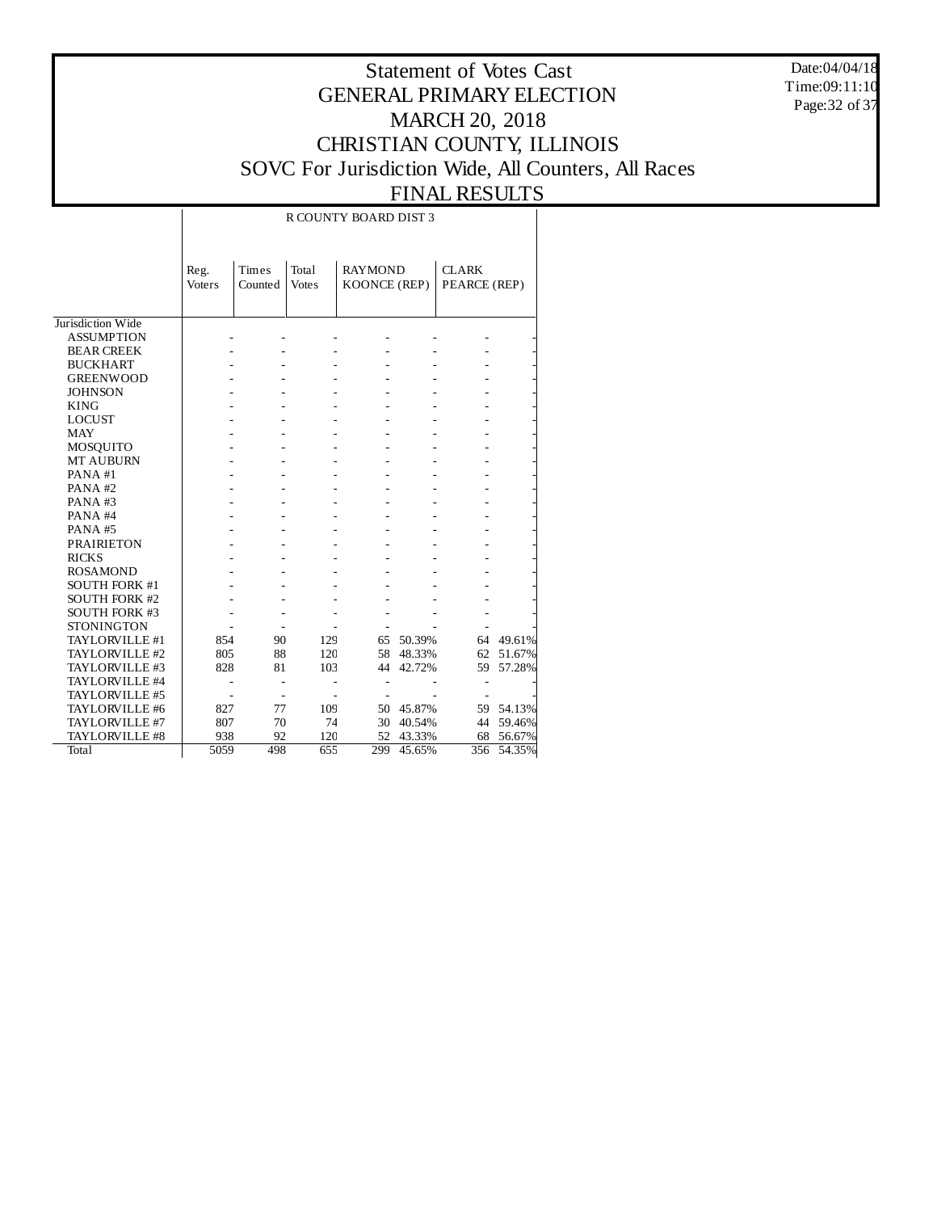Date:04/04/18 Time:09:11:10 Page:32 of 37

## Statement of Votes Cast GENERAL PRIMARY ELECTION MARCH 20, 2018 CHRISTIAN COUNTY, ILLINOIS SOVC For Jurisdiction Wide, All Counters, All Races FINAL RESULTS

# R COUNTY BOARD DIST 3

|                      | Reg.          | Times   | Total        | <b>RAYMOND</b> |        | <b>CLARK</b> |        |
|----------------------|---------------|---------|--------------|----------------|--------|--------------|--------|
|                      | <b>Voters</b> | Counted | <b>Votes</b> | KOONCE (REP)   |        | PEARCE (REP) |        |
|                      |               |         |              |                |        |              |        |
|                      |               |         |              |                |        |              |        |
| Jurisdiction Wide    |               |         |              |                |        |              |        |
| <b>ASSUMPTION</b>    |               |         |              |                |        |              |        |
| <b>BEAR CREEK</b>    |               |         |              |                |        |              |        |
| <b>BUCKHART</b>      |               |         |              |                |        |              |        |
| <b>GREENWOOD</b>     |               |         |              |                |        |              |        |
| <b>JOHNSON</b>       |               |         |              |                |        |              |        |
| <b>KING</b>          |               |         |              |                |        |              |        |
| <b>LOCUST</b>        |               |         |              |                |        |              |        |
| <b>MAY</b>           |               |         |              |                |        |              |        |
| <b>MOSQUITO</b>      |               |         |              |                |        |              |        |
| <b>MT AUBURN</b>     |               |         |              |                |        |              |        |
| PANA#1               |               |         |              |                |        |              |        |
| $PANA$ #2            |               |         |              |                |        |              |        |
| PANA#3               |               |         |              |                |        |              |        |
| PANA#4               |               |         |              |                |        |              |        |
| PANA#5               |               |         |              |                |        |              |        |
| <b>PRAIRIETON</b>    |               |         |              |                |        |              |        |
| <b>RICKS</b>         |               |         |              |                |        |              |        |
| <b>ROSAMOND</b>      |               |         |              |                |        |              |        |
| <b>SOUTH FORK #1</b> |               |         |              |                |        |              |        |
| <b>SOUTH FORK #2</b> |               |         |              |                |        |              |        |
| <b>SOUTH FORK #3</b> |               |         |              |                |        |              |        |
| <b>STONINGTON</b>    |               |         |              |                |        |              |        |
| TAYLORVILLE #1       | 854           | 90      | 129          | 65             | 50.39% | 64           | 49.61% |
| TAYLORVILLE #2       | 805           | 88      | 120          | 58             | 48.33% | 62           | 51.67% |
| TAYLORVILLE #3       | 828           | 81      | 103          | 44             | 42.72% | 59           | 57.28% |
| TAYLORVILLE #4       |               |         |              |                |        |              |        |
| TAYLORVILLE #5       |               |         |              |                |        |              |        |
| TAYLORVILLE #6       | 827           | 77      | 109          | 50             | 45.87% | 59           | 54.13% |
| TAYLORVILLE #7       | 807           | 70      | 74           | 30             | 40.54% | 44           | 59.46% |
| TAYLORVILLE #8       | 938           | 92      | 120          | 52             | 43.33% | 68           | 56.67% |
| Total                | 5059          | 498     | 655          | 299            | 45.65% | 356          | 54.35% |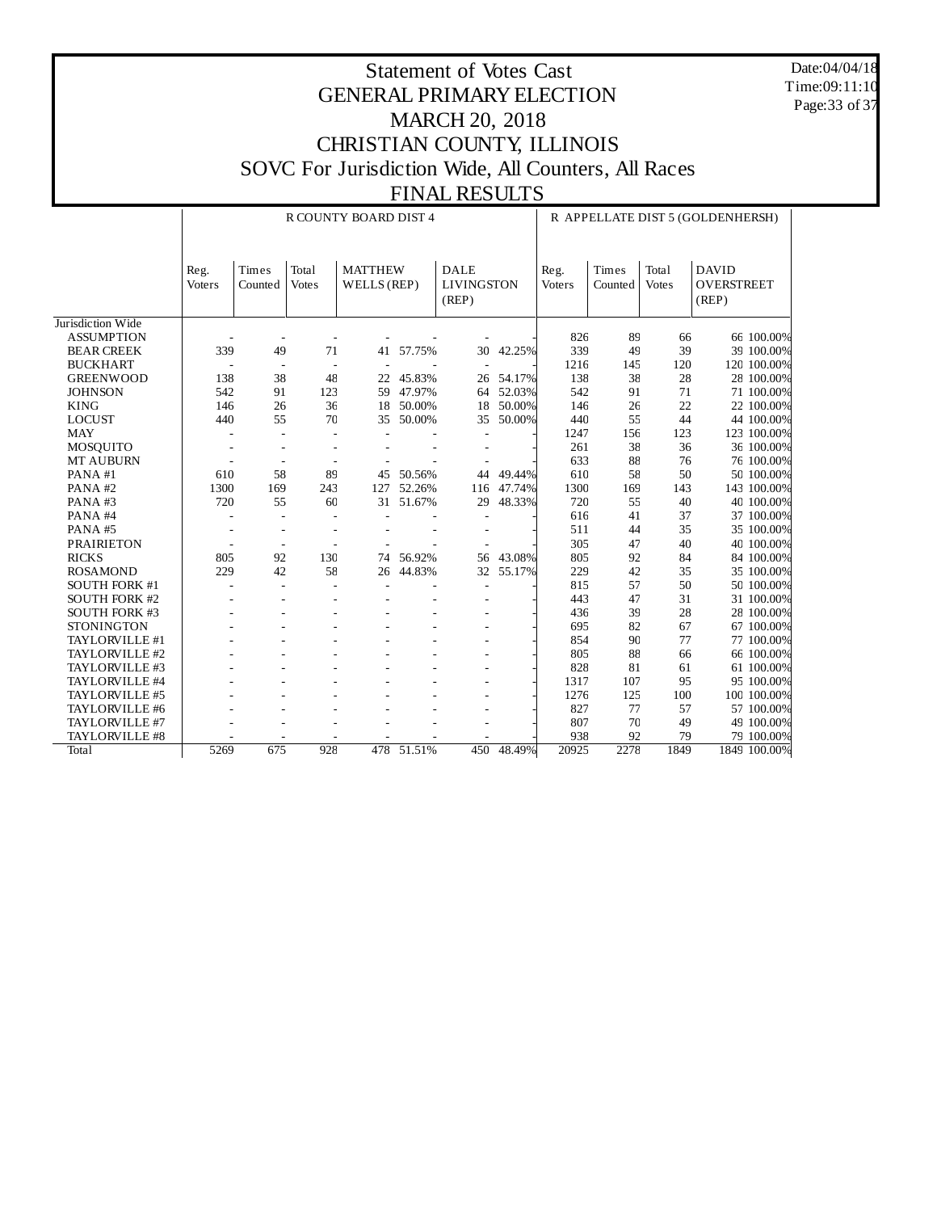Date:04/04/18 Time:09:11:10 Page:33 of 37

|                      |                |                          |                          | R COUNTY BOARD DIST 4         |           |                                           |        |                |                  |                       | R APPELLATE DIST 5 (GOLDENHERSH)           |
|----------------------|----------------|--------------------------|--------------------------|-------------------------------|-----------|-------------------------------------------|--------|----------------|------------------|-----------------------|--------------------------------------------|
|                      | Reg.<br>Voters | Times<br>Counted         | Total<br><b>Votes</b>    | <b>MATTHEW</b><br>WELLS (REP) |           | <b>DALE</b><br><b>LIVINGSTON</b><br>(REP) |        | Reg.<br>Voters | Times<br>Counted | Total<br><b>Votes</b> | <b>DAVID</b><br><b>OVERSTREET</b><br>(REP) |
| Jurisdiction Wide    |                |                          |                          |                               |           |                                           |        |                |                  |                       |                                            |
| <b>ASSUMPTION</b>    |                |                          |                          |                               |           |                                           |        | 826            | 89               | 66                    | 66 100.00%                                 |
| <b>BEAR CREEK</b>    | 339            | 49                       | 71                       |                               | 41 57.75% | 30                                        | 42.25% | 339            | 49               | 39                    | 39 100.00%                                 |
| <b>BUCKHART</b>      |                | $\sim$                   | $\sim$                   |                               |           |                                           |        | 1216           | 145              | 120                   | 120 100.00%                                |
| <b>GREENWOOD</b>     | 138            | 38                       | 48                       | 22                            | 45.83%    | 26                                        | 54.17% | 138            | 38               | 28                    | 28 100.00%                                 |
| <b>JOHNSON</b>       | 542            | 91                       | 123                      | 59                            | 47.97%    | 64                                        | 52.03% | 542            | 91               | 71                    | 71 100.00%                                 |
| <b>KING</b>          | 146            | 26                       | 36                       | 18                            | 50.00%    | 18                                        | 50.00% | 146            | 26               | 22                    | 22 100.00%                                 |
| <b>LOCUST</b>        | 440            | 55                       | 70                       | 35                            | 50.00%    | 35                                        | 50.00% | 440            | 55               | 44                    | 44 100.00%                                 |
| <b>MAY</b>           |                | $\overline{a}$           | $\overline{a}$           |                               |           |                                           |        | 1247           | 156              | 123                   | 123 100.00%                                |
| MOSQUITO             |                |                          |                          |                               |           |                                           |        | 261            | 38               | 36                    | 36 100.00%                                 |
| MT AUBURN            |                | $\overline{\phantom{a}}$ | $\overline{\phantom{a}}$ |                               |           |                                           |        | 633            | 88               | 76                    | 76 100.00%                                 |
| PANA#1               | 610            | 58                       | 89                       | 45                            | 50.56%    | 44                                        | 49.44% | 610            | 58               | 50                    | 50 100.00%                                 |
| PANA#2               | 1300           | 169                      | 243                      | 127                           | 52.26%    | 116                                       | 47.74% | 1300           | 169              | 143                   | 143 100.00%                                |
| PANA#3               | 720            | 55                       | 60                       | 31                            | 51.67%    | 29                                        | 48.33% | 720            | 55               | 40                    | 40 100.00%                                 |
| PANA#4               |                | ÷                        |                          |                               |           |                                           |        | 616            | 41               | 37                    | 37 100.00%                                 |
| PANA#5               |                | ÷,                       | $\overline{a}$           |                               |           |                                           |        | 511            | 44               | 35                    | 35 100.00%                                 |
| <b>PRAIRIETON</b>    |                |                          |                          |                               |           |                                           |        | 305            | 47               | 40                    | 40 100.00%                                 |
| <b>RICKS</b>         | 805            | 92                       | 130                      | 74                            | 56.92%    | 56                                        | 43.08% | 805            | 92               | 84                    | 84 100.00%                                 |
| <b>ROSAMOND</b>      | 229            | 42                       | 58                       | 26                            | 44.83%    | 32                                        | 55.17% | 229            | 42               | 35                    | 35 100.00%                                 |
| <b>SOUTH FORK #1</b> | $\overline{a}$ | $\overline{\phantom{a}}$ |                          |                               |           | ÷                                         |        | 815            | 57               | 50                    | 50 100.00%                                 |
| <b>SOUTH FORK #2</b> |                |                          |                          |                               |           |                                           |        | 443            | 47               | 31                    | 31 100.00%                                 |
| <b>SOUTH FORK #3</b> |                |                          |                          |                               |           |                                           |        | 436            | 39               | 28                    | 28 100.00%                                 |
| <b>STONINGTON</b>    |                |                          |                          |                               |           |                                           |        | 695            | 82               | 67                    | 67 100.00%                                 |
| TAYLORVILLE #1       |                |                          |                          |                               |           |                                           |        | 854            | 90               | 77                    | 77 100.00%                                 |
| TAYLORVILLE #2       |                |                          |                          |                               |           |                                           |        | 805            | 88               | 66                    | 66 100.00%                                 |
| TAYLORVILLE #3       |                |                          |                          |                               |           |                                           |        | 828            | 81               | 61                    | 61 100.00%                                 |
| TAYLORVILLE #4       |                |                          |                          |                               |           | ٠                                         |        | 1317           | 107              | 95                    | 95 100.00%                                 |
| TAYLORVILLE #5       |                |                          |                          |                               |           |                                           |        | 1276           | 125              | 100                   | 100 100.00%                                |
| TAYLORVILLE #6       |                |                          |                          |                               |           |                                           |        | 827            | 77               | 57                    | 57 100.00%                                 |
| TAYLORVILLE #7       |                |                          |                          |                               |           |                                           |        | 807            | 70               | 49                    | 49 100.00%                                 |
| TAYLORVILLE #8       |                |                          |                          |                               |           |                                           |        | 938            | 92               | 79                    | 79 100.00%                                 |
| Total                | 5269           | 675                      | 928                      | 478                           | 51.51%    | 450                                       | 48.49% | 20925          | 2278             | 1849                  | 1849 100.00%                               |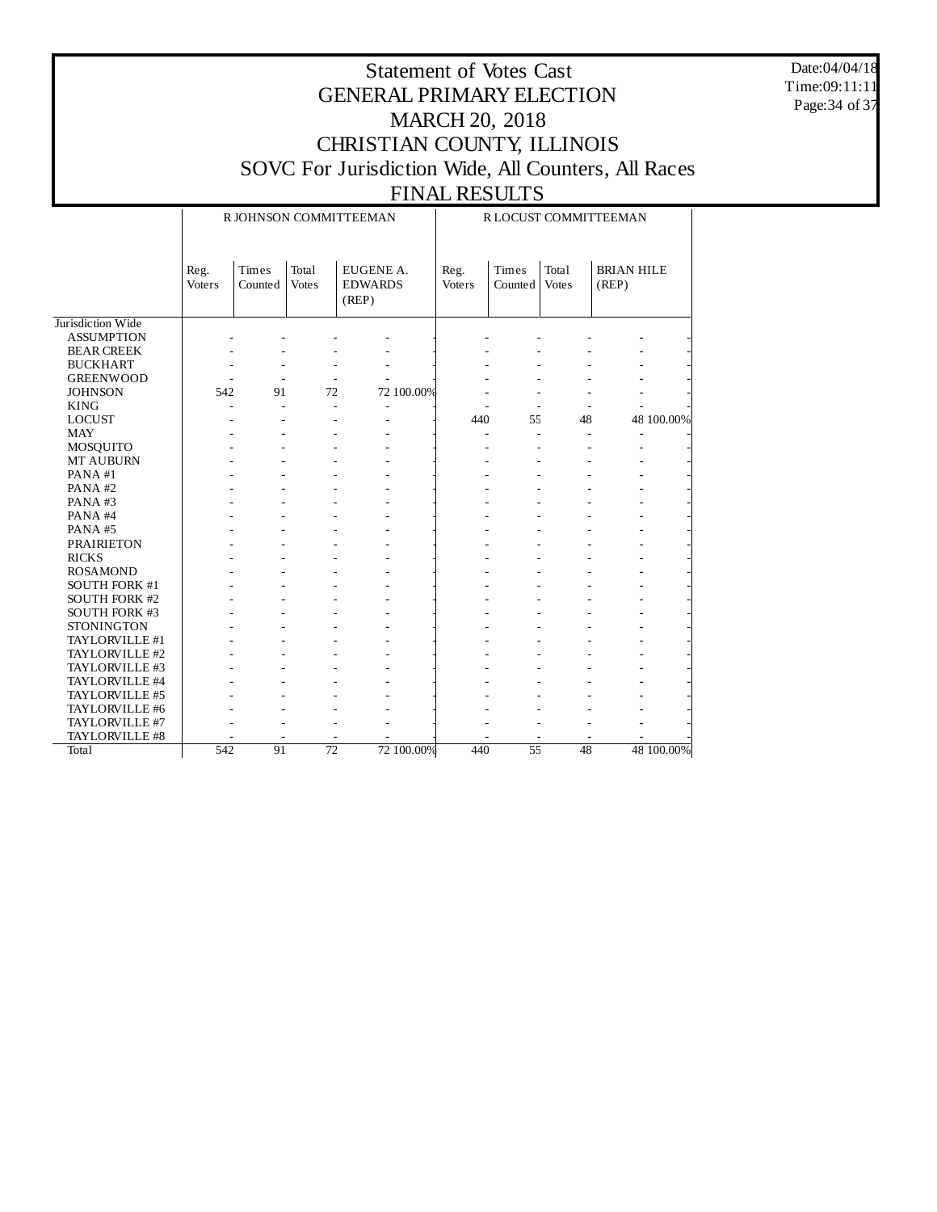Date:04/04/18 Time:09:11:11 Page:34 of 37

|                      |                       |                  |                              | R JOHNSON COMMITTEEMAN               | R LOCUST COMMITTEEMAN |                  |                          |                            |  |  |  |
|----------------------|-----------------------|------------------|------------------------------|--------------------------------------|-----------------------|------------------|--------------------------|----------------------------|--|--|--|
|                      | Reg.<br><b>Voters</b> | Times<br>Counted | <b>Total</b><br><b>Votes</b> | EUGENE A.<br><b>EDWARDS</b><br>(REP) | Reg.<br>Voters        | Times<br>Counted | Total<br><b>Votes</b>    | <b>BRIAN HILE</b><br>(REP) |  |  |  |
| Jurisdiction Wide    |                       |                  |                              |                                      |                       |                  |                          |                            |  |  |  |
| <b>ASSUMPTION</b>    |                       |                  |                              |                                      |                       |                  |                          |                            |  |  |  |
| <b>BEAR CREEK</b>    |                       |                  |                              |                                      |                       |                  |                          |                            |  |  |  |
| <b>BUCKHART</b>      |                       |                  |                              |                                      |                       |                  |                          |                            |  |  |  |
| <b>GREENWOOD</b>     | $\overline{a}$        | ÷,               | $\overline{\phantom{a}}$     |                                      |                       |                  |                          |                            |  |  |  |
| <b>JOHNSON</b>       | 542                   | 91               | 72                           | 72 100.00%                           |                       |                  |                          |                            |  |  |  |
| <b>KING</b>          | $\overline{a}$        | L.               | L.                           | $\overline{\phantom{a}}$             |                       |                  |                          |                            |  |  |  |
| <b>LOCUST</b>        |                       |                  |                              |                                      | 440                   | 55               | 48                       | 48 100.00%                 |  |  |  |
| <b>MAY</b>           |                       |                  |                              |                                      | $\overline{a}$        | $\overline{a}$   | $\overline{\phantom{a}}$ |                            |  |  |  |
| <b>MOSQUITO</b>      |                       |                  |                              |                                      |                       |                  |                          |                            |  |  |  |
| MT AUBURN            |                       |                  |                              |                                      |                       |                  |                          |                            |  |  |  |
| PANA#1               |                       |                  |                              |                                      |                       |                  |                          |                            |  |  |  |
| PANA#2               |                       |                  |                              |                                      |                       |                  |                          |                            |  |  |  |
| PANA#3               |                       |                  |                              |                                      |                       |                  |                          |                            |  |  |  |
| PANA#4               |                       |                  |                              |                                      |                       |                  |                          |                            |  |  |  |
| PANA#5               |                       |                  |                              |                                      |                       |                  |                          |                            |  |  |  |
| <b>PRAIRIETON</b>    |                       |                  |                              |                                      |                       |                  |                          |                            |  |  |  |
| <b>RICKS</b>         |                       |                  |                              |                                      |                       |                  |                          |                            |  |  |  |
| <b>ROSAMOND</b>      |                       |                  |                              |                                      |                       |                  |                          |                            |  |  |  |
| SOUTH FORK #1        |                       |                  |                              |                                      |                       |                  |                          |                            |  |  |  |
| <b>SOUTH FORK #2</b> |                       |                  |                              |                                      |                       |                  |                          |                            |  |  |  |
| <b>SOUTH FORK #3</b> |                       |                  |                              |                                      |                       |                  |                          |                            |  |  |  |
| <b>STONINGTON</b>    |                       |                  |                              |                                      |                       |                  |                          |                            |  |  |  |
| TAYLORVILLE #1       |                       |                  |                              |                                      |                       |                  |                          |                            |  |  |  |
| TAYLORVILLE #2       |                       |                  |                              |                                      |                       |                  |                          |                            |  |  |  |
| TAYLORVILLE #3       |                       |                  |                              |                                      |                       |                  |                          |                            |  |  |  |
| TAYLORVILLE #4       |                       |                  |                              |                                      |                       |                  |                          |                            |  |  |  |
| TAYLORVILLE #5       |                       |                  |                              |                                      |                       |                  |                          |                            |  |  |  |
| TAYLORVILLE #6       |                       |                  |                              |                                      |                       |                  |                          |                            |  |  |  |
| TAYLORVILLE #7       |                       |                  |                              | L,                                   |                       |                  |                          |                            |  |  |  |
| TAYLORVILLE #8       |                       |                  |                              |                                      |                       |                  |                          |                            |  |  |  |
| Total                | 542                   | 91               | $\overline{72}$              | 72 100.00%                           | 440                   | 55               | 48                       | 48 100.00%                 |  |  |  |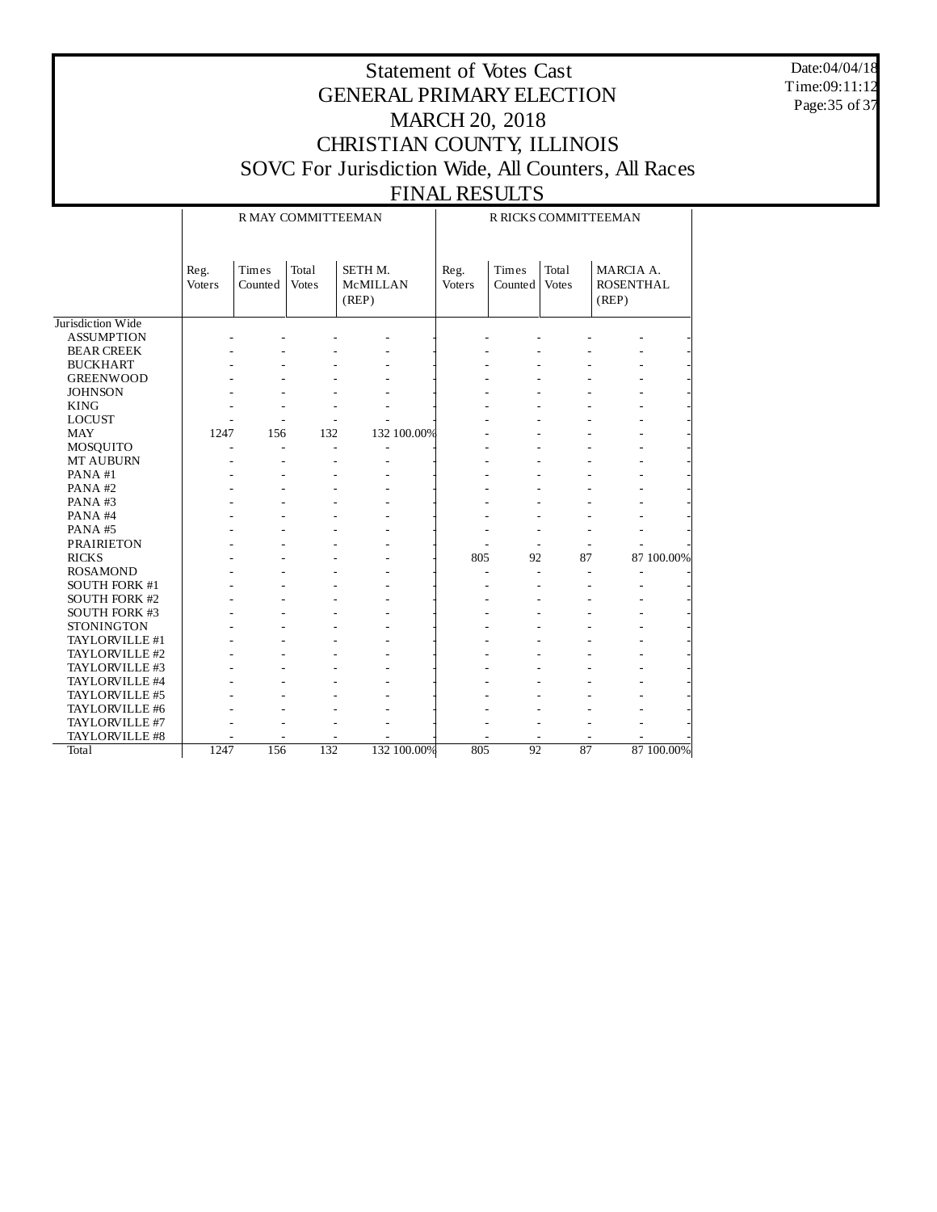Date:04/04/18 Time:09:11:12 Page:35 of 37

#### Statement of Votes Cast GENERAL PRIMARY ELECTION MARCH 20, 2018 CHRISTIAN COUNTY, ILLINOIS SOVC For Jurisdiction Wide, All Counters, All Races FINAL RESULTS

#### Jurisdiction Wide ASSUMPTION BEAR CREEK BUCKHART GREENWOOD **JOHNSON** KING LOCUST MAY MOSQUITO MT AUBURN PANA #1 PANA #2 PANA #3 PANA #4 PANA #5 PRAIRIETON RICKS ROSAMOND SOUTH FORK #1 SOUTH FORK #2 SOUTH FORK #3 STONINGTON TAYLORVILLE #1 TAYLORVILLE #2 TAYLORVILLE #3 TAYLORVILLE #4 TAYLORVILLE #5 TAYLORVILLE #6 TAYLORVILLE #7 TAYLORVILLE #8 **Total** Reg. Voters Times Counted Votes Total SETH M. McMILLAN (REP) R MAY COMMITTEEMAN Reg. Voters Times Counted Votes Total MARCIA A. ROSENTHAL (REP) R RICKS COMMITTEEMAN - - - - - - - - - - - - - - - - - - - - - - - - - - - - - - - - - - - - - - - - - - - - - - - - - - - - - - - - - - - - - - - - - - - - - - 1247 156 132 132 100.00% - - - - - - - - - - - - - - - - - - - - - - - - - - - - - - - - - - - - - - - - - - - - - - - - - - - - - - - - - - - - - - - - - - - - - - - - - - - - - - - - - - - - - - - - - - - - + 805 92 87 87 100.00% - - - - - - - - - - - - - - - - - - - - - - - - - - - - - - - - - - - - - - - - - - - - - - - - - - - - - - - - - - - - - - - - - - - - - - - - - - - - - - - - - - - - - - - - - - - - - - - - - - - - - - - - - - - - - - - - - - - - - - - - - - - - - - - - - - 1247 156 132 132 100.00% 805 92 87 87 100.00%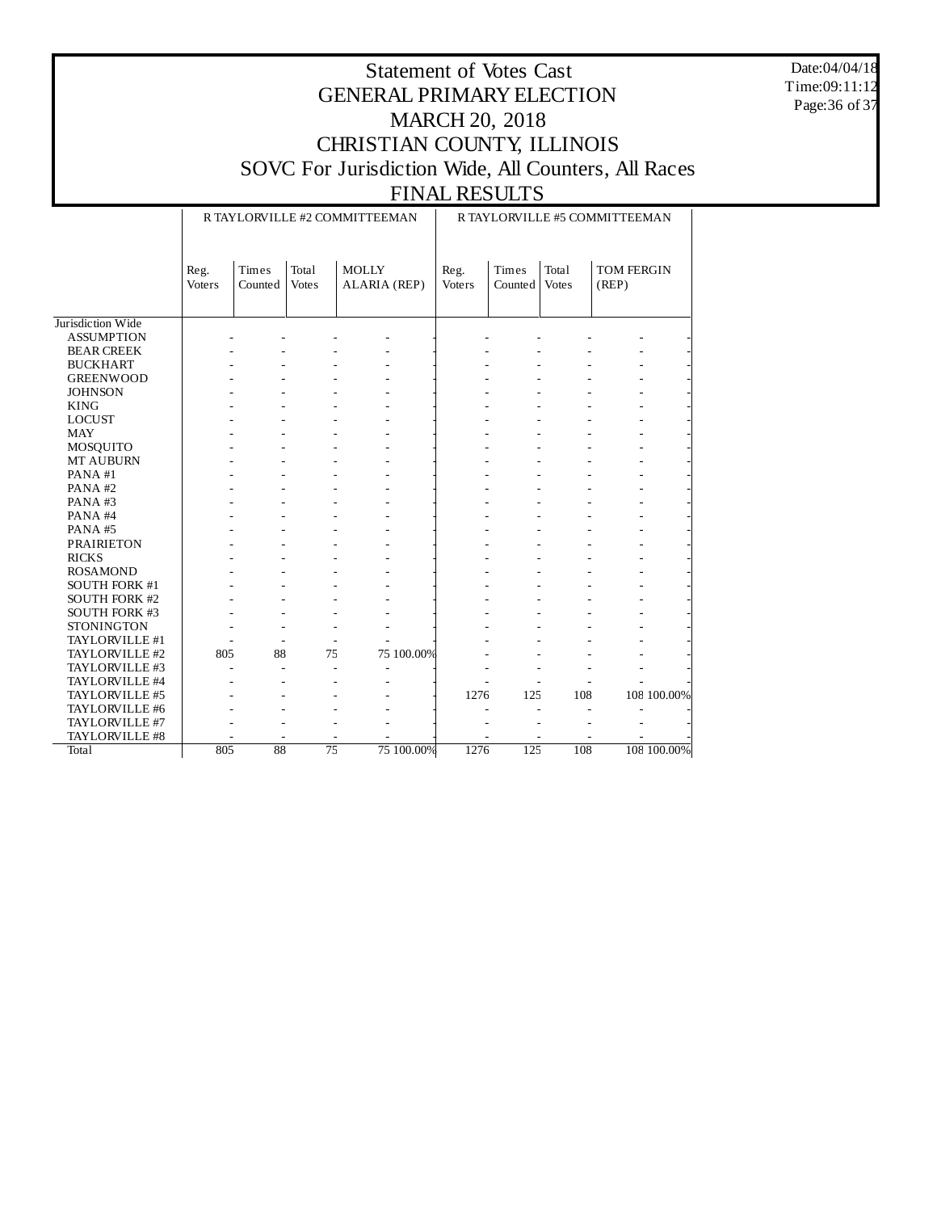Date:04/04/18 Time:09:11:12 Page:36 of 37

|                      |                |                  |                       | R TAYLORVILLE #2 COMMITTEEMAN | R TAYLORVILLE #5 COMMITTEEMAN |                  |                       |                     |             |  |  |
|----------------------|----------------|------------------|-----------------------|-------------------------------|-------------------------------|------------------|-----------------------|---------------------|-------------|--|--|
|                      | Reg.<br>Voters | Times<br>Counted | Total<br><b>Votes</b> | <b>MOLLY</b><br>ALARIA (REP)  | Reg.<br>Voters                | Times<br>Counted | Total<br><b>Votes</b> | TOM FERGIN<br>(REP) |             |  |  |
| Jurisdiction Wide    |                |                  |                       |                               |                               |                  |                       |                     |             |  |  |
| <b>ASSUMPTION</b>    |                |                  |                       |                               |                               |                  |                       |                     |             |  |  |
| <b>BEAR CREEK</b>    |                |                  |                       |                               |                               |                  |                       |                     |             |  |  |
| <b>BUCKHART</b>      |                |                  |                       |                               |                               |                  |                       |                     |             |  |  |
| <b>GREENWOOD</b>     |                |                  |                       |                               |                               |                  |                       |                     |             |  |  |
| <b>JOHNSON</b>       |                |                  |                       |                               |                               |                  |                       |                     |             |  |  |
| <b>KING</b>          |                |                  |                       |                               |                               |                  |                       |                     |             |  |  |
| <b>LOCUST</b>        |                |                  |                       |                               |                               |                  |                       |                     |             |  |  |
| <b>MAY</b>           |                |                  |                       |                               |                               |                  |                       |                     |             |  |  |
| MOSQUITO             |                |                  |                       |                               |                               |                  |                       |                     |             |  |  |
| MT AUBURN            |                |                  |                       |                               |                               |                  |                       |                     |             |  |  |
| PANA#1               |                |                  |                       |                               |                               |                  |                       |                     |             |  |  |
| PANA#2               |                |                  |                       |                               |                               |                  |                       |                     |             |  |  |
| PANA#3               |                |                  |                       |                               |                               |                  |                       |                     |             |  |  |
| PANA#4               |                |                  |                       |                               |                               |                  |                       |                     |             |  |  |
| PANA#5               |                |                  |                       |                               |                               |                  |                       |                     |             |  |  |
| <b>PRAIRIETON</b>    |                |                  |                       |                               |                               |                  |                       |                     |             |  |  |
| <b>RICKS</b>         |                |                  |                       |                               |                               |                  |                       |                     |             |  |  |
| <b>ROSAMOND</b>      |                |                  |                       |                               |                               |                  |                       |                     |             |  |  |
| SOUTH FORK #1        |                |                  |                       |                               |                               |                  |                       |                     |             |  |  |
| <b>SOUTH FORK #2</b> |                |                  |                       |                               |                               |                  |                       |                     |             |  |  |
| <b>SOUTH FORK #3</b> |                |                  |                       |                               |                               |                  |                       |                     |             |  |  |
| <b>STONINGTON</b>    |                |                  |                       |                               |                               |                  |                       |                     |             |  |  |
| TAYLORVILLE #1       |                |                  |                       |                               |                               |                  |                       |                     |             |  |  |
| TAYLORVILLE #2       | 805            | 88               | 75                    | 75 100.00%                    |                               |                  |                       |                     |             |  |  |
| TAYLORVILLE #3       |                |                  |                       |                               |                               |                  |                       |                     |             |  |  |
| TAYLORVILLE #4       |                |                  |                       |                               |                               |                  |                       |                     |             |  |  |
| TAYLORVILLE #5       |                |                  |                       |                               | 1276                          | 125              | 108                   |                     | 108 100.00% |  |  |
| TAYLORVILLE #6       |                |                  |                       |                               |                               |                  |                       |                     |             |  |  |
| TAYLORVILLE #7       |                |                  |                       |                               |                               |                  |                       |                     |             |  |  |
| TAYLORVILLE #8       |                |                  |                       |                               |                               |                  |                       |                     |             |  |  |
| Total                | 805            | 88               | $\overline{75}$       | 75 100.00%                    | 1276                          | 125              | 108                   |                     | 108 100.00% |  |  |